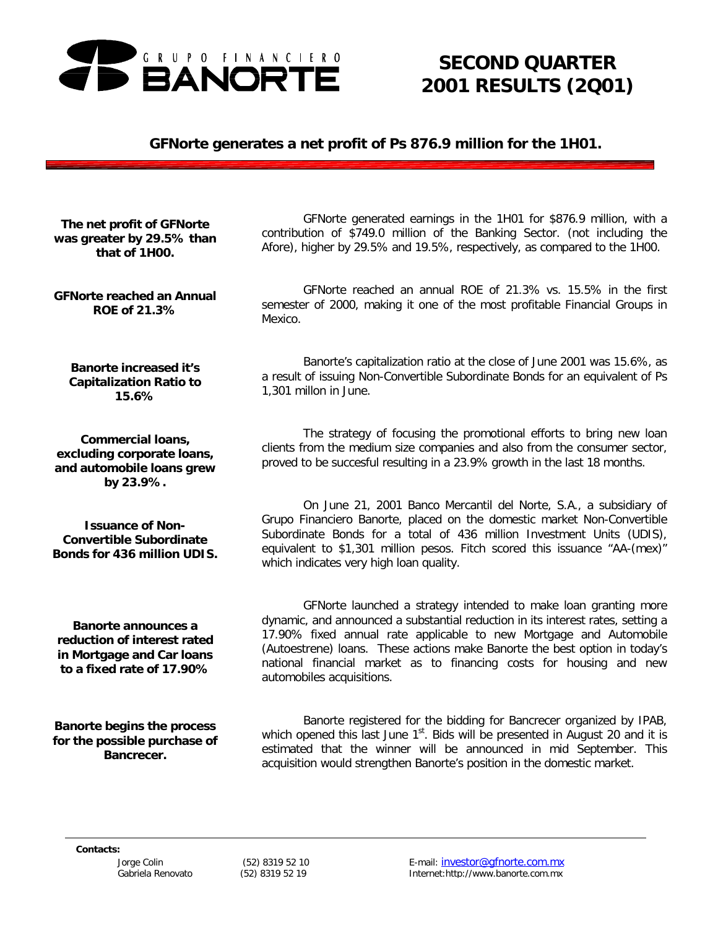

# *SECOND QUARTER 2001 RESULTS (2Q01)*

### *GFNorte generates a net profit of Ps 876.9 million for the 1H01.*

*The net profit of GFNorte was greater by 29.5% than that of 1H00.*

*GFNorte reached an Annual ROE of 21.3%*

*Banorte increased it's Capitalization Ratio to 15.6%*

*Commercial loans, excluding corporate loans, and automobile loans grew by 23.9%.*

*Issuance of Non-Convertible Subordinate Bonds for 436 million UDIS.*

GFNorte generated earnings in the 1H01 for \$876.9 million, with a contribution of \$749.0 million of the Banking Sector. (not including the Afore), higher by 29.5% and 19.5%, respectively, as compared to the 1H00.

GFNorte reached an annual ROE of 21.3% vs. 15.5% in the first semester of 2000, making it one of the most profitable Financial Groups in Mexico.

Banorte's capitalization ratio at the close of June 2001 was 15.6%, as a result of issuing Non-Convertible Subordinate Bonds for an equivalent of Ps 1,301 millon in June.

The strategy of focusing the promotional efforts to bring new loan clients from the medium size companies and also from the consumer sector, proved to be succesful resulting in a 23.9% growth in the last 18 months.

On June 21, 2001 Banco Mercantil del Norte, S.A., a subsidiary of Grupo Financiero Banorte, placed on the domestic market Non-Convertible Subordinate Bonds for a total of 436 million Investment Units (UDIS), equivalent to \$1,301 million pesos. Fitch scored this issuance "AA-(mex)" which indicates very high loan quality.

*Banorte announces a reduction of interest rated in Mortgage and Car loans to a fixed rate of 17.90%*

*Banorte begins the process for the possible purchase of Bancrecer.*

GFNorte launched a strategy intended to make loan granting more dynamic, and announced a substantial reduction in its interest rates, setting a 17.90% fixed annual rate applicable to new Mortgage and Automobile (Autoestrene) loans. These actions make Banorte the best option in today's national financial market as to financing costs for housing and new automobiles acquisitions.

Banorte registered for the bidding for Bancrecer organized by IPAB, which opened this last June 1<sup>st</sup>. Bids will be presented in August 20 and it is estimated that the winner will be announced in mid September. This acquisition would strengthen Banorte's position in the domestic market.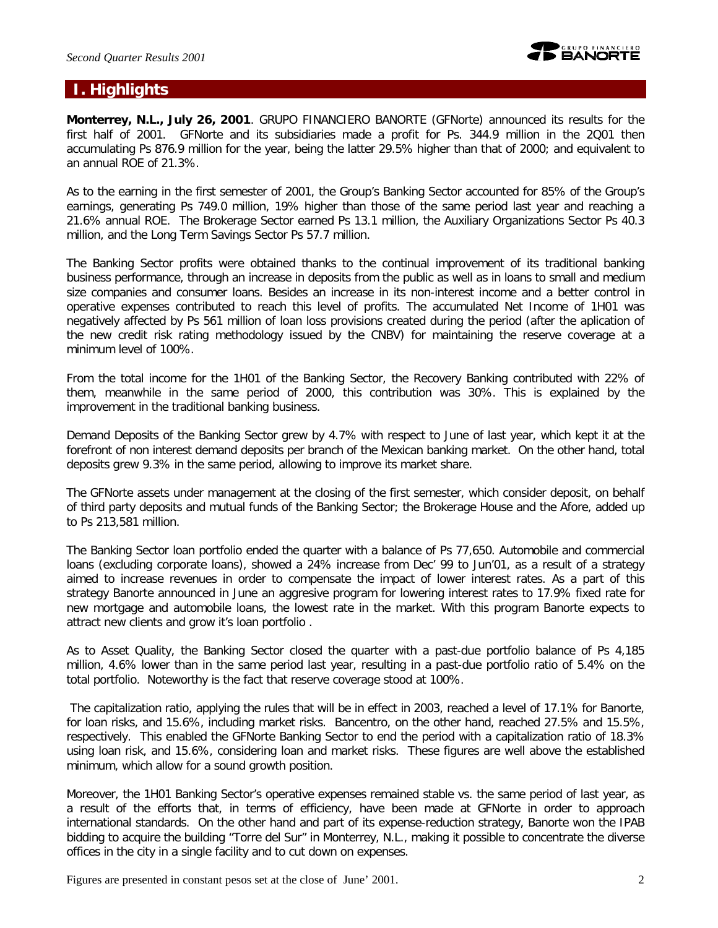

# **I. Highlights**

**Monterrey, N.L., July 26, 2001**. GRUPO FINANCIERO BANORTE (GFNorte) announced its results for the first half of 2001. GFNorte and its subsidiaries made a profit for Ps. 344.9 million in the 2Q01 then accumulating Ps 876.9 million for the year, being the latter 29.5% higher than that of 2000; and equivalent to an annual ROE of 21.3%.

As to the earning in the first semester of 2001, the Group's Banking Sector accounted for 85% of the Group's earnings, generating Ps 749.0 million, 19% higher than those of the same period last year and reaching a 21.6% annual ROE. The Brokerage Sector earned Ps 13.1 million, the Auxiliary Organizations Sector Ps 40.3 million, and the Long Term Savings Sector Ps 57.7 million.

The Banking Sector profits were obtained thanks to the continual improvement of its traditional banking business performance, through an increase in deposits from the public as well as in loans to small and medium size companies and consumer loans. Besides an increase in its non-interest income and a better control in operative expenses contributed to reach this level of profits. The accumulated Net Income of 1H01 was negatively affected by Ps 561 million of loan loss provisions created during the period (after the aplication of the new credit risk rating methodology issued by the CNBV) for maintaining the reserve coverage at a minimum level of 100%.

From the total income for the 1H01 of the Banking Sector, the Recovery Banking contributed with 22% of them, meanwhile in the same period of 2000, this contribution was 30%. This is explained by the improvement in the traditional banking business.

Demand Deposits of the Banking Sector grew by 4.7% with respect to June of last year, which kept it at the forefront of non interest demand deposits per branch of the Mexican banking market. On the other hand, total deposits grew 9.3% in the same period, allowing to improve its market share.

The GFNorte assets under management at the closing of the first semester, which consider deposit, on behalf of third party deposits and mutual funds of the Banking Sector; the Brokerage House and the Afore, added up to Ps 213,581 million.

The Banking Sector loan portfolio ended the quarter with a balance of Ps 77,650. Automobile and commercial loans (excluding corporate loans), showed a 24% increase from Dec' 99 to Jun'01, as a result of a strategy aimed to increase revenues in order to compensate the impact of lower interest rates. As a part of this strategy Banorte announced in June an aggresive program for lowering interest rates to 17.9% fixed rate for new mortgage and automobile loans, the lowest rate in the market. With this program Banorte expects to attract new clients and grow it's loan portfolio .

As to Asset Quality, the Banking Sector closed the quarter with a past-due portfolio balance of Ps 4,185 million, 4.6% lower than in the same period last year, resulting in a past-due portfolio ratio of 5.4% on the total portfolio. Noteworthy is the fact that reserve coverage stood at 100%.

 The capitalization ratio, applying the rules that will be in effect in 2003, reached a level of 17.1% for Banorte, for loan risks, and 15.6%, including market risks. Bancentro, on the other hand, reached 27.5% and 15.5%, respectively. This enabled the GFNorte Banking Sector to end the period with a capitalization ratio of 18.3% using loan risk, and 15.6%, considering loan and market risks. These figures are well above the established minimum, which allow for a sound growth position.

Moreover, the 1H01 Banking Sector's operative expenses remained stable vs. the same period of last year, as a result of the efforts that, in terms of efficiency, have been made at GFNorte in order to approach international standards. On the other hand and part of its expense-reduction strategy, Banorte won the IPAB bidding to acquire the building "Torre del Sur" in Monterrey, N.L., making it possible to concentrate the diverse offices in the city in a single facility and to cut down on expenses.

Figures are presented in constant pesos set at the close of June' 2001. 2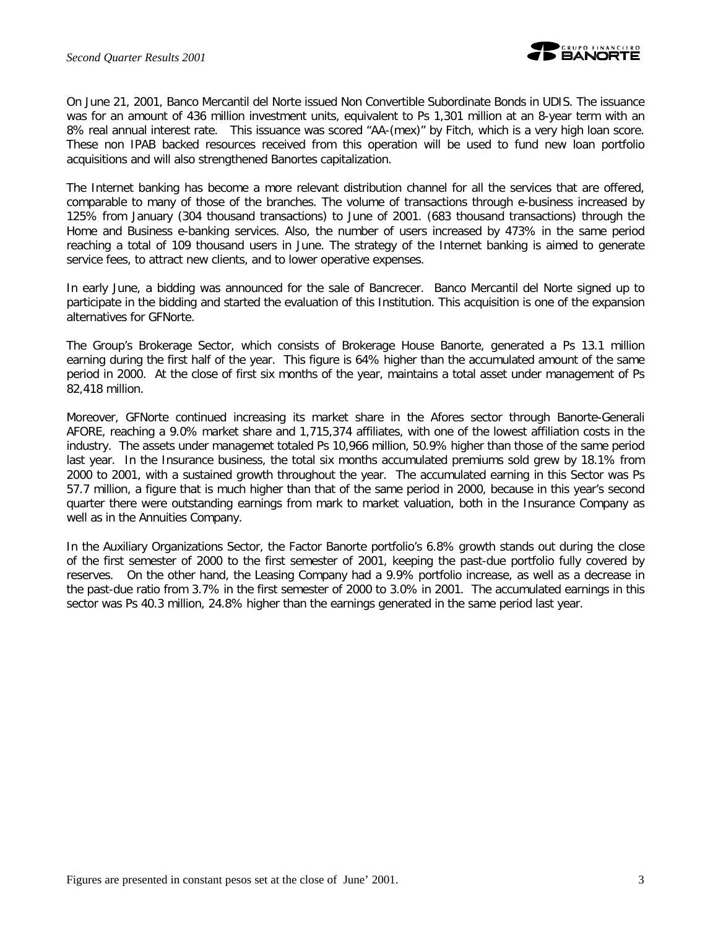

On June 21, 2001, Banco Mercantil del Norte issued Non Convertible Subordinate Bonds in UDIS. The issuance was for an amount of 436 million investment units, equivalent to Ps 1,301 million at an 8-year term with an 8% real annual interest rate. This issuance was scored "AA-(mex)" by Fitch, which is a very high loan score. These non IPAB backed resources received from this operation will be used to fund new loan portfolio acquisitions and will also strengthened Banortes capitalization.

The Internet banking has become a more relevant distribution channel for all the services that are offered, comparable to many of those of the branches. The volume of transactions through e-business increased by 125% from January (304 thousand transactions) to June of 2001. (683 thousand transactions) through the Home and Business e-banking services. Also, the number of users increased by 473% in the same period reaching a total of 109 thousand users in June. The strategy of the Internet banking is aimed to generate service fees, to attract new clients, and to lower operative expenses.

In early June, a bidding was announced for the sale of Bancrecer. Banco Mercantil del Norte signed up to participate in the bidding and started the evaluation of this Institution. This acquisition is one of the expansion alternatives for GFNorte.

The Group's Brokerage Sector, which consists of Brokerage House Banorte, generated a Ps 13.1 million earning during the first half of the year. This figure is 64% higher than the accumulated amount of the same period in 2000. At the close of first six months of the year, maintains a total asset under management of Ps 82,418 million.

Moreover, GFNorte continued increasing its market share in the Afores sector through Banorte-Generali AFORE, reaching a 9.0% market share and 1,715,374 affiliates, with one of the lowest affiliation costs in the industry. The assets under managemet totaled Ps 10,966 million, 50.9% higher than those of the same period last year. In the Insurance business, the total six months accumulated premiums sold grew by 18.1% from 2000 to 2001, with a sustained growth throughout the year. The accumulated earning in this Sector was Ps 57.7 million, a figure that is much higher than that of the same period in 2000, because in this year's second quarter there were outstanding earnings from mark to market valuation, both in the Insurance Company as well as in the Annuities Company.

In the Auxiliary Organizations Sector, the Factor Banorte portfolio's 6.8% growth stands out during the close of the first semester of 2000 to the first semester of 2001, keeping the past-due portfolio fully covered by reserves. On the other hand, the Leasing Company had a 9.9% portfolio increase, as well as a decrease in the past-due ratio from 3.7% in the first semester of 2000 to 3.0% in 2001. The accumulated earnings in this sector was Ps 40.3 million, 24.8% higher than the earnings generated in the same period last year.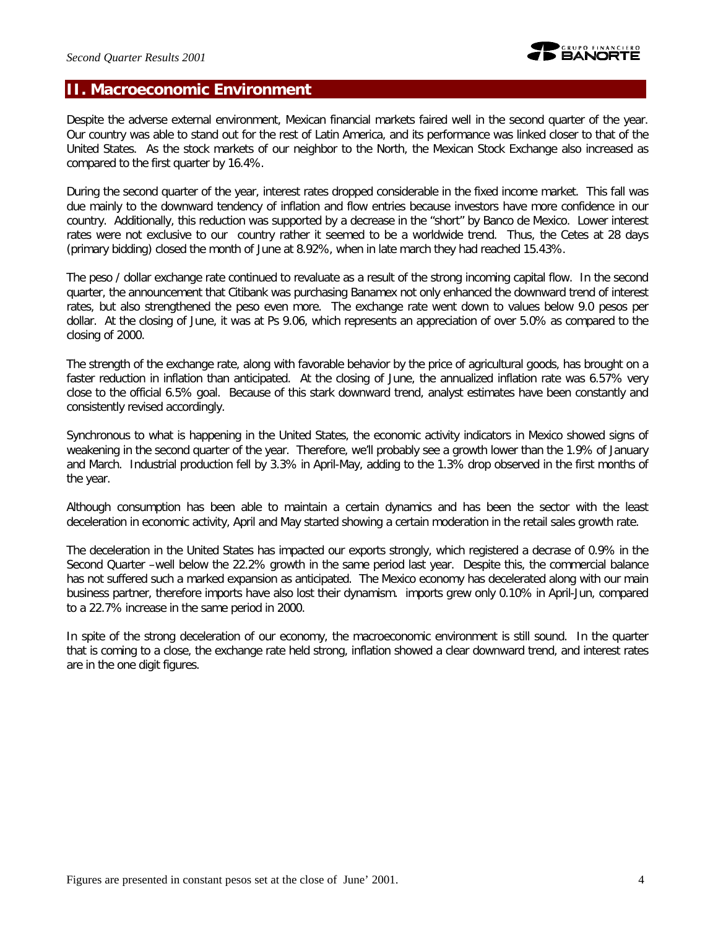# **II. Macroeconomic Environment**

Despite the adverse external environment, Mexican financial markets faired well in the second quarter of the year. Our country was able to stand out for the rest of Latin America, and its performance was linked closer to that of the United States. As the stock markets of our neighbor to the North, the Mexican Stock Exchange also increased as compared to the first quarter by 16.4%.

During the second quarter of the year, interest rates dropped considerable in the fixed income market. This fall was due mainly to the downward tendency of inflation and flow entries because investors have more confidence in our country. Additionally, this reduction was supported by a decrease in the "short" by Banco de Mexico. Lower interest rates were not exclusive to our country rather it seemed to be a worldwide trend. Thus, the Cetes at 28 days (primary bidding) closed the month of June at 8.92%, when in late march they had reached 15.43%.

The peso / dollar exchange rate continued to revaluate as a result of the strong incoming capital flow. In the second quarter, the announcement that Citibank was purchasing Banamex not only enhanced the downward trend of interest rates, but also strengthened the peso even more. The exchange rate went down to values below 9.0 pesos per dollar. At the closing of June, it was at Ps 9.06, which represents an appreciation of over 5.0% as compared to the closing of 2000.

The strength of the exchange rate, along with favorable behavior by the price of agricultural goods, has brought on a faster reduction in inflation than anticipated. At the closing of June, the annualized inflation rate was 6.57% very close to the official 6.5% goal. Because of this stark downward trend, analyst estimates have been constantly and consistently revised accordingly.

Synchronous to what is happening in the United States, the economic activity indicators in Mexico showed signs of weakening in the second quarter of the year. Therefore, we'll probably see a growth lower than the 1.9% of January and March. Industrial production fell by 3.3% in April-May, adding to the 1.3% drop observed in the first months of the year.

Although consumption has been able to maintain a certain dynamics and has been the sector with the least deceleration in economic activity, April and May started showing a certain moderation in the retail sales growth rate.

The deceleration in the United States has impacted our exports strongly, which registered a decrase of 0.9% in the Second Quarter –well below the 22.2% growth in the same period last year. Despite this, the commercial balance has not suffered such a marked expansion as anticipated. The Mexico economy has decelerated along with our main business partner, therefore imports have also lost their dynamism. imports grew only 0.10% in April-Jun, compared to a 22.7% increase in the same period in 2000.

In spite of the strong deceleration of our economy, the macroeconomic environment is still sound. In the quarter that is coming to a close, the exchange rate held strong, inflation showed a clear downward trend, and interest rates are in the one digit figures.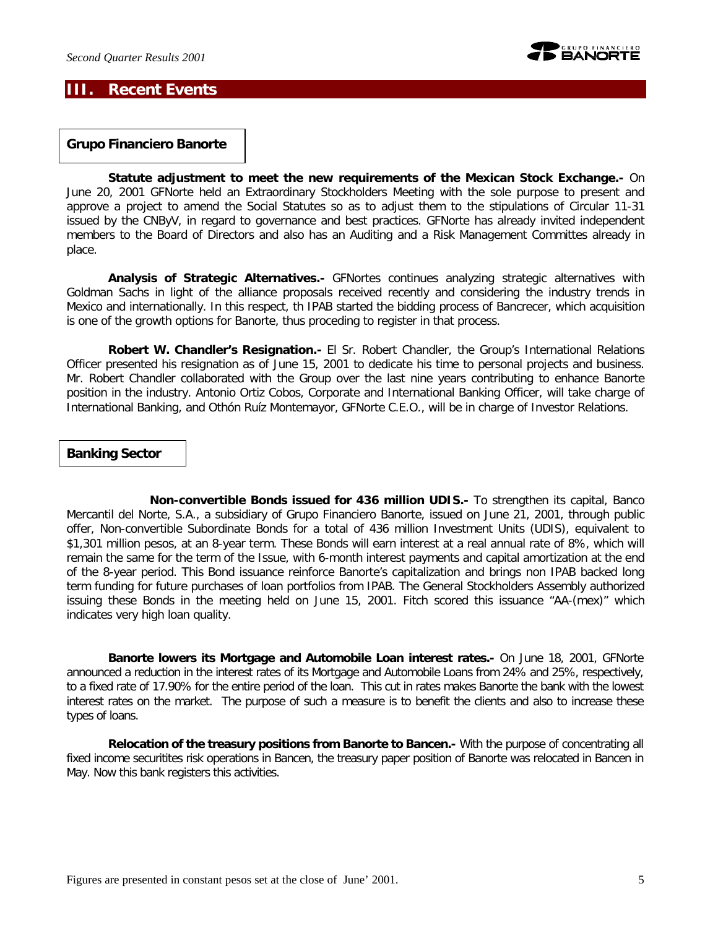

## **III. Recent Events**

*Grupo Financiero Banorte* 

*Statute adjustment to meet the new requirements of the Mexican Stock Exchange.-* On June 20, 2001 GFNorte held an Extraordinary Stockholders Meeting with the sole purpose to present and approve a project to amend the Social Statutes so as to adjust them to the stipulations of Circular 11-31 issued by the CNByV, in regard to governance and best practices. GFNorte has already invited independent members to the Board of Directors and also has an Auditing and a Risk Management Committes already in place.

*Analysis of Strategic Alternatives.-* GFNortes continues analyzing strategic alternatives with Goldman Sachs in light of the alliance proposals received recently and considering the industry trends in Mexico and internationally. In this respect, th IPAB started the bidding process of Bancrecer, which acquisition is one of the growth options for Banorte, thus proceding to register in that process.

**Robert W. Chandler's Resignation.-** El Sr. Robert Chandler, the Group's International Relations Officer presented his resignation as of June 15, 2001 to dedicate his time to personal projects and business. Mr. Robert Chandler collaborated with the Group over the last nine years contributing to enhance Banorte position in the industry. Antonio Ortiz Cobos, Corporate and International Banking Officer, will take charge of International Banking, and Othón Ruíz Montemayor, GFNorte C.E.O., will be in charge of Investor Relations.

#### *Banking Sector*

*Non-convertible Bonds issued for 436 million UDIS.-* To strengthen its capital, Banco Mercantil del Norte, S.A., a subsidiary of Grupo Financiero Banorte, issued on June 21, 2001, through public offer, Non-convertible Subordinate Bonds for a total of 436 million Investment Units (UDIS), equivalent to \$1,301 million pesos, at an 8-year term. These Bonds will earn interest at a real annual rate of 8%, which will remain the same for the term of the Issue, with 6-month interest payments and capital amortization at the end of the 8-year period. This Bond issuance reinforce Banorte's capitalization and brings non IPAB backed long term funding for future purchases of loan portfolios from IPAB. The General Stockholders Assembly authorized issuing these Bonds in the meeting held on June 15, 2001. Fitch scored this issuance "AA-(mex)" which indicates very high loan quality.

*Banorte lowers its Mortgage and Automobile Loan interest rates.-* On June 18, 2001, GFNorte announced a reduction in the interest rates of its Mortgage and Automobile Loans from 24% and 25%, respectively, to a fixed rate of 17.90% for the entire period of the loan. This cut in rates makes Banorte the bank with the lowest interest rates on the market. The purpose of such a measure is to benefit the clients and also to increase these types of loans.

*Relocation of the treasury positions from Banorte to Bancen.-* With the purpose of concentrating all fixed income securitites risk operations in Bancen, the treasury paper position of Banorte was relocated in Bancen in May. Now this bank registers this activities.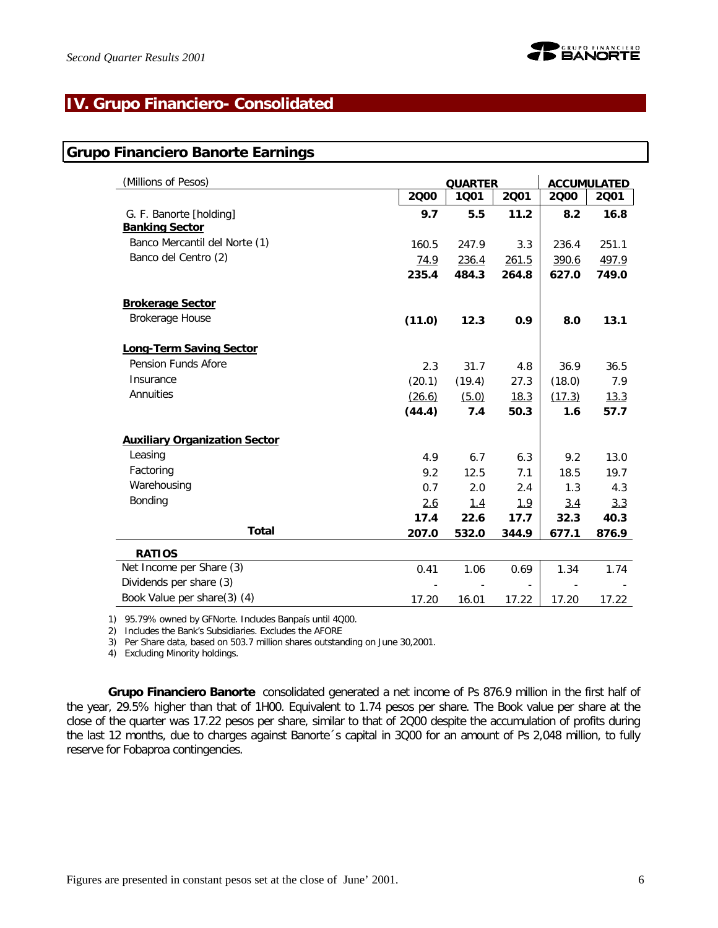# **IV. Grupo Financiero- Consolidated**

### **Grupo Financiero Banorte Earnings**

| (Millions of Pesos)                  |        | <b>QUARTER</b> |             |            | <b>ACCUMULATED</b> |
|--------------------------------------|--------|----------------|-------------|------------|--------------------|
|                                      | 2000   | 1001           | 2001        | 2000       | 2001               |
| G. F. Banorte [holding]              | 9.7    | 5.5            | 11.2        | 8.2        | 16.8               |
| <b>Banking Sector</b>                |        |                |             |            |                    |
| Banco Mercantil del Norte (1)        | 160.5  | 247.9          | 3.3         | 236.4      | 251.1              |
| Banco del Centro (2)                 | 74.9   | 236.4          | 261.5       | 390.6      | 497.9              |
|                                      | 235.4  | 484.3          | 264.8       | 627.0      | 749.0              |
| <b>Brokerage Sector</b>              |        |                |             |            |                    |
| Brokerage House                      | (11.0) | 12.3           | 0.9         | 8.0        | 13.1               |
| <b>Long-Term Saving Sector</b>       |        |                |             |            |                    |
| Pension Funds Afore                  | 2.3    | 31.7           | 4.8         | 36.9       | 36.5               |
| Insurance                            | (20.1) | (19.4)         | 27.3        | (18.0)     | 7.9                |
| Annuities                            | (26.6) | (5.0)          | 18.3        | (17.3)     | 13.3               |
|                                      | (44.4) | 7.4            | 50.3        | 1.6        | 57.7               |
| <b>Auxiliary Organization Sector</b> |        |                |             |            |                    |
| Leasing                              | 4.9    | 6.7            | 6.3         | 9.2        | 13.0               |
| Factoring                            | 9.2    | 12.5           | 7.1         | 18.5       | 19.7               |
| Warehousing                          | 0.7    | 2.0            | 2.4         | 1.3        | 4.3                |
| Bonding                              | 2.6    | <u>1.4</u>     | <u> 1.9</u> | <u>3.4</u> | 3.3                |
|                                      | 17.4   | 22.6           | 17.7        | 32.3       | 40.3               |
| <b>Total</b>                         | 207.0  | 532.0          | 344.9       | 677.1      | 876.9              |
| <b>RATIOS</b>                        |        |                |             |            |                    |
| Net Income per Share (3)             | 0.41   | 1.06           | 0.69        | 1.34       | 1.74               |
| Dividends per share (3)              |        |                |             |            |                    |
| Book Value per share(3) (4)          | 17.20  | 16.01          | 17.22       | 17.20      | 17.22              |

1) 95.79% owned by GFNorte. Includes Banpaís until 4Q00.

2) Includes the Bank's Subsidiaries. Excludes the AFORE

3) Per Share data, based on 503.7 million shares outstanding on June 30,2001.

4) Excluding Minority holdings.

*Grupo Financiero Banorte* consolidated generated a net income of Ps 876.9 million in the first half of the year, 29.5% higher than that of 1H00. Equivalent to 1.74 pesos per share. The Book value per share at the close of the quarter was 17.22 pesos per share, similar to that of 2Q00 despite the accumulation of profits during the last 12 months, due to charges against Banorte´s capital in 3Q00 for an amount of Ps 2,048 million, to fully reserve for Fobaproa contingencies.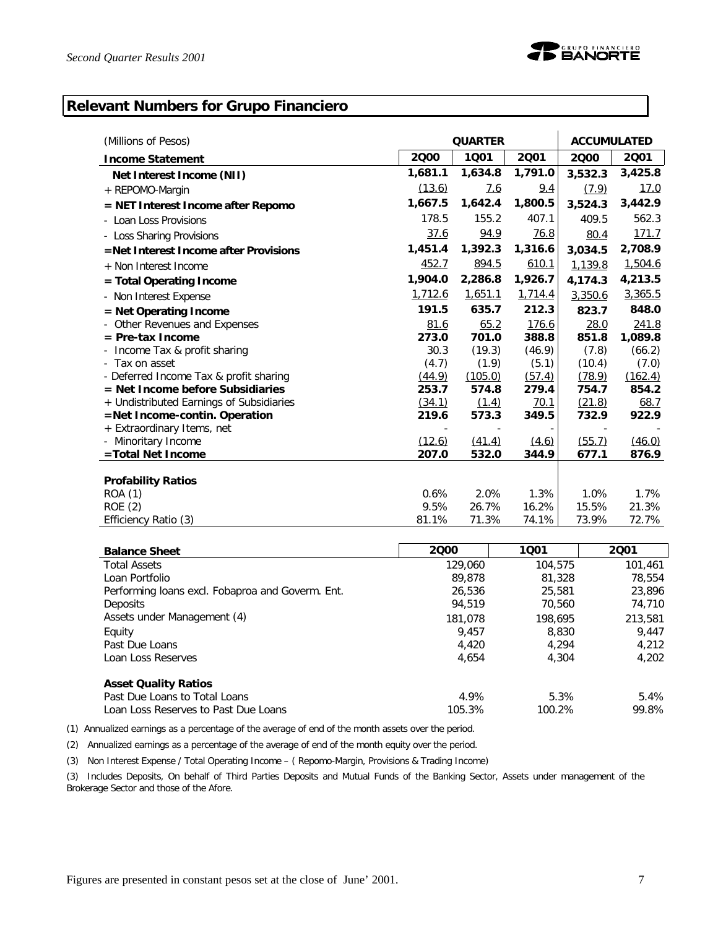# **Relevant Numbers for Grupo Financiero**

| (Millions of Pesos)                      | <b>QUARTER</b> | <b>ACCUMULATED</b> |              |         |             |
|------------------------------------------|----------------|--------------------|--------------|---------|-------------|
| <b>Income Statement</b>                  | 2000           | 1001               | 2001         | 2000    | 2001        |
| Net Interest Income (NII)                | 1,681.1        | 1,634.8            | 1,791.0      | 3,532.3 | 3,425.8     |
| + REPOMO-Margin                          | (13.6)         | <u>7.6</u>         | 9.4          | (7.9)   | <u>17.0</u> |
| = NET Interest Income after Repomo       | 1,667.5        | 1,642.4            | 1,800.5      | 3,524.3 | 3,442.9     |
| Loan Loss Provisions                     | 178.5          | 155.2              | 407.1        | 409.5   | 562.3       |
| - Loss Sharing Provisions                | 37.6           | 94.9               | <u>76.8</u>  | 80.4    | 171.7       |
| =Net Interest Income after Provisions    | 1,451.4        | 1,392.3            | 1,316.6      | 3,034.5 | 2,708.9     |
| + Non Interest Income                    | 452.7          | 894.5              | 610.1        | 1,139.8 | 1,504.6     |
| = Total Operating Income                 | 1,904.0        | 2,286.8            | 1,926.7      | 4,174.3 | 4,213.5     |
| - Non Interest Expense                   | 1,712.6        | 1,651.1            | 1,714.4      | 3,350.6 | 3,365.5     |
| = Net Operating Income                   | 191.5          | 635.7              | 212.3        | 823.7   | 848.0       |
| Other Revenues and Expenses              | 81.6           | 65.2               | <u>176.6</u> | 28.0    | 241.8       |
| $=$ Pre-tax Income                       | 273.0          | 701.0              | 388.8        | 851.8   | 1,089.8     |
| Income Tax & profit sharing              | 30.3           | (19.3)             | (46.9)       | (7.8)   | (66.2)      |
| Tax on asset<br>$\overline{\phantom{a}}$ | (4.7)          | (1.9)              | (5.1)        | (10.4)  | (7.0)       |
| - Deferred Income Tax & profit sharing   | (44.9)         | (105.0)            | (57.4)       | (78.9)  | (162.4)     |
| $=$ Net Income before Subsidiaries       | 253.7          | 574.8              | 279.4        | 754.7   | 854.2       |
| + Undistributed Earnings of Subsidiaries | (34.1)         | (1.4)              | 70.1         | (21.8)  | 68.7        |
| =Net Income-contin. Operation            | 219.6          | 573.3              | 349.5        | 732.9   | 922.9       |
| + Extraordinary Items, net               |                |                    |              |         |             |
| - Minoritary Income                      | (12.6)         | (41.4)             | (4.6)        | (55.7)  | (46.0)      |
| =Total Net Income                        | 207.0          | 532.0              | 344.9        | 677.1   | 876.9       |
|                                          |                |                    |              |         |             |
| <b>Profability Ratios</b>                |                |                    |              |         |             |
| ROA (1)                                  | 0.6%           | 2.0%               | 1.3%         | 1.0%    | 1.7%        |
| <b>ROE</b> (2)                           | 9.5%           | 26.7%              | 16.2%        | 15.5%   | 21.3%       |
| Efficiency Ratio (3)                     | 81.1%          | 71.3%              | 74.1%        | 73.9%   | 72.7%       |

| <b>Balance Sheet</b>                             | 2000    | 1001    | 2001    |
|--------------------------------------------------|---------|---------|---------|
| <b>Total Assets</b>                              | 129,060 | 104,575 | 101,461 |
| Loan Portfolio                                   | 89,878  | 81,328  | 78,554  |
| Performing loans excl. Fobaproa and Goverm. Ent. | 26,536  | 25,581  | 23,896  |
| <b>Deposits</b>                                  | 94,519  | 70,560  | 74,710  |
| Assets under Management (4)                      | 181,078 | 198,695 | 213,581 |
| Equity                                           | 9.457   | 8,830   | 9.447   |
| Past Due Loans                                   | 4,420   | 4.294   | 4,212   |
| Loan Loss Reserves                               | 4.654   | 4.304   | 4,202   |
| <b>Asset Quality Ratios</b>                      |         |         |         |
| Past Due Loans to Total Loans                    | 4.9%    | 5.3%    | 5.4%    |
| Loan Loss Reserves to Past Due Loans             | 105.3%  | 100.2%  | 99.8%   |

(1) Annualized earnings as a percentage of the average of end of the month assets over the period.

(2) Annualized earnings as a percentage of the average of end of the month equity over the period.

(3) Non Interest Expense / Total Operating Income – ( Repomo-Margin, Provisions & Trading Income)

(3) Includes Deposits, On behalf of Third Parties Deposits and Mutual Funds of the Banking Sector, Assets under management of the Brokerage Sector and those of the Afore.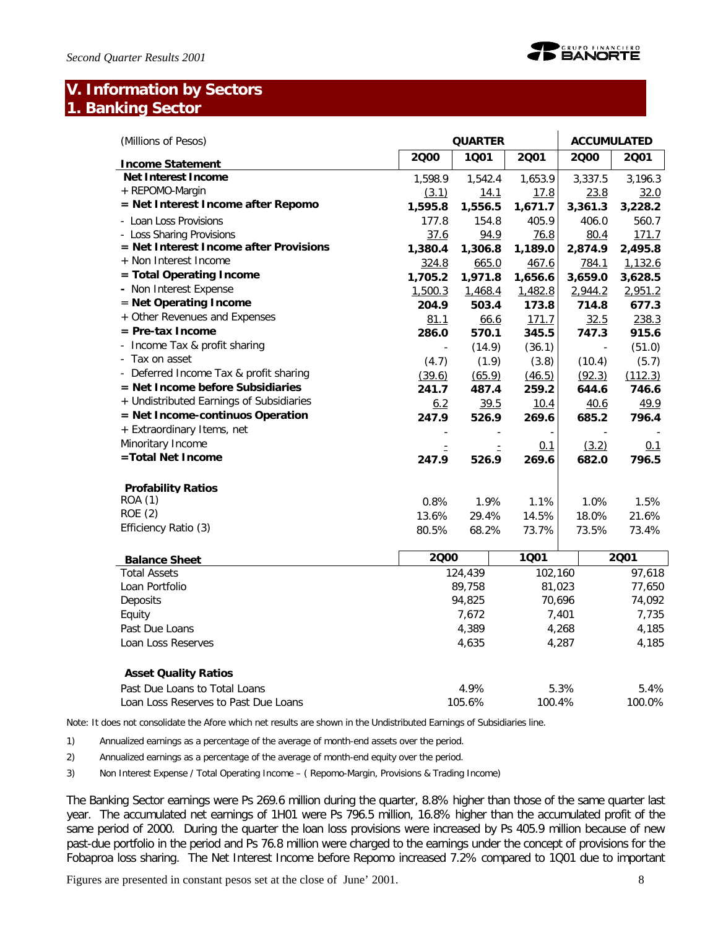# **V. Information by Sectors 1. Banking Sector**

| (Millions of Pesos)                      |          | <b>QUARTER</b> |         | <b>ACCUMULATED</b> |         |  |
|------------------------------------------|----------|----------------|---------|--------------------|---------|--|
| <b>Income Statement</b>                  | 2000     | 1001           | 2001    | 2000               | 2001    |  |
| <b>Net Interest Income</b>               | 1,598.9  | 1,542.4        | 1.653.9 | 3,337.5            | 3.196.3 |  |
| + REPOMO-Margin                          | (3.1)    | 14.1           | 17.8    | 23.8               | 32.0    |  |
| = Net Interest Income after Repomo       | 1,595.8  | 1,556.5        | 1,671.7 | 3,361.3            | 3,228.2 |  |
| - Loan Loss Provisions                   | 177.8    | 154.8          | 405.9   | 406.0              | 560.7   |  |
| - Loss Sharing Provisions                | 37.6     | 94.9           | 76.8    | 80.4               | 171.7   |  |
| = Net Interest Income after Provisions   | 1,380.4  | 1,306.8        | 1,189.0 | 2,874.9            | 2,495.8 |  |
| + Non Interest Income                    | 324.8    | 665.0          | 467.6   | 784.1              | 1,132.6 |  |
| = Total Operating Income                 | 1,705.2  | 1,971.8        | 1,656.6 | 3,659.0            | 3,628.5 |  |
| - Non Interest Expense                   | 1,500.3  | 1,468.4        | 1,482.8 | 2,944.2            | 2,951.2 |  |
| = Net Operating Income                   | 204.9    | 503.4          | 173.8   | 714.8              | 677.3   |  |
| + Other Revenues and Expenses            | 81.1     | 66.6           | 171.7   | 32.5               | 238.3   |  |
| $=$ Pre-tax Income                       | 286.0    | 570.1          | 345.5   | 747.3              | 915.6   |  |
| - Income Tax & profit sharing            |          | (14.9)         | (36.1)  |                    | (51.0)  |  |
| - Tax on asset                           | (4.7)    | (1.9)          | (3.8)   | (10.4)             | (5.7)   |  |
| - Deferred Income Tax & profit sharing   | (39.6)   | (65.9)         | (46.5)  | (92.3)             | (112.3) |  |
| = Net Income before Subsidiaries         | 241.7    | 487.4          | 259.2   | 644.6              | 746.6   |  |
| + Undistributed Earnings of Subsidiaries | 6.2      | 39.5           | 10.4    | 40.6               | 49.9    |  |
| = Net Income-continuos Operation         | 247.9    | 526.9          | 269.6   | 685.2              | 796.4   |  |
| + Extraordinary Items, net               |          |                |         |                    |         |  |
| Minoritary Income                        | $\equiv$ |                | 0.1     | (3.2)              | 0.1     |  |
| =Total Net Income                        | 247.9    | 526.9          | 269.6   | 682.0              | 796.5   |  |
| <b>Profability Ratios</b>                |          |                |         |                    |         |  |
| ROA (1)                                  | 0.8%     | 1.9%           | 1.1%    | 1.0%               | 1.5%    |  |
| <b>ROE (2)</b>                           | 13.6%    | 29.4%          | 14.5%   | 18.0%              | 21.6%   |  |
| Efficiency Ratio (3)                     | 80.5%    | 68.2%          | 73.7%   | 73.5%              | 73.4%   |  |
| <b>Balance Sheet</b>                     | 2000     |                | 1001    |                    | 2001    |  |
| <b>Total Assets</b>                      |          | 124,439        | 102,160 |                    | 97,618  |  |
| Loan Portfolio                           |          | 89,758         | 81,023  |                    | 77,650  |  |
| Deposits                                 | 94,825   |                | 70,696  |                    | 74,092  |  |
| Equity                                   | 7,672    |                |         | 7,401              | 7,735   |  |
| Past Due Loans                           | 4,389    |                |         | 4,268              | 4,185   |  |
| Loan Loss Reserves                       |          | 4,635          |         | 4,287              | 4,185   |  |
| <b>Asset Quality Ratios</b>              |          |                |         |                    |         |  |
| Past Due Loans to Total Loans            |          | 4.9%           |         | 5.3%               | 5.4%    |  |
| Loan Loss Reserves to Past Due Loans     |          | 105.6%         | 100.4%  |                    | 100.0%  |  |

Note: It does not consolidate the Afore which net results are shown in the Undistributed Earnings of Subsidiaries line.

1) Annualized earnings as a percentage of the average of month-end assets over the period.

2) Annualized earnings as a percentage of the average of month-end equity over the period.

3) Non Interest Expense / Total Operating Income – ( Repomo-Margin, Provisions & Trading Income)

The Banking Sector earnings were Ps 269.6 million during the quarter, 8.8% higher than those of the same quarter last year. The accumulated net earnings of 1H01 were Ps 796.5 million, 16.8% higher than the accumulated profit of the same period of 2000. During the quarter the loan loss provisions were increased by Ps 405.9 million because of new past-due portfolio in the period and Ps 76.8 million were charged to the earnings under the concept of provisions for the Fobaproa loss sharing. The Net Interest Income before Repomo increased 7.2% compared to 1Q01 due to important

Figures are presented in constant pesos set at the close of June' 2001. 8

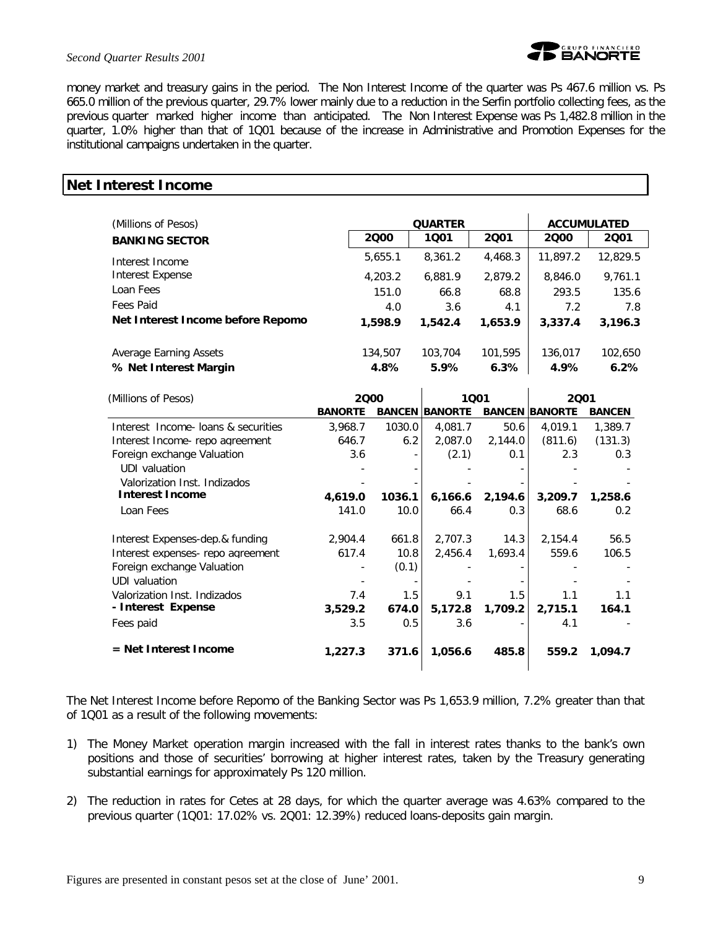

#### *Second Quarter Results 2001*

money market and treasury gains in the period. The Non Interest Income of the quarter was Ps 467.6 million vs. Ps 665.0 million of the previous quarter, 29.7% lower mainly due to a reduction in the Serfin portfolio collecting fees, as the previous quarter marked higher income than anticipated. The Non Interest Expense was Ps 1,482.8 million in the quarter, 1.0% higher than that of 1Q01 because of the increase in Administrative and Promotion Expenses for the institutional campaigns undertaken in the quarter.

### **Net Interest Income**

| (Millions of Pesos)                             |                 | <b>ACCUMULATED</b> |                 |                 |                 |
|-------------------------------------------------|-----------------|--------------------|-----------------|-----------------|-----------------|
| <b>BANKING SECTOR</b>                           | 2000            | 1001               | 2001            | 2000            | 2001            |
| Interest Income                                 | 5,655.1         | 8,361.2            | 4,468.3         | 11,897.2        | 12,829.5        |
| Interest Expense                                | 4,203.2         | 6,881.9            | 2,879.2         | 8,846.0         | 9,761.1         |
| Loan Fees                                       | 151.0           | 66.8               | 68.8            | 293.5           | 135.6           |
| Fees Paid                                       | 4.0             | 3.6                | 4.1             | 7.2             | 7.8             |
| Net Interest Income before Repomo               | 1,598.9         | 1,542.4            | 1,653.9         | 3,337.4         | 3,196.3         |
| Average Earning Assets<br>% Net Interest Margin | 134,507<br>4.8% | 103,704<br>5.9%    | 101,595<br>6.3% | 136,017<br>4.9% | 102,650<br>6.2% |

| (Millions of Pesos)                 | 2000           |        |                       | 1001    |                       |               |
|-------------------------------------|----------------|--------|-----------------------|---------|-----------------------|---------------|
|                                     | <b>BANORTE</b> |        | <b>BANCEN BANORTE</b> |         | <b>BANCEN BANORTE</b> | <b>BANCEN</b> |
| Interest Income- loans & securities | 3,968.7        | 1030.0 | 4,081.7               | 50.6    | 4,019.1               | 1,389.7       |
| Interest Income- repo agreement     | 646.7          | 6.2    | 2,087.0               | 2,144.0 | (811.6)               | (131.3)       |
| Foreign exchange Valuation          | 3.6            |        | (2.1)                 | 0.1     | 2.3                   | 0.3           |
| UDI valuation                       |                |        |                       |         |                       |               |
| Valorization Inst. Indizados        |                |        |                       |         |                       |               |
| <b>Interest Income</b>              | 4,619.0        | 1036.1 | 6,166.6               | 2,194.6 | 3,209.7               | 1,258.6       |
| Loan Fees                           | 141.0          | 10.0   | 66.4                  | 0.3     | 68.6                  | 0.2           |
| Interest Expenses-dep.& funding     | 2,904.4        | 661.8  | 2,707.3               | 14.3    | 2,154.4               | 56.5          |
| Interest expenses- repo agreement   | 617.4          | 10.8   | 2,456.4               | 1,693.4 | 559.6                 | 106.5         |
| Foreign exchange Valuation          |                | (0.1)  |                       |         |                       |               |
| UDI valuation                       |                |        |                       |         |                       |               |
| Valorization Inst. Indizados        | 7.4            | 1.5    | 9.1                   | 1.5     | 1.1                   | 1.1           |
| - Interest Expense                  | 3,529.2        | 674.0  | 5,172.8               | 1,709.2 | 2,715.1               | 164.1         |
| Fees paid                           | 3.5            | 0.5    | 3.6                   |         | 4.1                   |               |
| = Net Interest Income               | 1,227.3        | 371.6  | 1,056.6               | 485.8   | 559.2                 | 1,094.7       |

The Net Interest Income before Repomo of the Banking Sector was Ps 1,653.9 million, 7.2% greater than that of 1Q01 as a result of the following movements:

- 1) The Money Market operation margin increased with the fall in interest rates thanks to the bank's own positions and those of securities' borrowing at higher interest rates, taken by the Treasury generating substantial earnings for approximately Ps 120 million.
- 2) The reduction in rates for Cetes at 28 days, for which the quarter average was 4.63% compared to the previous quarter (1Q01: 17.02% vs. 2Q01: 12.39%) reduced loans-deposits gain margin.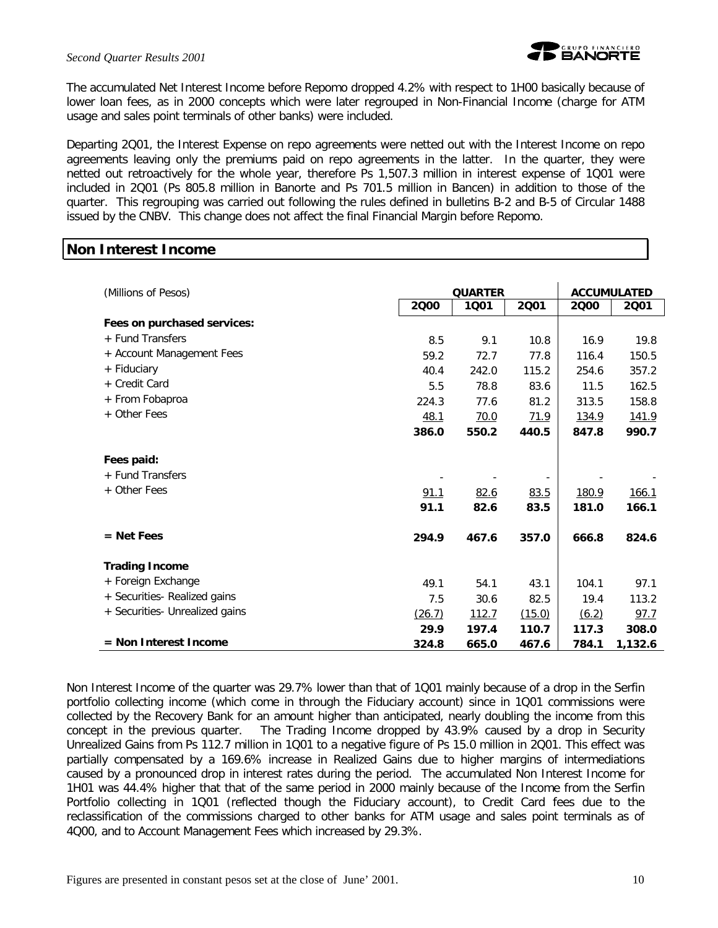

The accumulated Net Interest Income before Repomo dropped 4.2% with respect to 1H00 basically because of lower loan fees, as in 2000 concepts which were later regrouped in Non-Financial Income (charge for ATM usage and sales point terminals of other banks) were included.

Departing 2Q01, the Interest Expense on repo agreements were netted out with the Interest Income on repo agreements leaving only the premiums paid on repo agreements in the latter. In the quarter, they were netted out retroactively for the whole year, therefore Ps 1,507.3 million in interest expense of 1Q01 were included in 2Q01 (Ps 805.8 million in Banorte and Ps 701.5 million in Bancen) in addition to those of the quarter. This regrouping was carried out following the rules defined in bulletins B-2 and B-5 of Circular 1488 issued by the CNBV. This change does not affect the final Financial Margin before Repomo.

# **Non Interest Income**

| (Millions of Pesos)            |        | <b>QUARTER</b> |        | <b>ACCUMULATED</b> |         |  |  |
|--------------------------------|--------|----------------|--------|--------------------|---------|--|--|
|                                | 2000   | 1001           | 2001   | 2000               | 2001    |  |  |
| Fees on purchased services:    |        |                |        |                    |         |  |  |
| + Fund Transfers               | 8.5    | 9.1            | 10.8   | 16.9               | 19.8    |  |  |
| + Account Management Fees      | 59.2   | 72.7           | 77.8   | 116.4              | 150.5   |  |  |
| + Fiduciary                    | 40.4   | 242.0          | 115.2  | 254.6              | 357.2   |  |  |
| + Credit Card                  | 5.5    | 78.8           | 83.6   | 11.5               | 162.5   |  |  |
| + From Fobaproa                | 224.3  | 77.6           | 81.2   | 313.5              | 158.8   |  |  |
| + Other Fees                   | 48.1   | 70.0           | 71.9   | 134.9              | 141.9   |  |  |
|                                | 386.0  | 550.2          | 440.5  | 847.8              | 990.7   |  |  |
| Fees paid:                     |        |                |        |                    |         |  |  |
| + Fund Transfers               |        |                |        |                    |         |  |  |
| + Other Fees                   | 91.1   | 82.6           | 83.5   | 180.9              | 166.1   |  |  |
|                                | 91.1   | 82.6           | 83.5   | 181.0              | 166.1   |  |  |
| $=$ Net Fees                   | 294.9  | 467.6          | 357.0  | 666.8              | 824.6   |  |  |
| <b>Trading Income</b>          |        |                |        |                    |         |  |  |
| + Foreign Exchange             | 49.1   | 54.1           | 43.1   | 104.1              | 97.1    |  |  |
| + Securities- Realized gains   | 7.5    | 30.6           | 82.5   | 19.4               | 113.2   |  |  |
| + Securities- Unrealized gains | (26.7) | 112.7          | (15.0) | (6.2)              | 97.7    |  |  |
|                                | 29.9   | 197.4          | 110.7  | 117.3              | 308.0   |  |  |
| $=$ Non Interest Income        | 324.8  | 665.0          | 467.6  | 784.1              | 1,132.6 |  |  |

Non Interest Income of the quarter was 29.7% lower than that of 1Q01 mainly because of a drop in the Serfin portfolio collecting income (which come in through the Fiduciary account) since in 1Q01 commissions were collected by the Recovery Bank for an amount higher than anticipated, nearly doubling the income from this concept in the previous quarter. The Trading Income dropped by 43.9% caused by a drop in Security Unrealized Gains from Ps 112.7 million in 1Q01 to a negative figure of Ps 15.0 million in 2Q01. This effect was partially compensated by a 169.6% increase in Realized Gains due to higher margins of intermediations caused by a pronounced drop in interest rates during the period. The accumulated Non Interest Income for 1H01 was 44.4% higher that that of the same period in 2000 mainly because of the Income from the Serfin Portfolio collecting in 1Q01 (reflected though the Fiduciary account), to Credit Card fees due to the reclassification of the commissions charged to other banks for ATM usage and sales point terminals as of 4Q00, and to Account Management Fees which increased by 29.3%.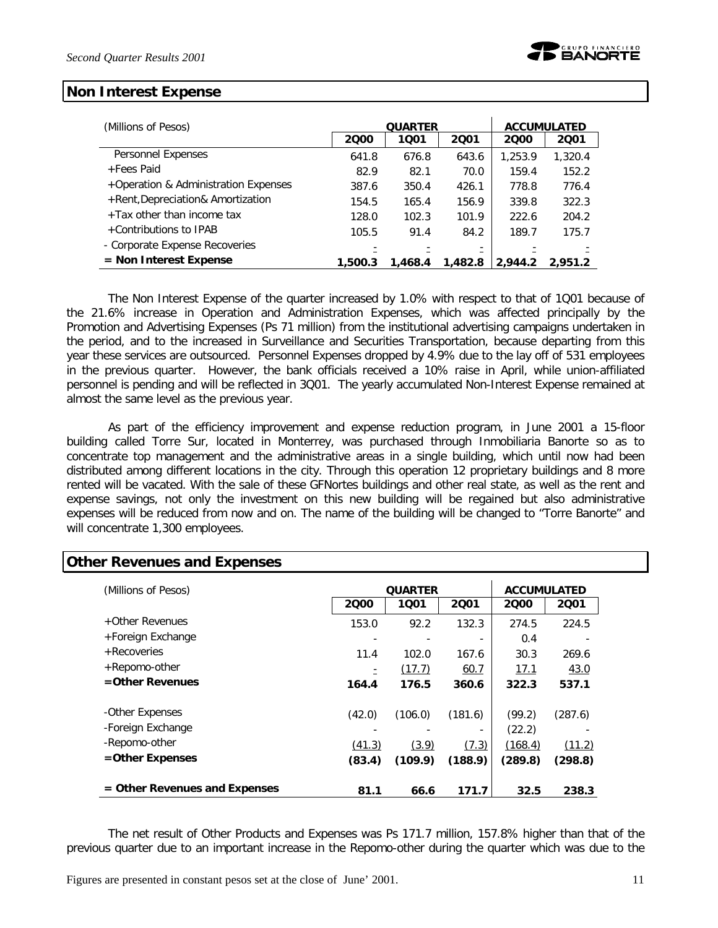### **Non Interest Expense**

| (Millions of Pesos)                  |         | <b>QUARTER</b> | <b>ACCUMULATED</b> |         |         |
|--------------------------------------|---------|----------------|--------------------|---------|---------|
|                                      | 2000    | 1001           | 2001               | 2000    | 2001    |
| Personnel Expenses                   | 641.8   | 676.8          | 643.6              | 1,253.9 | 1,320.4 |
| +Fees Paid                           | 82.9    | 82.1           | 70.0               | 159.4   | 152.2   |
| +Operation & Administration Expenses | 387.6   | 350.4          | 426.1              | 778.8   | 776.4   |
| +Rent, Depreciation& Amortization    | 154.5   | 165.4          | 156.9              | 339.8   | 322.3   |
| +Tax other than income tax           | 128.0   | 102.3          | 101.9              | 222.6   | 204.2   |
| +Contributions to IPAB               | 105.5   | 91.4           | 84.2               | 189.7   | 175.7   |
| - Corporate Expense Recoveries       |         |                |                    |         |         |
| $=$ Non Interest Expense             | 1,500.3 | 1,468.4        | 1,482.8            | 2,944.2 | 2.951.2 |

The Non Interest Expense of the quarter increased by 1.0% with respect to that of 1Q01 because of the 21.6% increase in Operation and Administration Expenses, which was affected principally by the Promotion and Advertising Expenses (Ps 71 million) from the institutional advertising campaigns undertaken in the period, and to the increased in Surveillance and Securities Transportation, because departing from this year these services are outsourced. Personnel Expenses dropped by 4.9% due to the lay off of 531 employees in the previous quarter. However, the bank officials received a 10% raise in April, while union-affiliated personnel is pending and will be reflected in 3Q01. The yearly accumulated Non-Interest Expense remained at almost the same level as the previous year.

As part of the efficiency improvement and expense reduction program, in June 2001 a 15-floor building called Torre Sur, located in Monterrey, was purchased through Inmobiliaria Banorte so as to concentrate top management and the administrative areas in a single building, which until now had been distributed among different locations in the city. Through this operation 12 proprietary buildings and 8 more rented will be vacated. With the sale of these GFNortes buildings and other real state, as well as the rent and expense savings, not only the investment on this new building will be regained but also administrative expenses will be reduced from now and on. The name of the building will be changed to "Torre Banorte" and will concentrate 1,300 employees.

| (Millions of Pesos)           | <b>QUARTER</b> | <b>ACCUMULATED</b> |         |         |         |
|-------------------------------|----------------|--------------------|---------|---------|---------|
|                               | 2000           | 1001               | 2001    | 2000    | 2001    |
| +Other Revenues               | 153.0          | 92.2               | 132.3   | 274.5   | 224.5   |
| +Foreign Exchange             |                |                    |         | 0.4     |         |
| + Recoveries                  | 11.4           | 102.0              | 167.6   | 30.3    | 269.6   |
| +Repomo-other                 |                | (17.7)             | 60.7    | 17.1    | 43.0    |
| $=$ Other Revenues            | 164.4          | 176.5              | 360.6   | 322.3   | 537.1   |
| -Other Expenses               | (42.0)         | (106.0)            | (181.6) | (99.2)  | (287.6) |
| -Foreign Exchange             |                |                    | ٠       | (22.2)  | ٠       |
| -Repomo-other                 | (41.3)         | (3.9)              | (7.3)   | (168.4) | (11.2)  |
| =Other Expenses               | (83.4)         | (109.9)            | (188.9) | (289.8) | (298.8) |
| = Other Revenues and Expenses | 81.1           | 66.6               | 171.7   | 32.5    | 238.3   |

### **Other Revenues and Expenses**

The net result of Other Products and Expenses was Ps 171.7 million, 157.8% higher than that of the previous quarter due to an important increase in the Repomo-other during the quarter which was due to the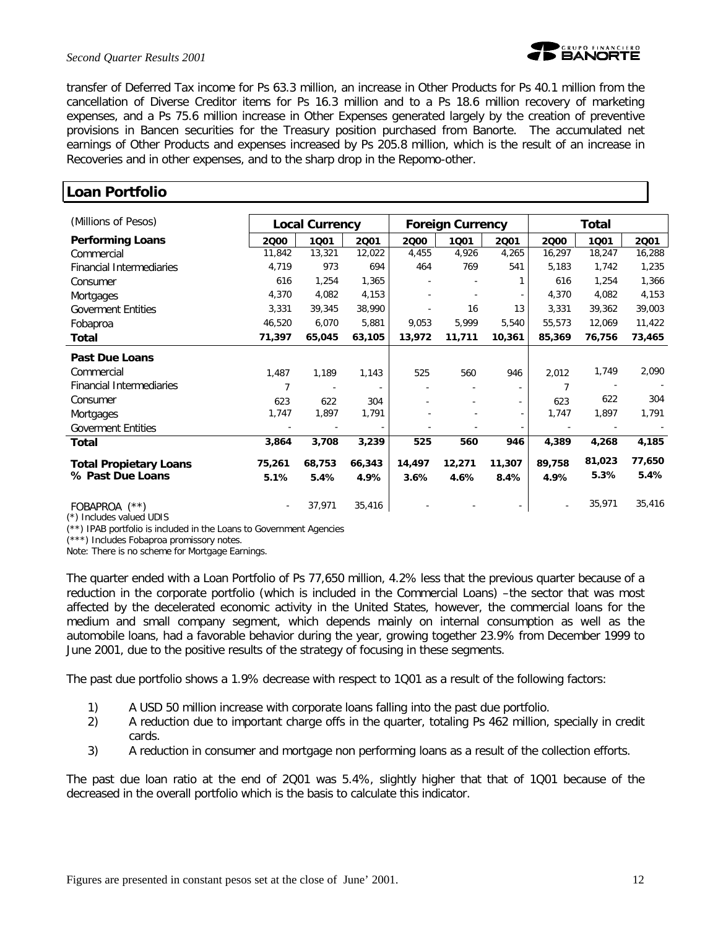#### *Second Quarter Results 2001*



transfer of Deferred Tax income for Ps 63.3 million, an increase in Other Products for Ps 40.1 million from the cancellation of Diverse Creditor items for Ps 16.3 million and to a Ps 18.6 million recovery of marketing expenses, and a Ps 75.6 million increase in Other Expenses generated largely by the creation of preventive provisions in Bancen securities for the Treasury position purchased from Banorte. The accumulated net earnings of Other Products and expenses increased by Ps 205.8 million, which is the result of an increase in Recoveries and in other expenses, and to the sharp drop in the Repomo-other.

| <b>Loan Portfolio</b>                              |                |                          |        |        |                         |                          |        |              |        |  |
|----------------------------------------------------|----------------|--------------------------|--------|--------|-------------------------|--------------------------|--------|--------------|--------|--|
| (Millions of Pesos)                                |                | <b>Local Currency</b>    |        |        | <b>Foreign Currency</b> |                          |        | <b>Total</b> |        |  |
| <b>Performing Loans</b>                            | 2000           | 1001                     | 2001   | 2000   | 1001                    | 2001                     | 2000   | 1001         | 2001   |  |
| Commercial                                         | 11,842         | 13,321                   | 12,022 | 4,455  | 4,926                   | 4,265                    | 16,297 | 18,247       | 16,288 |  |
| <b>Financial Intermediaries</b>                    | 4,719          | 973                      | 694    | 464    | 769                     | 541                      | 5,183  | 1,742        | 1,235  |  |
| Consumer                                           | 616            | 1,254                    | 1,365  |        |                         | 1                        | 616    | 1,254        | 1,366  |  |
| Mortgages                                          | 4,370          | 4,082                    | 4,153  |        |                         |                          | 4,370  | 4,082        | 4,153  |  |
| <b>Goverment Entities</b>                          | 3,331          | 39,345                   | 38,990 |        | 16                      | 13                       | 3,331  | 39,362       | 39,003 |  |
| Fobaproa                                           | 46,520         | 6,070                    | 5,881  | 9,053  | 5,999                   | 5,540                    | 55,573 | 12,069       | 11,422 |  |
| <b>Total</b>                                       | 71,397         | 65,045                   | 63,105 | 13,972 | 11,711                  | 10,361                   | 85,369 | 76,756       | 73,465 |  |
| <b>Past Due Loans</b>                              |                |                          |        |        |                         |                          |        |              |        |  |
| Commercial                                         | 1,487          | 1,189                    | 1,143  | 525    | 560                     | 946                      | 2,012  | 1,749        | 2,090  |  |
| Financial Intermediaries                           | $\overline{7}$ | $\overline{\phantom{a}}$ |        |        |                         |                          | 7      |              |        |  |
| Consumer                                           | 623            | 622                      | 304    |        |                         | $\overline{\phantom{a}}$ | 623    | 622          | 304    |  |
| Mortgages                                          | 1,747          | 1,897                    | 1,791  |        |                         |                          | 1,747  | 1,897        | 1,791  |  |
| <b>Goverment Entities</b>                          |                |                          |        |        |                         |                          |        |              |        |  |
| Total                                              | 3,864          | 3,708                    | 3,239  | 525    | 560                     | 946                      | 4,389  | 4,268        | 4,185  |  |
| <b>Total Propietary Loans</b>                      | 75,261         | 68,753                   | 66,343 | 14,497 | 12,271                  | 11,307                   | 89,758 | 81,023       | 77,650 |  |
| % Past Due Loans                                   | 5.1%           | 5.4%                     | 4.9%   | 3.6%   | 4.6%                    | 8.4%                     | 4.9%   | 5.3%         | 5.4%   |  |
| FOBAPROA (**)<br>$f(x)$ in all also contrast times |                | 37,971                   | 35,416 |        |                         | $\sim$                   |        | 35,971       | 35,416 |  |

(\*) Includes valued UDIS

 $(**)$  IPAB portfolio is included in the Loans to Government Agencies

(\*\*\*) Includes Fobaproa promissory notes.

Note: There is no scheme for Mortgage Earnings.

The quarter ended with a Loan Portfolio of Ps 77,650 million, 4.2% less that the previous quarter because of a reduction in the corporate portfolio (which is included in the Commercial Loans) –the sector that was most affected by the decelerated economic activity in the United States, however, the commercial loans for the medium and small company segment, which depends mainly on internal consumption as well as the automobile loans, had a favorable behavior during the year, growing together 23.9% from December 1999 to June 2001, due to the positive results of the strategy of focusing in these segments.

The past due portfolio shows a 1.9% decrease with respect to 1Q01 as a result of the following factors:

- 1) A USD 50 million increase with corporate loans falling into the past due portfolio.
- 2) A reduction due to important charge offs in the quarter, totaling Ps 462 million, specially in credit cards.
- 3) A reduction in consumer and mortgage non performing loans as a result of the collection efforts.

The past due loan ratio at the end of 2Q01 was 5.4%, slightly higher that that of 1Q01 because of the decreased in the overall portfolio which is the basis to calculate this indicator.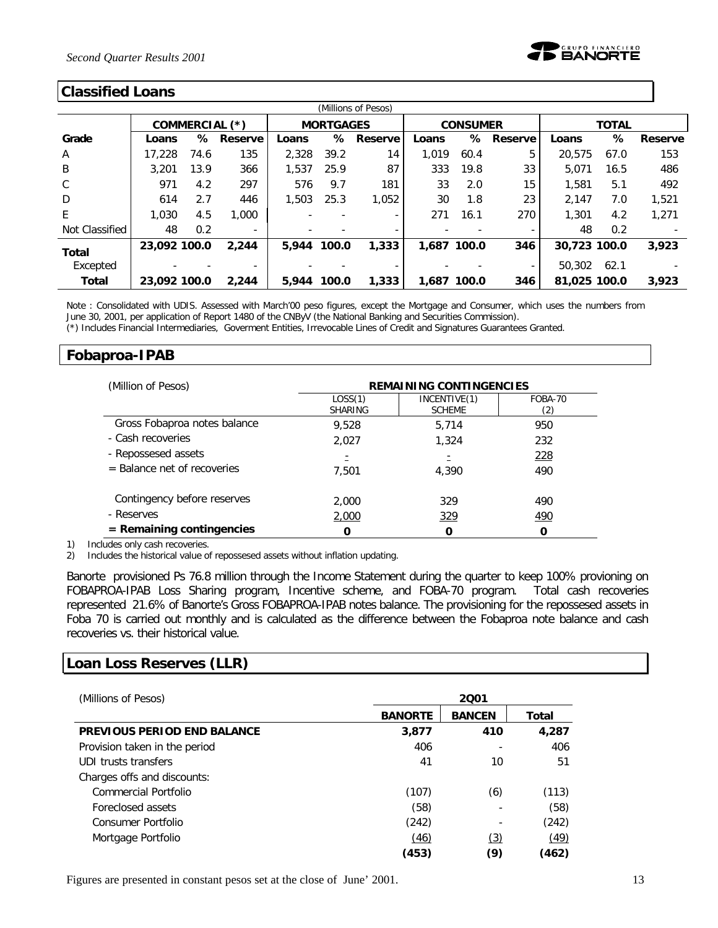

#### **Classified Loans**

| (Millions of Pesos) |              |      |                          |       |                  |           |             |                 |         |              |              |         |
|---------------------|--------------|------|--------------------------|-------|------------------|-----------|-------------|-----------------|---------|--------------|--------------|---------|
|                     |              |      | COMMERCIAL (*)           |       | <b>MORTGAGES</b> |           |             | <b>CONSUMER</b> |         |              | <b>TOTAL</b> |         |
| Grade               | Loans        | ℅    | Reserve                  | Loans |                  | % Reserve | Loans       | ℅               | Reserve | Loans        | ℅            | Reserve |
| $\mathsf{A}$        | 17,228       | 74.6 | 135                      | 2.328 | 39.2             | 14        | 1.019       | 60.4            | 5       | 20.575       | 67.0         | 153     |
| B                   | 3,201        | 13.9 | 366                      | 1.537 | 25.9             | 87        | 333         | 19.8            | 33      | 5.071        | 16.5         | 486     |
| C                   | 971          | 4.2  | 297                      | 576   | 9.7              | 181       | 33          | 2.0             | 15      | 1,581        | 5.1          | 492     |
| D                   | 614          | 2.7  | 446                      | 1,503 | 25.3             | 1.052     | 30          | 1.8             | 23      | 2.147        | 7.0          | 1,521   |
| E                   | 1,030        | 4.5  | 1,000                    |       |                  | ۰.        | 271         | 16.1            | 270     | 1,301        | 4.2          | 1,271   |
| Not Classified      | 48           | 0.2  | $\overline{\phantom{a}}$ |       |                  |           |             |                 | ۰       | 48           | 0.2          |         |
| <b>Total</b>        | 23,092 100.0 |      | 2.244                    | 5,944 | 100.0            | 1,333     | 1,687 100.0 |                 | 346     | 30,723 100.0 |              | 3,923   |
| Excepted            |              |      |                          |       |                  |           |             |                 | ٠       | 50,302       | 62.1         |         |
| <b>Total</b>        | 23.092 100.0 |      | 2.244                    | 5,944 | 100.0            | 1,333     | 1.687 100.0 |                 | 346     | 81.025 100.0 |              | 3.923   |

Note : Consolidated with UDIS. Assessed with March'00 peso figures, except the Mortgage and Consumer, which uses the numbers from June 30, 2001, per application of Report 1480 of the CNByV (the National Banking and Securities Commission).

(\*) Includes Financial Intermediaries, Goverment Entities, Irrevocable Lines of Credit and Signatures Guarantees Granted.

### **Fobaproa-IPAB**

| (Million of Pesos)            | <b>REMAINING CONTINGENCIES</b> |                               |                |  |  |  |  |
|-------------------------------|--------------------------------|-------------------------------|----------------|--|--|--|--|
|                               | LOSS(1)<br><b>SHARING</b>      | INCENTIVE(1)<br><b>SCHEME</b> | FOBA-70<br>(2) |  |  |  |  |
| Gross Fobaproa notes balance  | 9.528                          | 5,714                         | 950            |  |  |  |  |
| - Cash recoveries             | 2,027                          | 1,324                         | 232            |  |  |  |  |
| - Repossesed assets           | Ξ                              |                               | 228            |  |  |  |  |
| $=$ Balance net of recoveries | 7,501                          | 4.390                         | 490            |  |  |  |  |
| Contingency before reserves   | 2,000                          | 329                           | 490            |  |  |  |  |
| - Reserves                    | 2,000                          | 329                           | 490            |  |  |  |  |
| $=$ Remaining contingencies   | O                              |                               |                |  |  |  |  |

1) Includes only cash recoveries.

2) Includes the historical value of repossesed assets without inflation updating.

Banorte provisioned Ps 76.8 million through the Income Statement during the quarter to keep 100% provioning on FOBAPROA-IPAB Loss Sharing program, Incentive scheme, and FOBA-70 program. Total cash recoveries represented 21.6% of Banorte's Gross FOBAPROA-IPAB notes balance. The provisioning for the repossesed assets in Foba 70 is carried out monthly and is calculated as the difference between the Fobaproa note balance and cash recoveries vs. their historical value.

#### **Loan Loss Reserves (LLR)**

| (Millions of Pesos)                | 2001           |               |       |  |
|------------------------------------|----------------|---------------|-------|--|
|                                    | <b>BANORTE</b> | <b>BANCEN</b> | Total |  |
| <b>PREVIOUS PERIOD END BALANCE</b> | 3,877          | 410           | 4,287 |  |
| Provision taken in the period      | 406            |               | 406   |  |
| UDI trusts transfers               | 41             | 10            | 51    |  |
| Charges offs and discounts:        |                |               |       |  |
| Commercial Portfolio               | (107)          | (6)           | (113) |  |
| Foreclosed assets                  | (58)           |               | (58)  |  |
| Consumer Portfolio                 | (242)          |               | (242) |  |
| Mortgage Portfolio                 | (46)           | (3)           | (49)  |  |
|                                    | (453)          | (9)           | (462) |  |

Figures are presented in constant pesos set at the close of June' 2001. 13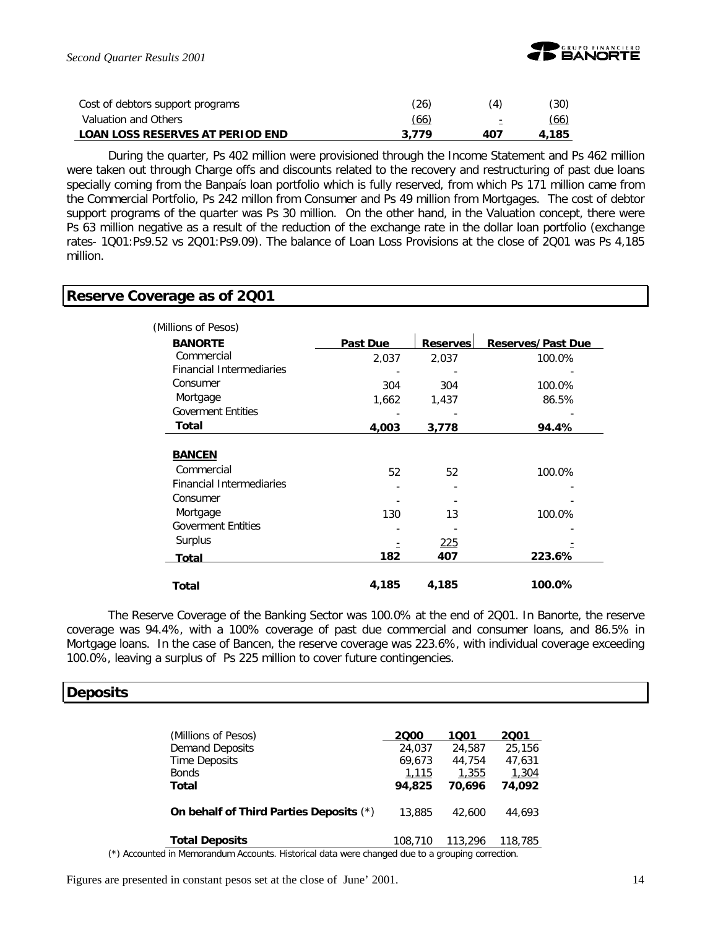

| Cost of debtors support programs        | (26)  | (4) | (30)  |
|-----------------------------------------|-------|-----|-------|
| Valuation and Others                    | (66)  | ÷   | (66)  |
| <b>LOAN LOSS RESERVES AT PERIOD END</b> | 3.779 | 407 | 4,185 |

During the quarter, Ps 402 million were provisioned through the Income Statement and Ps 462 million were taken out through Charge offs and discounts related to the recovery and restructuring of past due loans specially coming from the Banpaís loan portfolio which is fully reserved, from which Ps 171 million came from the Commercial Portfolio, Ps 242 millon from Consumer and Ps 49 million from Mortgages. The cost of debtor support programs of the quarter was Ps 30 million. On the other hand, in the Valuation concept, there were Ps 63 million negative as a result of the reduction of the exchange rate in the dollar loan portfolio (exchange rates- 1Q01:Ps9.52 vs 2Q01:Ps9.09). The balance of Loan Loss Provisions at the close of 2Q01 was Ps 4,185 million.

#### **Reserve Coverage as of 2Q01**

| (Millions of Pesos)                           |          |                 |                          |
|-----------------------------------------------|----------|-----------------|--------------------------|
| <b>BANORTE</b>                                | Past Due | <b>Reserves</b> | <b>Reserves/Past Due</b> |
| Commercial                                    | 2.037    | 2,037           | 100.0%                   |
| <b>Financial Intermediaries</b>               |          |                 |                          |
| Consumer                                      | 304      | 304             | 100.0%                   |
| Mortgage                                      | 1,662    | 1,437           | 86.5%                    |
| <b>Goverment Entities</b>                     |          |                 |                          |
| Total                                         | 4,003    | 3,778           | 94.4%                    |
| <b>BANCEN</b>                                 |          |                 |                          |
|                                               |          |                 |                          |
| Commercial<br><b>Financial Intermediaries</b> | 52       | 52              | 100.0%                   |
| Consumer                                      |          |                 |                          |
| Mortgage                                      | 130      | 13              | 100.0%                   |
| <b>Goverment Entities</b>                     |          |                 |                          |
| Surplus                                       |          | 225             |                          |
| Total                                         | 182      | 407             | 223.6%                   |
| Total                                         | 4,185    | 4,185           | 100.0%                   |

The Reserve Coverage of the Banking Sector was 100.0% at the end of 2Q01. In Banorte, the reserve coverage was 94.4%, with a 100% coverage of past due commercial and consumer loans, and 86.5% in Mortgage loans. In the case of Bancen, the reserve coverage was 223.6%, with individual coverage exceeding 100.0%, leaving a surplus of Ps 225 million to cover future contingencies.

#### **Deposits**

| (Millions of Pesos)                     | 2000    | 1001    | 2001    |
|-----------------------------------------|---------|---------|---------|
| <b>Demand Deposits</b>                  | 24,037  | 24,587  | 25,156  |
| Time Deposits                           | 69.673  | 44.754  | 47,631  |
| <b>Bonds</b>                            | 1,115   | 1,355   | 1,304   |
| Total                                   | 94.825  | 70.696  | 74.092  |
| On behalf of Third Parties Deposits (*) | 13,885  | 42,600  | 44,693  |
| <b>Total Deposits</b>                   | 108,710 | 113,296 | 118,785 |

(\*) Accounted in Memorandum Accounts. Historical data were changed due to a grouping correction.

Figures are presented in constant pesos set at the close of June' 2001. 14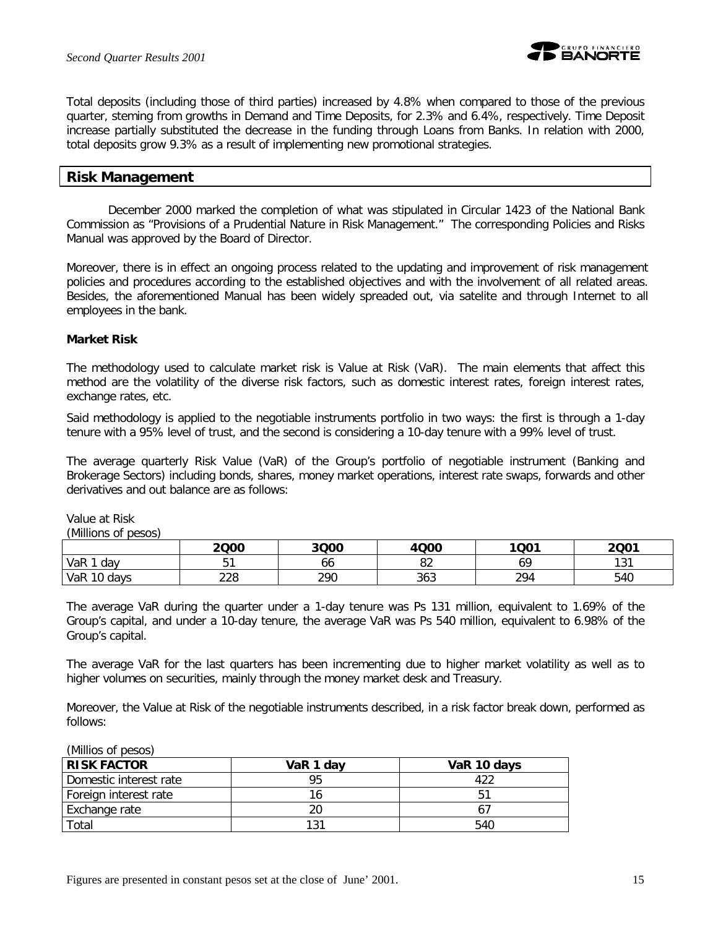

Total deposits (including those of third parties) increased by 4.8% when compared to those of the previous quarter, steming from growths in Demand and Time Deposits, for 2.3% and 6.4%, respectively. Time Deposit increase partially substituted the decrease in the funding through Loans from Banks. In relation with 2000, total deposits grow 9.3% as a result of implementing new promotional strategies.

#### **Risk Management**

December 2000 marked the completion of what was stipulated in Circular 1423 of the National Bank Commission as "Provisions of a Prudential Nature in Risk Management." The corresponding Policies and Risks Manual was approved by the Board of Director.

Moreover, there is in effect an ongoing process related to the updating and improvement of risk management policies and procedures according to the established objectives and with the involvement of all related areas. Besides, the aforementioned Manual has been widely spreaded out, via satelite and through Internet to all employees in the bank.

#### **Market Risk**

The methodology used to calculate market risk is Value at Risk (VaR). The main elements that affect this method are the volatility of the diverse risk factors, such as domestic interest rates, foreign interest rates, exchange rates, etc.

Said methodology is applied to the negotiable instruments portfolio in two ways: the first is through a 1-day tenure with a 95% level of trust, and the second is considering a 10-day tenure with a 99% level of trust.

The average quarterly Risk Value (VaR) of the Group's portfolio of negotiable instrument (Banking and Brokerage Sectors) including bonds, shares, money market operations, interest rate swaps, forwards and other derivatives and out balance are as follows:

Value at Risk

*(Millions of pesos)*

|              | 2000       | 3Q00 | 4Q00     | 1Q01 | 2001       |
|--------------|------------|------|----------|------|------------|
| VaR 1<br>dav |            | 66   | o۹<br>oΖ | 69   | 121<br>. ب |
| VaR 10 days  | າາດ<br>220 | 290  | 363      | 294  | 540        |

The average VaR during the quarter under a 1-day tenure was Ps 131 million, equivalent to 1.69% of the Group's capital, and under a 10-day tenure, the average VaR was Ps 540 million, equivalent to 6.98% of the Group's capital.

The average VaR for the last quarters has been incrementing due to higher market volatility as well as to higher volumes on securities, mainly through the money market desk and Treasury.

Moreover, the Value at Risk of the negotiable instruments described, in a risk factor break down, performed as follows:

#### *(Millios of pesos)*

| <b>RISK FACTOR</b>     | VaR 1 dav | VaR 10 days |
|------------------------|-----------|-------------|
| Domestic interest rate |           |             |
| Foreign interest rate  |           | Б1          |
| Exchange rate          |           | h.          |
| Total                  |           | 540         |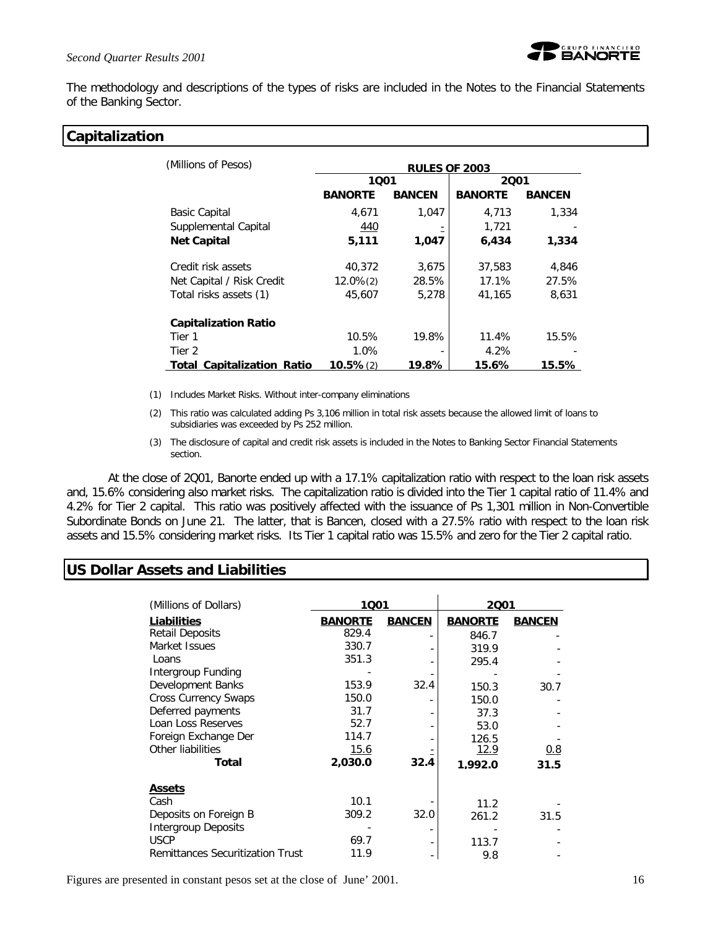

The methodology and descriptions of the types of risks are included in the Notes to the Financial Statements of the Banking Sector.

## **Capitalization**

| (Millions of Pesos)               | <b>RULES OF 2003</b> |               |                |               |  |
|-----------------------------------|----------------------|---------------|----------------|---------------|--|
|                                   | 1001                 |               | 2001           |               |  |
|                                   | <b>BANORTE</b>       | <b>BANCEN</b> | <b>BANORTE</b> | <b>BANCEN</b> |  |
| Basic Capital                     | 4,671                | 1.047         | 4,713          | 1,334         |  |
| Supplemental Capital              | 440                  |               | 1,721          |               |  |
| <b>Net Capital</b>                | 5,111                | 1,047         | 6,434          | 1,334         |  |
| Credit risk assets                | 40.372               | 3,675         | 37,583         | 4,846         |  |
| Net Capital / Risk Credit         | $12.0\%(2)$          | 28.5%         | 17.1%          | 27.5%         |  |
| Total risks assets (1)            | 45,607               | 5,278         | 41.165         | 8,631         |  |
| <b>Capitalization Ratio</b>       |                      |               |                |               |  |
| Tier 1                            | 10.5%                | 19.8%         | 11.4%          | 15.5%         |  |
| Tier 2                            | 1.0%                 |               | 4.2%           |               |  |
| <b>Total Capitalization Ratio</b> | $10.5\%(2)$          | 19.8%         | 15.6%          | 15.5%         |  |

- (1) Includes Market Risks. Without inter-company eliminations
- (2) This ratio was calculated adding Ps 3,106 million in total risk assets because the allowed limit of loans to subsidiaries was exceeded by Ps 252 million.
- (3) The disclosure of capital and credit risk assets is included in the Notes to Banking Sector Financial Statements section.

At the close of 2Q01, Banorte ended up with a 17.1% capitalization ratio with respect to the loan risk assets and, 15.6% considering also market risks. The capitalization ratio is divided into the Tier 1 capital ratio of 11.4% and 4.2% for Tier 2 capital. This ratio was positively affected with the issuance of Ps 1,301 million in Non-Convertible Subordinate Bonds on June 21. The latter, that is Bancen, closed with a 27.5% ratio with respect to the loan risk assets and 15.5% considering market risks. Its Tier 1 capital ratio was 15.5% and zero for the Tier 2 capital ratio.

# **US Dollar Assets and Liabilities**

| (Millions of Dollars)                   | 1001<br>2001   |               |                |               |  |
|-----------------------------------------|----------------|---------------|----------------|---------------|--|
| Liabilities                             | <b>BANORTE</b> | <b>BANCEN</b> | <b>BANORTE</b> | <b>BANCEN</b> |  |
| <b>Retail Deposits</b>                  | 829.4          |               | 846.7          |               |  |
| Market Issues                           | 330.7          |               | 319.9          |               |  |
| Loans                                   | 351.3          |               | 295.4          |               |  |
| Intergroup Funding                      |                |               |                |               |  |
| Development Banks                       | 153.9          | 32.4          | 150.3          | 30.7          |  |
| <b>Cross Currency Swaps</b>             | 150.0          |               | 150.0          |               |  |
| Deferred payments                       | 31.7           |               | 37.3           |               |  |
| Loan Loss Reserves                      | 52.7           |               | 53.0           |               |  |
| Foreign Exchange Der                    | 114.7          |               | 126.5          |               |  |
| Other liabilities                       | <u>15.6</u>    |               | 12.9           | 0.8           |  |
| Total                                   | 2,030.0        | 32.4          | 1.992.0        | 31.5          |  |
| <b>Assets</b>                           |                |               |                |               |  |
| Cash                                    | 10.1           |               | 11.2           |               |  |
| Deposits on Foreign B                   | 309.2          | 32.0          | 261.2          | 31.5          |  |
| <b>Intergroup Deposits</b>              |                |               |                |               |  |
| <b>USCP</b>                             | 69.7           |               | 113.7          |               |  |
| <b>Remittances Securitization Trust</b> | 11.9           |               | 9.8            |               |  |

Figures are presented in constant pesos set at the close of June' 2001. 16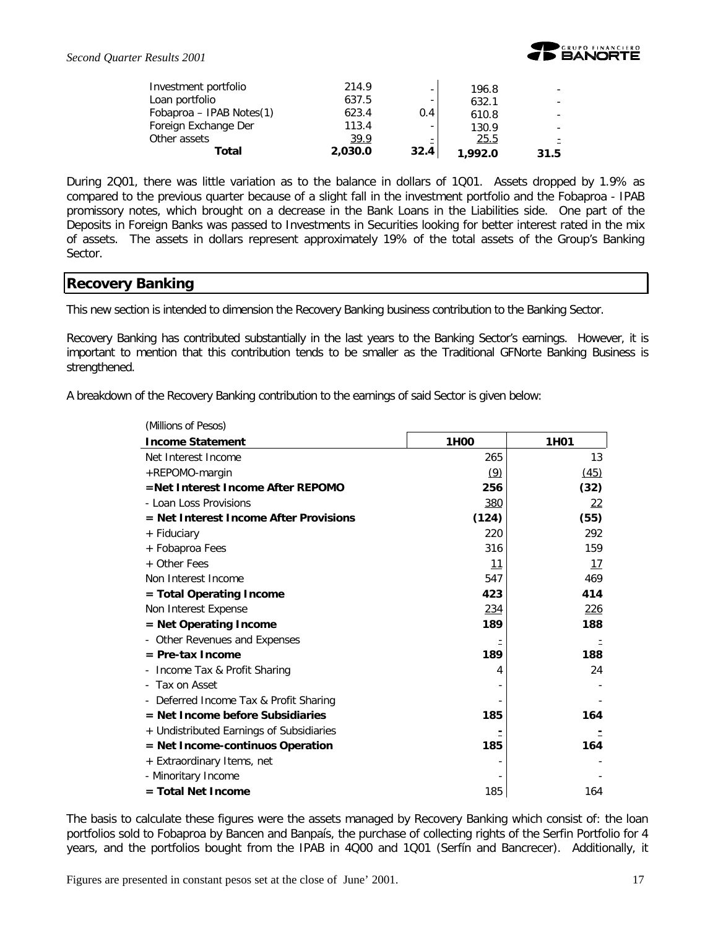

| Investment portfolio     | 214.9   |                          | 196.8   |      |
|--------------------------|---------|--------------------------|---------|------|
| Loan portfolio           | 637.5   | $\overline{\phantom{0}}$ | 632.1   |      |
| Fobaproa - IPAB Notes(1) | 623.4   | 0.4                      | 610.8   |      |
| Foreign Exchange Der     | 113.4   |                          | 130.9   |      |
| Other assets             | 39.9    | Ξ                        | 25.5    |      |
| Total                    | 2,030.0 | 32.4                     | 1.992.0 | 31.5 |

During 2Q01, there was little variation as to the balance in dollars of 1Q01. Assets dropped by 1.9% as compared to the previous quarter because of a slight fall in the investment portfolio and the Fobaproa - IPAB promissory notes, which brought on a decrease in the Bank Loans in the Liabilities side. One part of the Deposits in Foreign Banks was passed to Investments in Securities looking for better interest rated in the mix of assets. The assets in dollars represent approximately 19% of the total assets of the Group's Banking Sector.

### **Recovery Banking**

This new section is intended to dimension the Recovery Banking business contribution to the Banking Sector.

Recovery Banking has contributed substantially in the last years to the Banking Sector's earnings. However, it is important to mention that this contribution tends to be smaller as the Traditional GFNorte Banking Business is strengthened.

A breakdown of the Recovery Banking contribution to the earnings of said Sector is given below:

| (Millions of Pesos)                      |                  |                   |
|------------------------------------------|------------------|-------------------|
| <b>Income Statement</b>                  | 1H <sub>00</sub> | 1H <sub>0</sub> 1 |
| Net Interest Income                      | 265              | 13                |
| +REPOMO-margin                           | (9)              | (45)              |
| =Net Interest Income After REPOMO        | 256              | (32)              |
| - Loan Loss Provisions                   | 380              | 22                |
| $=$ Net Interest Income After Provisions | (124)            | (55)              |
| + Fiduciary                              | 220              | 292               |
| + Fobaproa Fees                          | 316              | 159               |
| + Other Fees                             | <u>11</u>        | <u> 17</u>        |
| Non Interest Income                      | 547              | 469               |
| = Total Operating Income                 | 423              | 414               |
| Non Interest Expense                     | 234              | <u>226</u>        |
| = Net Operating Income                   | 189              | 188               |
| Other Revenues and Expenses              |                  |                   |
| $=$ Pre-tax Income                       | 189              | 188               |
| Income Tax & Profit Sharing              | 4                | 24                |
| Tax on Asset                             |                  |                   |
| Deferred Income Tax & Profit Sharing     |                  |                   |
| = Net Income before Subsidiaries         | 185              | 164               |
| + Undistributed Earnings of Subsidiaries |                  |                   |
| = Net Income-continuos Operation         | 185              | 164               |
| + Extraordinary Items, net               |                  |                   |
| - Minoritary Income                      |                  |                   |
| $=$ Total Net Income                     | 185              | 164               |

The basis to calculate these figures were the assets managed by Recovery Banking which consist of: the loan portfolios sold to Fobaproa by Bancen and Banpaís, the purchase of collecting rights of the Serfin Portfolio for 4 years, and the portfolios bought from the IPAB in 4Q00 and 1Q01 (Serfín and Bancrecer). Additionally, it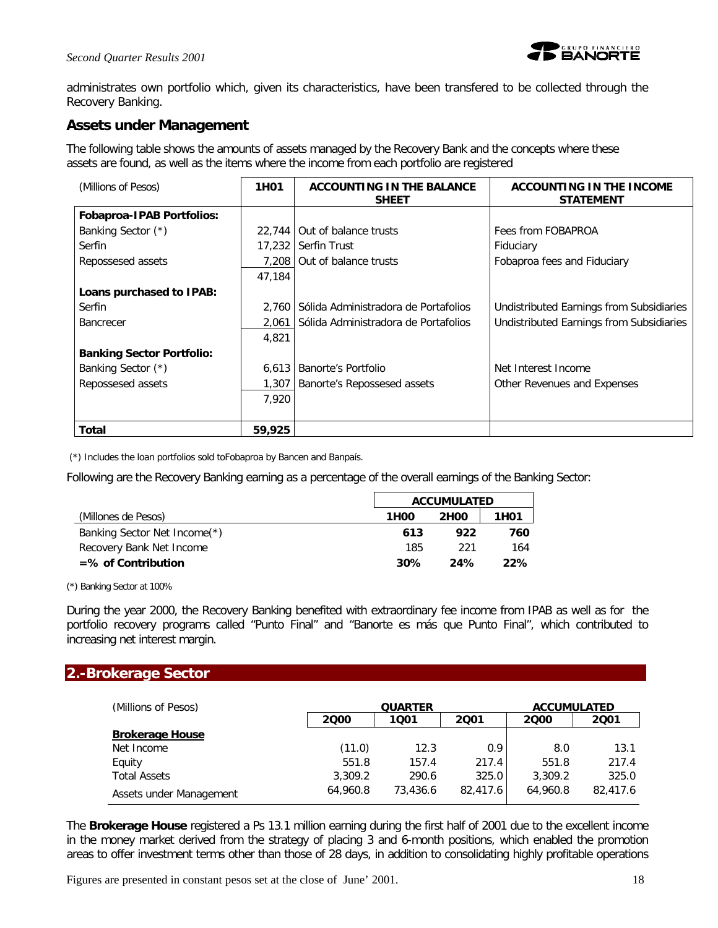

administrates own portfolio which, given its characteristics, have been transfered to be collected through the Recovery Banking.

# **Assets under Management**

The following table shows the amounts of assets managed by the Recovery Bank and the concepts where these assets are found, as well as the items where the income from each portfolio are registered

| (Millions of Pesos)              | 1H <sub>0</sub> 1 | <b>ACCOUNTING IN THE BALANCE</b><br><b>SHEET</b> | ACCOUNTING IN THE INCOME<br><b>STATEMENT</b> |
|----------------------------------|-------------------|--------------------------------------------------|----------------------------------------------|
| <b>Fobaproa-IPAB Portfolios:</b> |                   |                                                  |                                              |
| Banking Sector (*)               | 22,744            | Out of balance trusts                            | Fees from FOBAPROA                           |
| Serfin                           | 17,232            | Serfin Trust                                     | Fiduciary                                    |
| Repossesed assets                | 7.208             | Out of balance trusts                            | Fobaproa fees and Fiduciary                  |
|                                  | 47,184            |                                                  |                                              |
| Loans purchased to IPAB:         |                   |                                                  |                                              |
| Serfin                           | 2.760             | Sólida Administradora de Portafolios             | Undistributed Earnings from Subsidiaries     |
| <b>Bancrecer</b>                 | 2,061             | Sólida Administradora de Portafolios             | Undistributed Earnings from Subsidiaries     |
|                                  | 4,821             |                                                  |                                              |
| <b>Banking Sector Portfolio:</b> |                   |                                                  |                                              |
| Banking Sector (*)               | 6,613             | <b>Banorte's Portfolio</b>                       | Net Interest Income                          |
| Repossesed assets                | 1,307             | Banorte's Repossesed assets                      | Other Revenues and Expenses                  |
|                                  | 7,920             |                                                  |                                              |
|                                  |                   |                                                  |                                              |
| Total                            | 59,925            |                                                  |                                              |

(\*) Includes the loan portfolios sold toFobaproa by Bancen and Banpaís.

Following are the Recovery Banking earning as a percentage of the overall earnings of the Banking Sector:

|                              | <b>ACCUMULATED</b> |                   |                   |  |
|------------------------------|--------------------|-------------------|-------------------|--|
| (Millones de Pesos)          | 1H00               | 2H <sub>0</sub> 0 | 1H <sub>0</sub> 1 |  |
| Banking Sector Net Income(*) | 613                | 922               | 760               |  |
| Recovery Bank Net Income     | 185                | -221              | 164               |  |
| $=$ % of Contribution        | 30%                | 24%               | 22%               |  |

(\*) Banking Sector at 100%

During the year 2000, the Recovery Banking benefited with extraordinary fee income from IPAB as well as for the portfolio recovery programs called "Punto Final" and "Banorte es más que Punto Final", which contributed to increasing net interest margin.

# **2.-Brokerage Sector**

| (Millions of Pesos)     |              | <b>QUARTER</b> |          | <b>ACCUMULATED</b> |          |  |  |
|-------------------------|--------------|----------------|----------|--------------------|----------|--|--|
|                         | 2000<br>1001 |                | 2001     | 2000               | 2001     |  |  |
| <b>Brokerage House</b>  |              |                |          |                    |          |  |  |
| Net Income              | (11.0)       | 12.3           | 0.9      | 8.0                | 13.1     |  |  |
| Equity                  | 551.8        | 157.4          | 217.4    | 551.8              | 217.4    |  |  |
| <b>Total Assets</b>     | 3,309.2      | 290.6          | 325.0    | 3,309.2            | 325.0    |  |  |
| Assets under Management | 64,960.8     | 73,436.6       | 82,417.6 | 64,960.8           | 82,417.6 |  |  |

The *Brokerage House* registered a Ps 13.1 million earning during the first half of 2001 due to the excellent income in the money market derived from the strategy of placing 3 and 6-month positions, which enabled the promotion areas to offer investment terms other than those of 28 days, in addition to consolidating highly profitable operations

Figures are presented in constant pesos set at the close of June' 2001. 18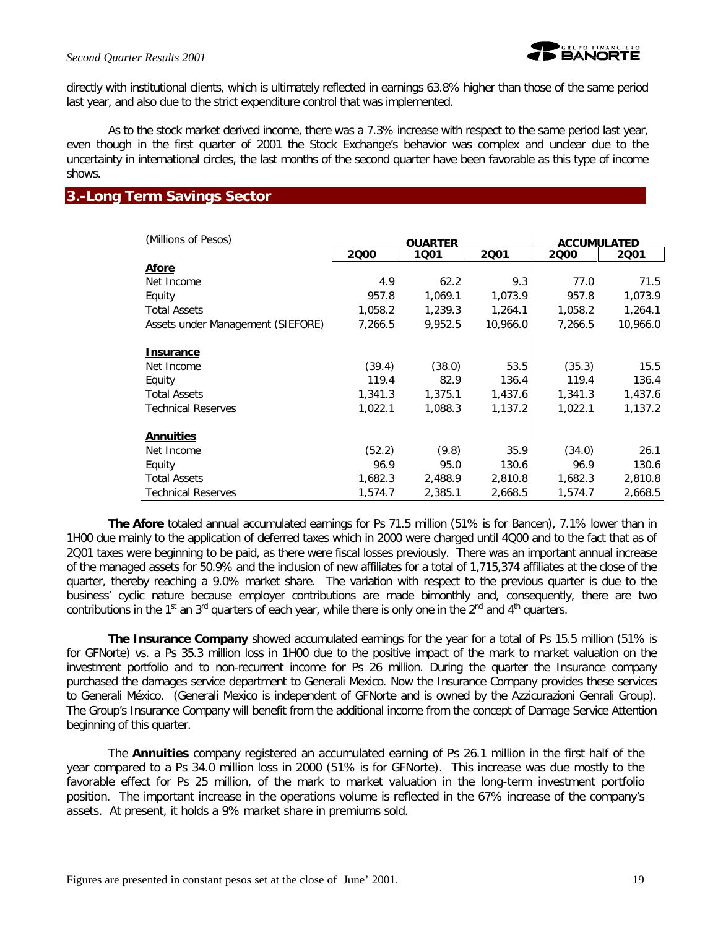

directly with institutional clients, which is ultimately reflected in earnings 63.8% higher than those of the same period last year, and also due to the strict expenditure control that was implemented.

As to the stock market derived income, there was a 7.3% increase with respect to the same period last year, even though in the first quarter of 2001 the Stock Exchange's behavior was complex and unclear due to the uncertainty in international circles, the last months of the second quarter have been favorable as this type of income shows.

### **3.-Long Term Savings Sector**

| (Millions of Pesos)               | <b>OUARTER</b> |         |          | <b>ACCUMULATED</b> |          |  |
|-----------------------------------|----------------|---------|----------|--------------------|----------|--|
|                                   | 2000           | 1001    | 2001     | 2000               | 2001     |  |
| Afore                             |                |         |          |                    |          |  |
| Net Income                        | 4.9            | 62.2    | 9.3      | 77.0               | 71.5     |  |
| Equity                            | 957.8          | 1,069.1 | 1,073.9  | 957.8              | 1,073.9  |  |
| <b>Total Assets</b>               | 1,058.2        | 1,239.3 | 1.264.1  | 1,058.2            | 1,264.1  |  |
| Assets under Management (SIEFORE) | 7,266.5        | 9,952.5 | 10,966.0 | 7,266.5            | 10,966.0 |  |
| <b>Insurance</b>                  |                |         |          |                    |          |  |
| Net Income                        | (39.4)         | (38.0)  | 53.5     | (35.3)             | 15.5     |  |
| Equity                            | 119.4          | 82.9    | 136.4    | 119.4              | 136.4    |  |
| <b>Total Assets</b>               | 1,341.3        | 1,375.1 | 1,437.6  | 1,341.3            | 1,437.6  |  |
| <b>Technical Reserves</b>         | 1,022.1        | 1,088.3 | 1,137.2  | 1,022.1            | 1,137.2  |  |
| <b>Annuities</b>                  |                |         |          |                    |          |  |
| Net Income                        | (52.2)         | (9.8)   | 35.9     | (34.0)             | 26.1     |  |
| Equity                            | 96.9           | 95.0    | 130.6    | 96.9               | 130.6    |  |
| <b>Total Assets</b>               | 1,682.3        | 2,488.9 | 2,810.8  | 1,682.3            | 2,810.8  |  |
| <b>Technical Reserves</b>         | 1,574.7        | 2,385.1 | 2,668.5  | 1,574.7            | 2,668.5  |  |

*The Afore* totaled annual accumulated earnings for Ps 71.5 million (51% is for Bancen), 7.1% lower than in 1H00 due mainly to the application of deferred taxes which in 2000 were charged until 4Q00 and to the fact that as of 2Q01 taxes were beginning to be paid, as there were fiscal losses previously. There was an important annual increase of the managed assets for 50.9% and the inclusion of new affiliates for a total of 1,715,374 affiliates at the close of the quarter, thereby reaching a 9.0% market share. The variation with respect to the previous quarter is due to the business' cyclic nature because employer contributions are made bimonthly and, consequently, there are two contributions in the 1<sup>st</sup> an 3<sup>rd</sup> quarters of each year, while there is only one in the 2<sup>nd</sup> and 4<sup>th</sup> quarters.

*The Insurance Company* showed accumulated earnings for the year for a total of Ps 15.5 million (51% is for GFNorte) vs. a Ps 35.3 million loss in 1H00 due to the positive impact of the mark to market valuation on the investment portfolio and to non-recurrent income for Ps 26 million. During the quarter the Insurance company purchased the damages service department to Generali Mexico. Now the Insurance Company provides these services to Generali México. (Generali Mexico is independent of GFNorte and is owned by the Azzicurazioni Genrali Group). The Group's Insurance Company will benefit from the additional income from the concept of Damage Service Attention beginning of this quarter.

The *Annuities* company registered an accumulated earning of Ps 26.1 million in the first half of the year compared to a Ps 34.0 million loss in 2000 (51% is for GFNorte). This increase was due mostly to the favorable effect for Ps 25 million, of the mark to market valuation in the long-term investment portfolio position. The important increase in the operations volume is reflected in the 67% increase of the company's assets. At present, it holds a 9% market share in premiums sold.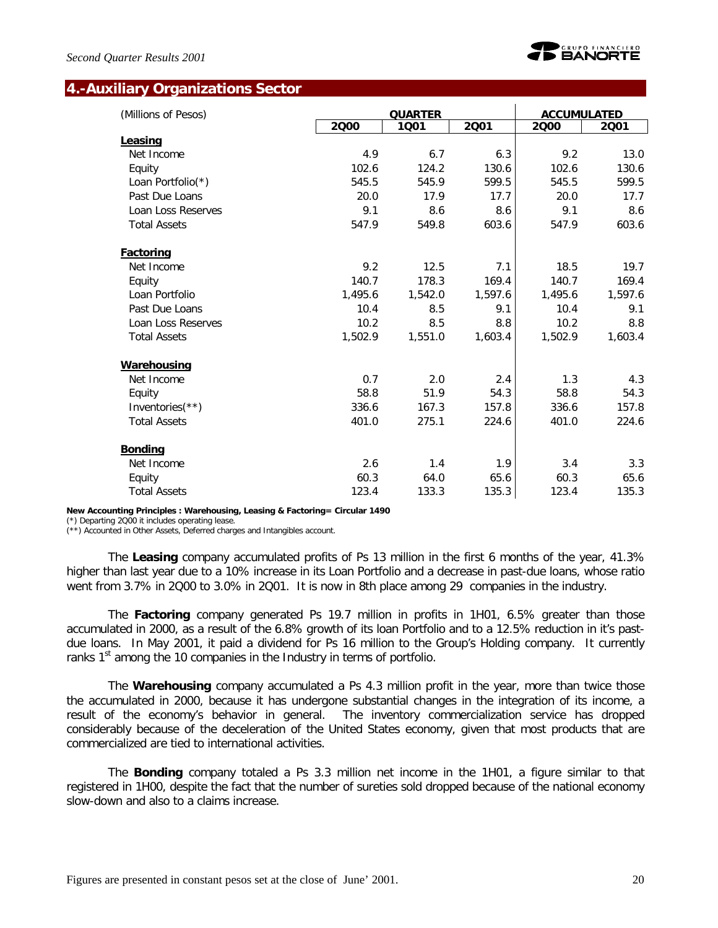

### **4.-Auxiliary Organizations Sector**

| (Millions of Pesos) |         | <b>QUARTER</b> |         | <b>ACCUMULATED</b> |         |
|---------------------|---------|----------------|---------|--------------------|---------|
|                     | 2000    | 1001           | 2001    | 2000               | 2001    |
| Leasing             |         |                |         |                    |         |
| Net Income          | 4.9     | 6.7            | 6.3     | 9.2                | 13.0    |
| Equity              | 102.6   | 124.2          | 130.6   | 102.6              | 130.6   |
| Loan Portfolio(*)   | 545.5   | 545.9          | 599.5   | 545.5              | 599.5   |
| Past Due Loans      | 20.0    | 17.9           | 17.7    | 20.0               | 17.7    |
| Loan Loss Reserves  | 9.1     | 8.6            | 8.6     | 9.1                | 8.6     |
| <b>Total Assets</b> | 547.9   | 549.8          | 603.6   | 547.9              | 603.6   |
| <b>Factoring</b>    |         |                |         |                    |         |
| Net Income          | 9.2     | 12.5           | 7.1     | 18.5               | 19.7    |
| Equity              | 140.7   | 178.3          | 169.4   | 140.7              | 169.4   |
| Loan Portfolio      | 1,495.6 | 1,542.0        | 1,597.6 | 1,495.6            | 1,597.6 |
| Past Due Loans      | 10.4    | 8.5            | 9.1     | 10.4               | 9.1     |
| Loan Loss Reserves  | 10.2    | 8.5            | 8.8     | 10.2               | 8.8     |
| <b>Total Assets</b> | 1,502.9 | 1,551.0        | 1,603.4 | 1,502.9            | 1,603.4 |
| <b>Warehousing</b>  |         |                |         |                    |         |
| Net Income          | 0.7     | 2.0            | 2.4     | 1.3                | 4.3     |
| Equity              | 58.8    | 51.9           | 54.3    | 58.8               | 54.3    |
| Inventories $(**)$  | 336.6   | 167.3          | 157.8   | 336.6              | 157.8   |
| <b>Total Assets</b> | 401.0   | 275.1          | 224.6   | 401.0              | 224.6   |
| <b>Bonding</b>      |         |                |         |                    |         |
| Net Income          | 2.6     | 1.4            | 1.9     | 3.4                | 3.3     |
| Equity              | 60.3    | 64.0           | 65.6    | 60.3               | 65.6    |
| <b>Total Assets</b> | 123.4   | 133.3          | 135.3   | 123.4              | 135.3   |

**New Accounting Principles : Warehousing, Leasing & Factoring= Circular 1490**

(\*) Departing 2Q00 it includes operating lease.

(\*\*) Accounted in Other Assets, Deferred charges and Intangibles account.

The *Leasing* company accumulated profits of Ps 13 million in the first 6 months of the year, 41.3% higher than last year due to a 10% increase in its Loan Portfolio and a decrease in past-due loans, whose ratio went from 3.7% in 2Q00 to 3.0% in 2Q01. It is now in 8th place among 29 companies in the industry.

The *Factoring* company generated Ps 19.7 million in profits in 1H01, 6.5% greater than those accumulated in 2000, as a result of the 6.8% growth of its loan Portfolio and to a 12.5% reduction in it's pastdue loans. In May 2001, it paid a dividend for Ps 16 million to the Group's Holding company. It currently ranks  $1<sup>st</sup>$  among the 10 companies in the Industry in terms of portfolio.

The *Warehousing* company accumulated a Ps 4.3 million profit in the year, more than twice those the accumulated in 2000, because it has undergone substantial changes in the integration of its income, a result of the economy's behavior in general. The inventory commercialization service has dropped considerably because of the deceleration of the United States economy, given that most products that are commercialized are tied to international activities.

The *Bonding* company totaled a Ps 3.3 million net income in the 1H01, a figure similar to that registered in 1H00, despite the fact that the number of sureties sold dropped because of the national economy slow-down and also to a claims increase.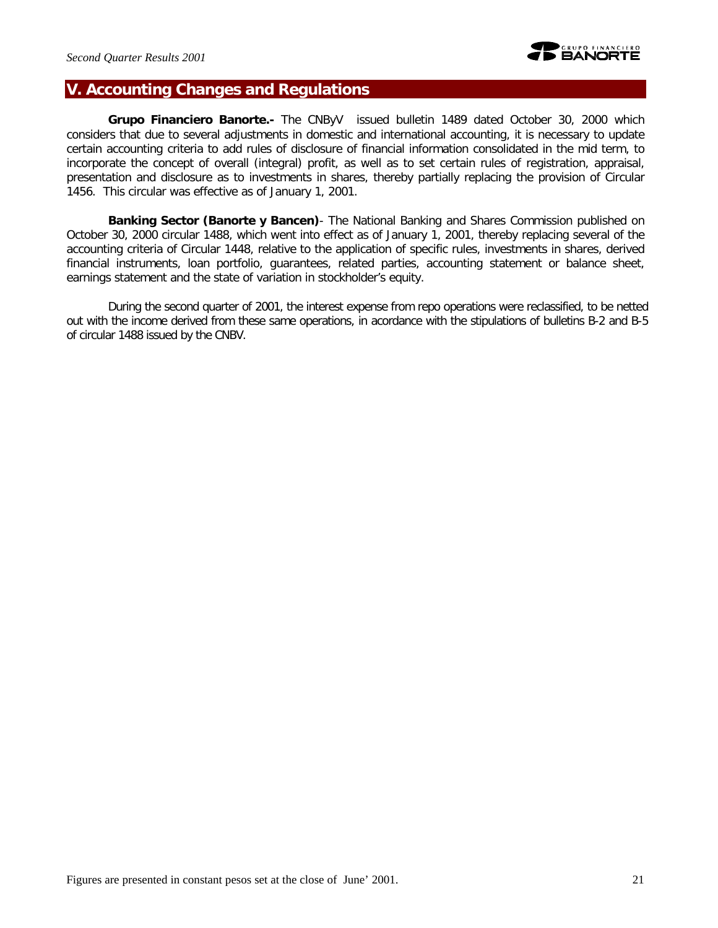# **V. Accounting Changes and Regulations**

*Grupo Financiero Banorte.-* The CNByV issued bulletin 1489 dated October 30, 2000 which considers that due to several adjustments in domestic and international accounting, it is necessary to update certain accounting criteria to add rules of disclosure of financial information consolidated in the mid term, to incorporate the concept of overall (integral) profit, as well as to set certain rules of registration, appraisal, presentation and disclosure as to investments in shares, thereby partially replacing the provision of Circular 1456. This circular was effective as of January 1, 2001.

*Banking Sector (Banorte y Bancen)*- The National Banking and Shares Commission published on October 30, 2000 circular 1488, which went into effect as of January 1, 2001, thereby replacing several of the accounting criteria of Circular 1448, relative to the application of specific rules, investments in shares, derived financial instruments, loan portfolio, guarantees, related parties, accounting statement or balance sheet, earnings statement and the state of variation in stockholder's equity.

During the second quarter of 2001, the interest expense from repo operations were reclassified, to be netted out with the income derived from these same operations, in acordance with the stipulations of bulletins B-2 and B-5 of circular 1488 issued by the CNBV.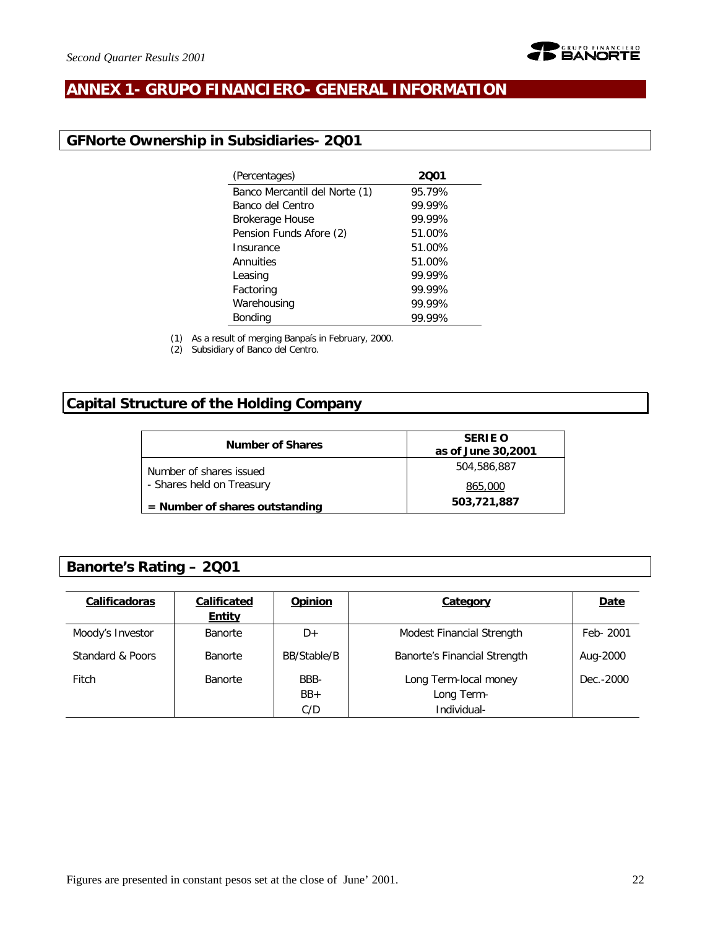

# **ANNEX 1- GRUPO FINANCIERO- GENERAL INFORMATION**

# **GFNorte Ownership in Subsidiaries- 2Q01**

| (Percentages)                 | 2001   |
|-------------------------------|--------|
| Banco Mercantil del Norte (1) | 95.79% |
| Banco del Centro              | 99.99% |
| <b>Brokerage House</b>        | 99.99% |
| Pension Funds Afore (2)       | 51.00% |
| Insurance                     | 51.00% |
| Annuities                     | 51.00% |
| Leasing                       | 99.99% |
| Factoring                     | 99.99% |
| Warehousing                   | 99.99% |
| <b>Bonding</b>                | 99.99% |
|                               |        |

(1) As a result of merging Banpaís in February, 2000.

(2) Subsidiary of Banco del Centro.

# **Capital Structure of the Holding Company**

| <b>Number of Shares</b>          | <b>SERIE O</b><br>as of June 30,2001 |
|----------------------------------|--------------------------------------|
| Number of shares issued          | 504,586,887                          |
| - Shares held on Treasury        | 865,000                              |
| $=$ Number of shares outstanding | 503,721,887                          |

# **Banorte's Rating – 2Q01**

| Calificadoras    | Calificated<br><b>Entity</b> | <b>Opinion</b>       | Category                                           | <b>Date</b> |
|------------------|------------------------------|----------------------|----------------------------------------------------|-------------|
| Moody's Investor | <b>Banorte</b>               | D+                   | Modest Financial Strength                          | Feb- 2001   |
| Standard & Poors | <b>Banorte</b>               | BB/Stable/B          | Banorte's Financial Strength                       | Aug-2000    |
| Fitch            | <b>Banorte</b>               | BBB-<br>$BB+$<br>C/D | Long Term-local money<br>Long Term-<br>Individual- | Dec. - 2000 |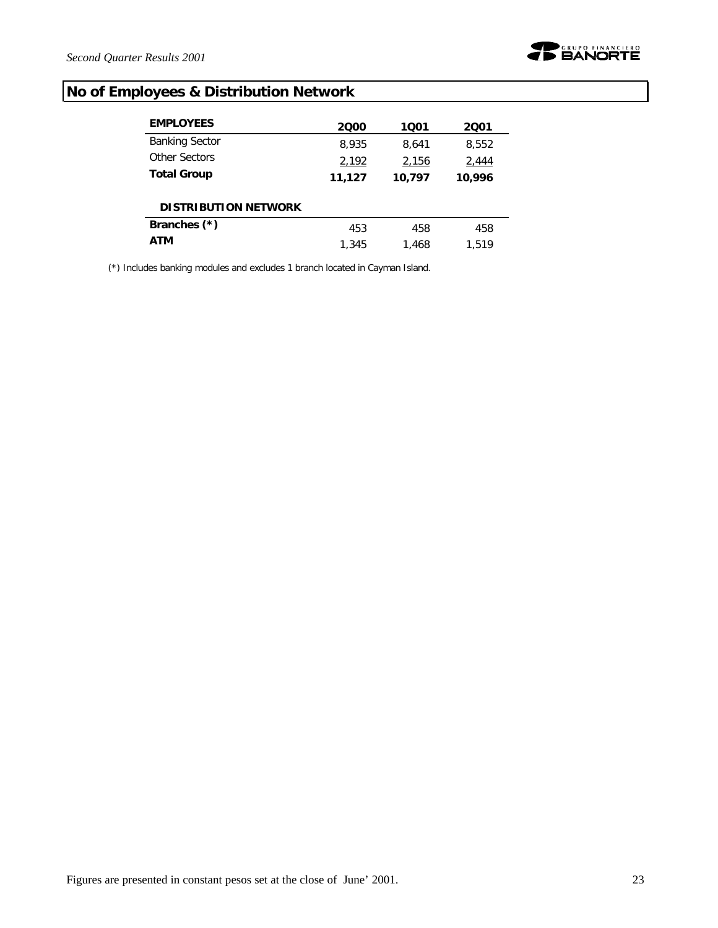

# **No of Employees & Distribution Network**

| <b>EMPLOYEES</b>            | 2000   | 1001   | 2001   |
|-----------------------------|--------|--------|--------|
| <b>Banking Sector</b>       | 8,935  | 8.641  | 8,552  |
| Other Sectors               | 2,192  | 2,156  | 2,444  |
| <b>Total Group</b>          | 11,127 | 10,797 | 10,996 |
| <b>DISTRIBUTION NETWORK</b> |        |        |        |
| Branches (*)                | 453    | 458    | 458    |
| ATM                         | 1,345  | 1.468  | 1.519  |

(\*) Includes banking modules and excludes 1 branch located in Cayman Island.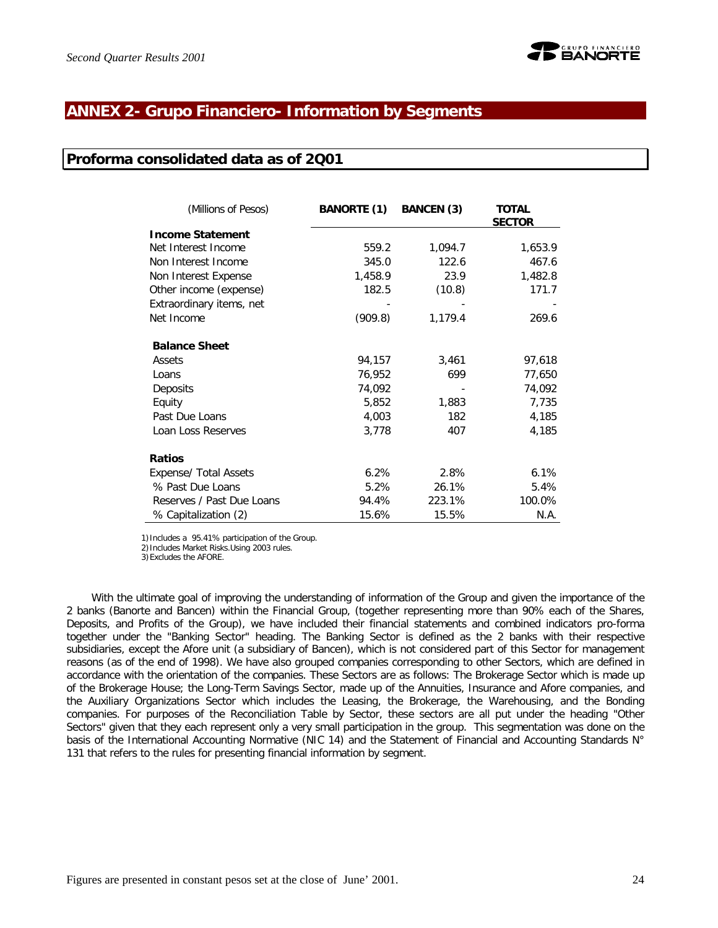

# **ANNEX 2- Grupo Financiero- Information by Segments**

### **Proforma consolidated data as of 2Q01**

| (Millions of Pesos)       | <b>BANORTE (1)</b> | <b>BANCEN (3)</b> | TOTAL<br><b>SECTOR</b> |
|---------------------------|--------------------|-------------------|------------------------|
| <b>Income Statement</b>   |                    |                   |                        |
| Net Interest Income       | 559.2              | 1,094.7           | 1,653.9                |
| Non Interest Income       | 345.0              | 122.6             | 467.6                  |
| Non Interest Expense      | 1,458.9            | 23.9              | 1,482.8                |
| Other income (expense)    | 182.5              | (10.8)            | 171.7                  |
| Extraordinary items, net  |                    |                   |                        |
| Net Income                | (909.8)            | 1,179.4           | 269.6                  |
| <b>Balance Sheet</b>      |                    |                   |                        |
| Assets                    | 94,157             | 3,461             | 97,618                 |
| Loans                     | 76,952             | 699               | 77,650                 |
| Deposits                  | 74,092             |                   | 74,092                 |
| Equity                    | 5,852              | 1,883             | 7,735                  |
| Past Due Loans            | 4,003              | 182               | 4,185                  |
| Loan Loss Reserves        | 3,778              | 407               | 4,185                  |
| <b>Ratios</b>             |                    |                   |                        |
| Expense/ Total Assets     | 6.2%               | 2.8%              | 6.1%                   |
| % Past Due Loans          | 5.2%               | 26.1%             | 5.4%                   |
| Reserves / Past Due Loans | 94.4%              | 223.1%            | 100.0%                 |
| % Capitalization (2)      | 15.6%              | 15.5%             | N.A.                   |

1)Includes a 95.41% participation of the Group.

2)Includes Market Risks.Using 2003 rules.

3)Excludes the AFORE.

With the ultimate goal of improving the understanding of information of the Group and given the importance of the 2 banks (Banorte and Bancen) within the Financial Group, (together representing more than 90% each of the Shares, Deposits, and Profits of the Group), we have included their financial statements and combined indicators pro-forma together under the "Banking Sector" heading. The Banking Sector is defined as the 2 banks with their respective subsidiaries, except the Afore unit (a subsidiary of Bancen), which is not considered part of this Sector for management reasons (as of the end of 1998). We have also grouped companies corresponding to other Sectors, which are defined in accordance with the orientation of the companies. These Sectors are as follows: The Brokerage Sector which is made up of the Brokerage House; the Long-Term Savings Sector, made up of the Annuities, Insurance and Afore companies, and the Auxiliary Organizations Sector which includes the Leasing, the Brokerage, the Warehousing, and the Bonding companies. For purposes of the Reconciliation Table by Sector, these sectors are all put under the heading "Other Sectors" given that they each represent only a very small participation in the group. This segmentation was done on the basis of the International Accounting Normative (NIC 14) and the Statement of Financial and Accounting Standards N° 131 that refers to the rules for presenting financial information by segment.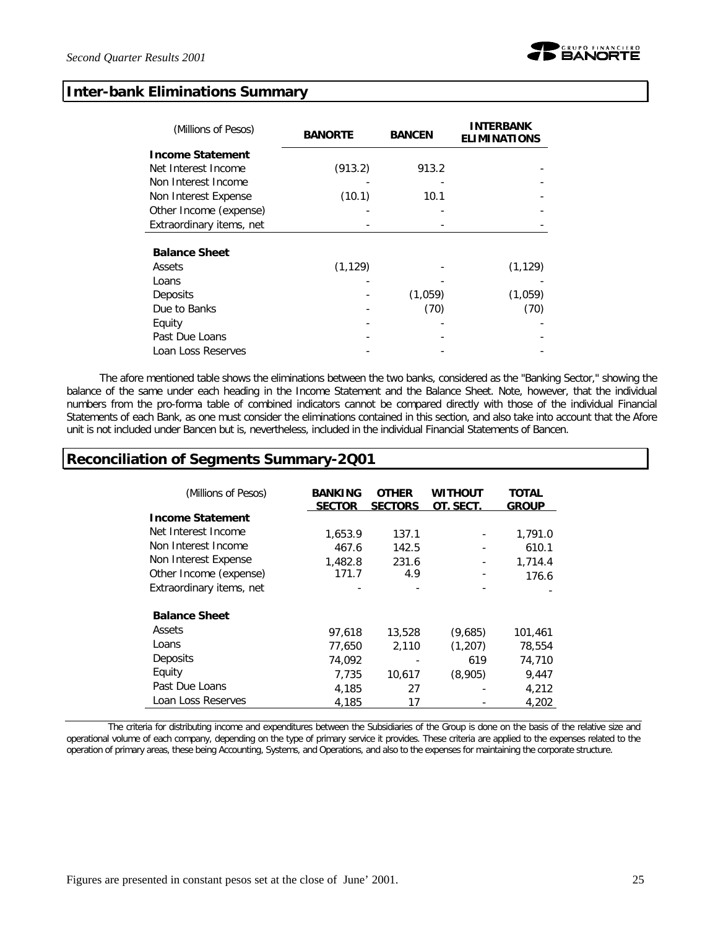

#### **Inter-bank Eliminations Summary**

| (Millions of Pesos)      | <b>BANORTE</b> | <b>BANCEN</b> | <b>INTERBANK</b><br><b>ELIMINATIONS</b> |
|--------------------------|----------------|---------------|-----------------------------------------|
| <b>Income Statement</b>  |                |               |                                         |
| Net Interest Income      | (913.2)        | 913.2         |                                         |
| Non Interest Income      |                |               |                                         |
| Non Interest Expense     | (10.1)         | 10.1          |                                         |
| Other Income (expense)   |                |               |                                         |
| Extraordinary items, net |                |               |                                         |
|                          |                |               |                                         |
| <b>Balance Sheet</b>     |                |               |                                         |
| Assets                   | (1, 129)       |               | (1, 129)                                |
| Loans                    |                |               |                                         |
| Deposits                 |                | (1,059)       | (1,059)                                 |
| Due to Banks             |                | (70)          | (70)                                    |
| Equity                   |                |               |                                         |
| Past Due Loans           |                |               |                                         |
| Loan Loss Reserves       |                |               |                                         |

The afore mentioned table shows the eliminations between the two banks, considered as the "Banking Sector," showing the balance of the same under each heading in the Income Statement and the Balance Sheet. Note, however, that the individual numbers from the pro-forma table of combined indicators cannot be compared directly with those of the individual Financial Statements of each Bank, as one must consider the eliminations contained in this section, and also take into account that the Afore unit is not included under Bancen but *i*s, nevertheless, included in the individual Financial Statements of Bancen.

## **Reconciliation of Segments Summary-2Q01**

| (Millions of Pesos)      | <b>BANKING</b><br><b>SECTOR</b> | <b>OTHER</b><br><b>SECTORS</b> | Without<br>OT. SECT. | TOTAL<br><b>GROUP</b> |
|--------------------------|---------------------------------|--------------------------------|----------------------|-----------------------|
| <b>Income Statement</b>  |                                 |                                |                      |                       |
| Net Interest Income      | 1,653.9                         | 137.1                          |                      | 1,791.0               |
| Non Interest Income      | 467.6                           | 142.5                          |                      | 610.1                 |
| Non Interest Expense     | 1,482.8                         | 231.6                          |                      | 1,714.4               |
| Other Income (expense)   | 171.7                           | 4.9                            |                      | 176.6                 |
| Extraordinary items, net |                                 |                                |                      |                       |
| <b>Balance Sheet</b>     |                                 |                                |                      |                       |
| Assets                   | 97,618                          | 13,528                         | (9,685)              | 101,461               |
| Loans                    | 77,650                          | 2.110                          | (1.207)              | 78,554                |
| Deposits                 | 74.092                          |                                | 619                  | 74,710                |
| Equity                   | 7,735                           | 10,617                         | (8,905)              | 9,447                 |
| Past Due Loans           | 4,185                           | 27                             |                      | 4,212                 |
| Loan Loss Reserves       | 4.185                           | 17                             |                      | 4,202                 |

The criteria for distributing income and expenditures between the Subsidiaries of the Group is done on the basis of the relative size and operational volume of each company, depending on the type of primary service it provides. These criteria are applied to the expenses related to the operation of primary areas, these being Accounting, Systems, and Operations, and also to the expenses for maintaining the corporate structure.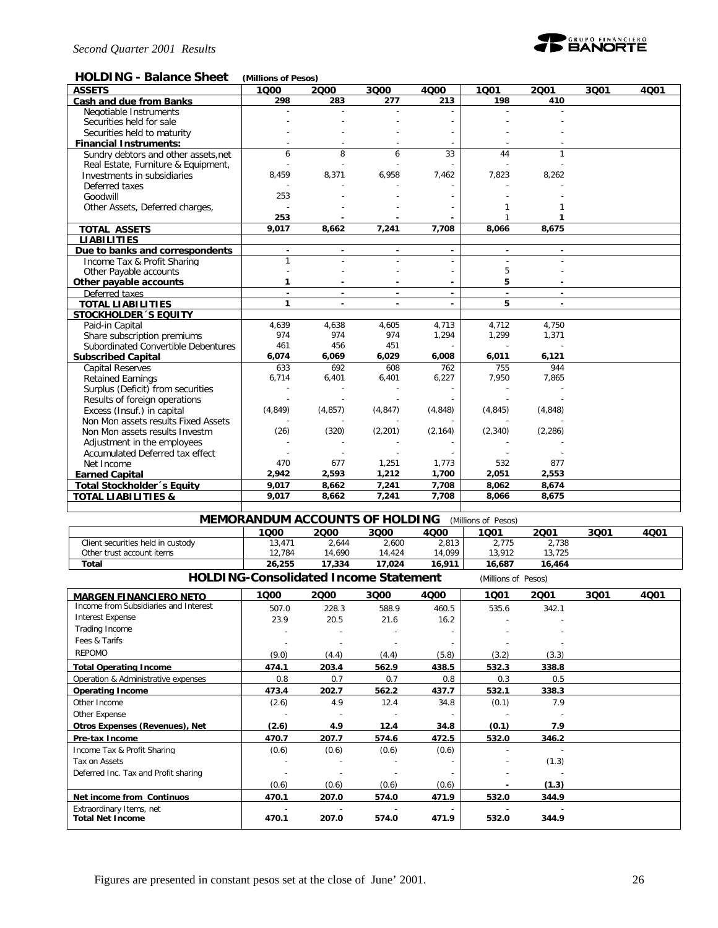

#### **HOLDING - Balance Sheet** *(Millions of Pesos)*

| <b>ASSETS</b>                        | 1000           | 2000                     | 3000                     | 4000           | 1001     | 2001                     | 3Q01 | 4001 |
|--------------------------------------|----------------|--------------------------|--------------------------|----------------|----------|--------------------------|------|------|
| Cash and due from Banks              | 298            | 283                      | 277                      | 213            | 198      | 410                      |      |      |
| Negotiable Instruments               |                |                          |                          |                |          |                          |      |      |
| Securities held for sale             |                |                          |                          |                |          |                          |      |      |
| Securities held to maturity          |                |                          |                          |                |          |                          |      |      |
| <b>Financial Instruments:</b>        |                |                          |                          |                |          |                          |      |      |
| Sundry debtors and other assets, net | 6              | 8                        | 6                        | 33             | 44       | $\mathbf{1}$             |      |      |
| Real Estate, Furniture & Equipment,  |                |                          |                          |                |          |                          |      |      |
| Investments in subsidiaries          | 8,459          | 8,371                    | 6,958                    | 7,462          | 7,823    | 8,262                    |      |      |
| Deferred taxes                       |                |                          |                          |                |          |                          |      |      |
| Goodwill                             | 253            |                          |                          |                |          |                          |      |      |
| Other Assets, Deferred charges,      |                |                          |                          |                |          |                          |      |      |
|                                      | 253            |                          |                          |                |          | 1                        |      |      |
| <b>TOTAL ASSETS</b>                  | 9,017          | 8,662                    | 7,241                    | 7,708          | 8,066    | 8,675                    |      |      |
| <b>LIABILITIES</b>                   |                |                          |                          |                |          |                          |      |      |
| Due to banks and correspondents      | $\blacksquare$ |                          | $\blacksquare$           | $\blacksquare$ |          | $\overline{\phantom{a}}$ |      |      |
| Income Tax & Profit Sharing          |                |                          |                          |                |          |                          |      |      |
| Other Payable accounts               |                |                          |                          |                | 5        |                          |      |      |
| Other payable accounts               | 1              |                          |                          |                | 5        |                          |      |      |
| Deferred taxes                       | $\sim$         | $\blacksquare$           | $\overline{\phantom{a}}$ | $\sim$         | $\sim$   | $\sim$                   |      |      |
| <b>TOTAL LIABILITIES</b>             | 1              | $\overline{\phantom{a}}$ | $\blacksquare$           |                | 5        | $\blacksquare$           |      |      |
| <b>STOCKHOLDER 'S EQUITY</b>         |                |                          |                          |                |          |                          |      |      |
| Paid-in Capital                      | 4,639          | 4,638                    | 4,605                    | 4,713          | 4,712    | 4,750                    |      |      |
| Share subscription premiums          | 974            | 974                      | 974                      | 1,294          | 1,299    | 1,371                    |      |      |
| Subordinated Convertible Debentures  | 461            | 456                      | 451                      |                |          |                          |      |      |
| <b>Subscribed Capital</b>            | 6,074          | 6,069                    | 6,029                    | 6,008          | 6,011    | 6,121                    |      |      |
| <b>Capital Reserves</b>              | 633            | 692                      | 608                      | 762            | 755      | 944                      |      |      |
| <b>Retained Earnings</b>             | 6,714          | 6,401                    | 6,401                    | 6,227          | 7,950    | 7.865                    |      |      |
| Surplus (Deficit) from securities    |                |                          |                          |                |          |                          |      |      |
| Results of foreign operations        |                |                          |                          |                |          |                          |      |      |
| Excess (Insuf.) in capital           | (4, 849)       | (4, 857)                 | (4, 847)                 | (4, 848)       | (4, 845) | (4, 848)                 |      |      |
| Non Mon assets results Fixed Assets  |                |                          |                          |                |          |                          |      |      |
| Non Mon assets results Investm       | (26)           | (320)                    | (2,201)                  | (2, 164)       | (2, 340) | (2, 286)                 |      |      |
| Adjustment in the employees          |                |                          |                          |                |          |                          |      |      |
| Accumulated Deferred tax effect      |                |                          |                          |                |          |                          |      |      |
| Net Income                           | 470            | 677                      | 1,251                    | 1,773          | 532      | 877                      |      |      |
| <b>Earned Capital</b>                | 2,942          | 2,593                    | 1,212                    | 1,700          | 2,051    | 2,553                    |      |      |
| Total Stockholder's Equity           | 9.017          | 8,662                    | 7,241                    | 7,708          | 8,062    | 8,674                    |      |      |
| <b>TOTAL LIABILITIES &amp;</b>       | 9,017          | 8,662                    | 7,241                    | 7,708          | 8,066    | 8,675                    |      |      |
|                                      |                |                          |                          |                |          |                          |      |      |
|                                      |                |                          |                          |                |          |                          |      |      |

| <b>MEMORANDUM ACCOUNTS OF HOLDING</b><br>(Millions of Pesos)        |        |        |        |        |        |        |      |      |
|---------------------------------------------------------------------|--------|--------|--------|--------|--------|--------|------|------|
|                                                                     | 1000   | 2000   | 3000   | 4000   | 1Q01   | 2001   | 3Q01 | 4001 |
| Client securities held in custody                                   | 13.471 | 2,644  | 2,600  | 2,813  | 2.775  | 2,738  |      |      |
| Other trust account items                                           | 12.784 | 14.690 | 14.424 | 14.099 | 13.912 | 13.725 |      |      |
| Total                                                               | 26,255 | 17,334 | 17.024 | 16.911 | 16.687 | 16,464 |      |      |
| <b>HOLDING-Consolidated Income Statement</b><br>(Millions of Pesos) |        |        |        |        |        |        |      |      |

| <b>MARGEN FINANCIERO NETO</b>         | 1000  | 2000                     | 3000  | 4000                     | 1001  | 2001                     | 3Q01 | 4Q01 |
|---------------------------------------|-------|--------------------------|-------|--------------------------|-------|--------------------------|------|------|
| Income from Subsidiaries and Interest | 507.0 | 228.3                    | 588.9 | 460.5                    | 535.6 | 342.1                    |      |      |
| Interest Expense                      | 23.9  | 20.5                     | 21.6  | 16.2                     |       |                          |      |      |
| Trading Income                        |       |                          |       |                          |       |                          |      |      |
| Fees & Tarifs                         |       | $\overline{a}$           |       |                          |       |                          |      |      |
| <b>REPOMO</b>                         | (9.0) | (4.4)                    | (4.4) | (5.8)                    | (3.2) | (3.3)                    |      |      |
| <b>Total Operating Income</b>         | 474.1 | 203.4                    | 562.9 | 438.5                    | 532.3 | 338.8                    |      |      |
| Operation & Administrative expenses   | 0.8   | 0.7                      | 0.7   | 0.8                      | 0.3   | 0.5                      |      |      |
| <b>Operating Income</b>               | 473.4 | 202.7                    | 562.2 | 437.7                    | 532.1 | 338.3                    |      |      |
| Other Income                          | (2.6) | 4.9                      | 12.4  | 34.8                     | (0.1) | 7.9                      |      |      |
| Other Expense                         |       | $\overline{\phantom{a}}$ |       | $\overline{\phantom{a}}$ |       | $\overline{\phantom{a}}$ |      |      |
| Otros Expenses (Revenues), Net        | (2.6) | 4.9                      | 12.4  | 34.8                     | (0.1) | 7.9                      |      |      |
| Pre-tax Income                        | 470.7 | 207.7                    | 574.6 | 472.5                    | 532.0 | 346.2                    |      |      |
| Income Tax & Profit Sharing           | (0.6) | (0.6)                    | (0.6) | (0.6)                    |       |                          |      |      |
| Tax on Assets                         |       |                          |       |                          |       | (1.3)                    |      |      |
| Deferred Inc. Tax and Profit sharing  |       | ٠                        |       |                          |       |                          |      |      |
|                                       | (0.6) | (0.6)                    | (0.6) | (0.6)                    |       | (1.3)                    |      |      |
| Net income from Continuos             | 470.1 | 207.0                    | 574.0 | 471.9                    | 532.0 | 344.9                    |      |      |
| Extraordinary Items, net              |       |                          |       |                          |       |                          |      |      |
| <b>Total Net Income</b>               | 470.1 | 207.0                    | 574.0 | 471.9                    | 532.0 | 344.9                    |      |      |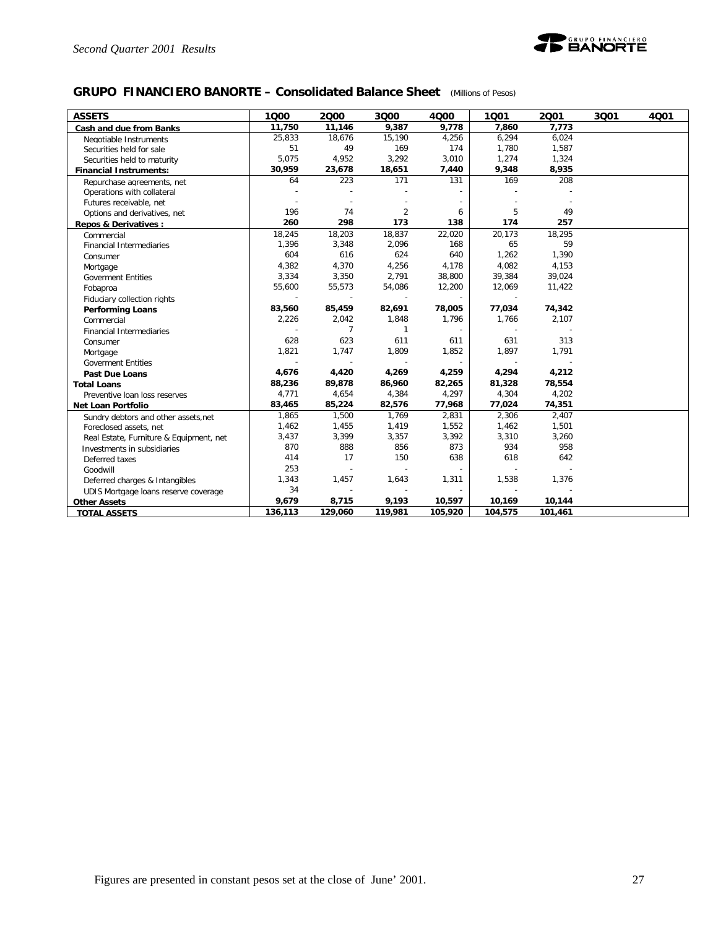

### **GRUPO FINANCIERO BANORTE – Consolidated Balance Sheet** *(Millions of Pesos)*

| <b>ASSETS</b>                           | 1000                     | 2000           | 3Q00           | 4Q00    | 1001    | 2001    | 3Q01 | 4Q01 |
|-----------------------------------------|--------------------------|----------------|----------------|---------|---------|---------|------|------|
| Cash and due from Banks                 | 11.750                   | 11,146         | 9,387          | 9,778   | 7.860   | 7,773   |      |      |
| Negotiable Instruments                  | 25,833                   | 18,676         | 15,190         | 4,256   | 6,294   | 6,024   |      |      |
| Securities held for sale                | 51                       | 49             | 169            | 174     | 1,780   | 1,587   |      |      |
| Securities held to maturity             | 5,075                    | 4,952          | 3,292          | 3,010   | 1,274   | 1,324   |      |      |
| <b>Financial Instruments:</b>           | 30,959                   | 23,678         | 18,651         | 7,440   | 9,348   | 8,935   |      |      |
| Repurchase agreements, net              | 64                       | 223            | 171            | 131     | 169     | 208     |      |      |
| Operations with collateral              |                          |                |                |         |         |         |      |      |
| Futures receivable, net                 |                          |                |                |         |         |         |      |      |
| Options and derivatives, net            | 196                      | 74             | $\overline{2}$ | 6       | 5       | 49      |      |      |
| <b>Repos &amp; Derivatives:</b>         | 260                      | 298            | 173            | 138     | 174     | 257     |      |      |
| Commercial                              | 18,245                   | 18,203         | 18,837         | 22,020  | 20,173  | 18,295  |      |      |
| <b>Financial Intermediaries</b>         | 1,396                    | 3,348          | 2,096          | 168     | 65      | 59      |      |      |
| Consumer                                | 604                      | 616            | 624            | 640     | 1,262   | 1,390   |      |      |
| Mortgage                                | 4,382                    | 4,370          | 4,256          | 4,178   | 4,082   | 4,153   |      |      |
| <b>Goverment Entities</b>               | 3,334                    | 3,350          | 2,791          | 38,800  | 39,384  | 39,024  |      |      |
| Fobaproa                                | 55,600                   | 55,573         | 54,086         | 12,200  | 12,069  | 11,422  |      |      |
| Fiduciary collection rights             |                          |                |                |         |         |         |      |      |
| <b>Performing Loans</b>                 | 83,560                   | 85,459         | 82,691         | 78,005  | 77,034  | 74,342  |      |      |
| Commercial                              | 2,226                    | 2,042          | 1,848          | 1,796   | 1,766   | 2,107   |      |      |
| <b>Financial Intermediaries</b>         |                          | $\overline{7}$ | $\mathbf{1}$   |         |         |         |      |      |
| Consumer                                | 628                      | 623            | 611            | 611     | 631     | 313     |      |      |
| Mortgage                                | 1,821                    | 1,747          | 1,809          | 1,852   | 1,897   | 1,791   |      |      |
| <b>Goverment Entities</b>               | $\overline{\phantom{a}}$ | $\overline{a}$ |                | $\sim$  |         |         |      |      |
| Past Due Loans                          | 4,676                    | 4,420          | 4,269          | 4,259   | 4,294   | 4,212   |      |      |
| <b>Total Loans</b>                      | 88,236                   | 89,878         | 86,960         | 82,265  | 81,328  | 78,554  |      |      |
| Preventive loan loss reserves           | 4,771                    | 4,654          | 4,384          | 4,297   | 4,304   | 4,202   |      |      |
| Net Loan Portfolio                      | 83,465                   | 85,224         | 82,576         | 77,968  | 77,024  | 74,351  |      |      |
| Sundry debtors and other assets, net    | 1,865                    | 1,500          | 1,769          | 2,831   | 2,306   | 2,407   |      |      |
| Foreclosed assets, net                  | 1,462                    | 1,455          | 1,419          | 1,552   | 1,462   | 1,501   |      |      |
| Real Estate, Furniture & Equipment, net | 3,437                    | 3,399          | 3,357          | 3,392   | 3,310   | 3,260   |      |      |
| Investments in subsidiaries             | 870                      | 888            | 856            | 873     | 934     | 958     |      |      |
| Deferred taxes                          | 414                      | 17             | 150            | 638     | 618     | 642     |      |      |
| Goodwill                                | 253                      |                |                |         |         |         |      |      |
| Deferred charges & Intangibles          | 1,343                    | 1,457          | 1,643          | 1,311   | 1,538   | 1,376   |      |      |
| UDIS Mortgage loans reserve coverage    | 34                       |                | $\overline{a}$ | $\sim$  |         |         |      |      |
| <b>Other Assets</b>                     | 9,679                    | 8,715          | 9,193          | 10,597  | 10,169  | 10,144  |      |      |
| <b>TOTAL ASSETS</b>                     | 136,113                  | 129,060        | 119,981        | 105,920 | 104,575 | 101,461 |      |      |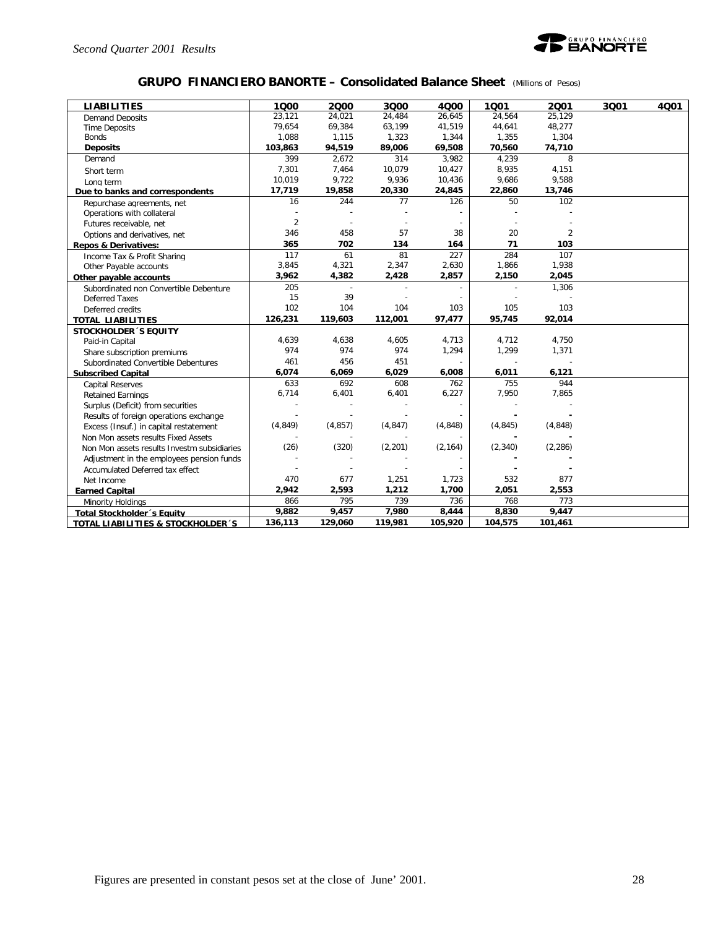

### **GRUPO FINANCIERO BANORTE – Consolidated Balance Sheet** *(Millions of Pesos)*

| <b>LIABILITIES</b>                          | 1000           | 2000     | 3000     | 4000     | 1001     | 2001           | 3001 | 4001 |
|---------------------------------------------|----------------|----------|----------|----------|----------|----------------|------|------|
| <b>Demand Deposits</b>                      | 23,121         | 24,021   | 24,484   | 26,645   | 24,564   | 25,129         |      |      |
| <b>Time Deposits</b>                        | 79,654         | 69,384   | 63,199   | 41,519   | 44,641   | 48,277         |      |      |
| <b>Bonds</b>                                | 1,088          | 1,115    | 1,323    | 1,344    | 1,355    | 1,304          |      |      |
| <b>Deposits</b>                             | 103,863        | 94,519   | 89,006   | 69,508   | 70,560   | 74,710         |      |      |
| Demand                                      | 399            | 2,672    | 314      | 3,982    | 4,239    | 8              |      |      |
| Short term                                  | 7,301          | 7,464    | 10,079   | 10,427   | 8,935    | 4,151          |      |      |
| Long term                                   | 10,019         | 9,722    | 9,936    | 10,436   | 9,686    | 9,588          |      |      |
| Due to banks and correspondents             | 17,719         | 19,858   | 20,330   | 24,845   | 22,860   | 13,746         |      |      |
| Repurchase agreements, net                  | 16             | 244      | 77       | 126      | 50       | 102            |      |      |
| Operations with collateral                  |                |          |          |          |          |                |      |      |
| Futures receivable, net                     | $\overline{2}$ |          |          |          |          |                |      |      |
| Options and derivatives, net                | 346            | 458      | 57       | 38       | 20       | $\overline{2}$ |      |      |
| <b>Repos &amp; Derivatives:</b>             | 365            | 702      | 134      | 164      | 71       | 103            |      |      |
| Income Tax & Profit Sharing                 | 117            | 61       | 81       | 227      | 284      | 107            |      |      |
| Other Payable accounts                      | 3,845          | 4,321    | 2,347    | 2,630    | 1,866    | 1,938          |      |      |
| Other payable accounts                      | 3,962          | 4,382    | 2,428    | 2,857    | 2,150    | 2,045          |      |      |
| Subordinated non Convertible Debenture      | 205            |          |          |          |          | 1,306          |      |      |
| <b>Deferred Taxes</b>                       | 15             | 39       |          |          |          |                |      |      |
| Deferred credits                            | 102            | 104      | 104      | 103      | 105      | 103            |      |      |
| <b>TOTAL LIABILITIES</b>                    | 126,231        | 119,603  | 112,001  | 97,477   | 95,745   | 92,014         |      |      |
| <b>STOCKHOLDER 'S EQUITY</b>                |                |          |          |          |          |                |      |      |
| Paid-in Capital                             | 4,639          | 4,638    | 4,605    | 4,713    | 4,712    | 4,750          |      |      |
| Share subscription premiums                 | 974            | 974      | 974      | 1,294    | 1,299    | 1,371          |      |      |
| Subordinated Convertible Debentures         | 461            | 456      | 451      |          |          |                |      |      |
| <b>Subscribed Capital</b>                   | 6,074          | 6,069    | 6,029    | 6,008    | 6,011    | 6,121          |      |      |
| <b>Capital Reserves</b>                     | 633            | 692      | 608      | 762      | 755      | 944            |      |      |
| <b>Retained Earnings</b>                    | 6,714          | 6,401    | 6,401    | 6,227    | 7,950    | 7,865          |      |      |
| Surplus (Deficit) from securities           |                |          |          |          |          |                |      |      |
| Results of foreign operations exchange      |                |          |          |          |          |                |      |      |
| Excess (Insuf.) in capital restatement      | (4, 849)       | (4, 857) | (4, 847) | (4, 848) | (4, 845) | (4,848)        |      |      |
| Non Mon assets results Fixed Assets         |                |          |          |          |          |                |      |      |
| Non Mon assets results Investm subsidiaries | (26)           | (320)    | (2,201)  | (2, 164) | (2, 340) | (2, 286)       |      |      |
| Adjustment in the employees pension funds   |                |          |          |          |          |                |      |      |
| Accumulated Deferred tax effect             |                |          |          |          |          |                |      |      |
| Net Income                                  | 470            | 677      | 1,251    | 1,723    | 532      | 877            |      |      |
| <b>Earned Capital</b>                       | 2,942          | 2,593    | 1,212    | 1,700    | 2,051    | 2,553          |      |      |
| Minority Holdings                           | 866            | 795      | 739      | 736      | 768      | 773            |      |      |
| <b>Total Stockholder</b> 's Equity          | 9,882          | 9,457    | 7,980    | 8,444    | 8,830    | 9,447          |      |      |
| TOTAL LIABILITIES & STOCKHOLDER 'S          | 136,113        | 129,060  | 119,981  | 105,920  | 104,575  | 101,461        |      |      |
|                                             |                |          |          |          |          |                |      |      |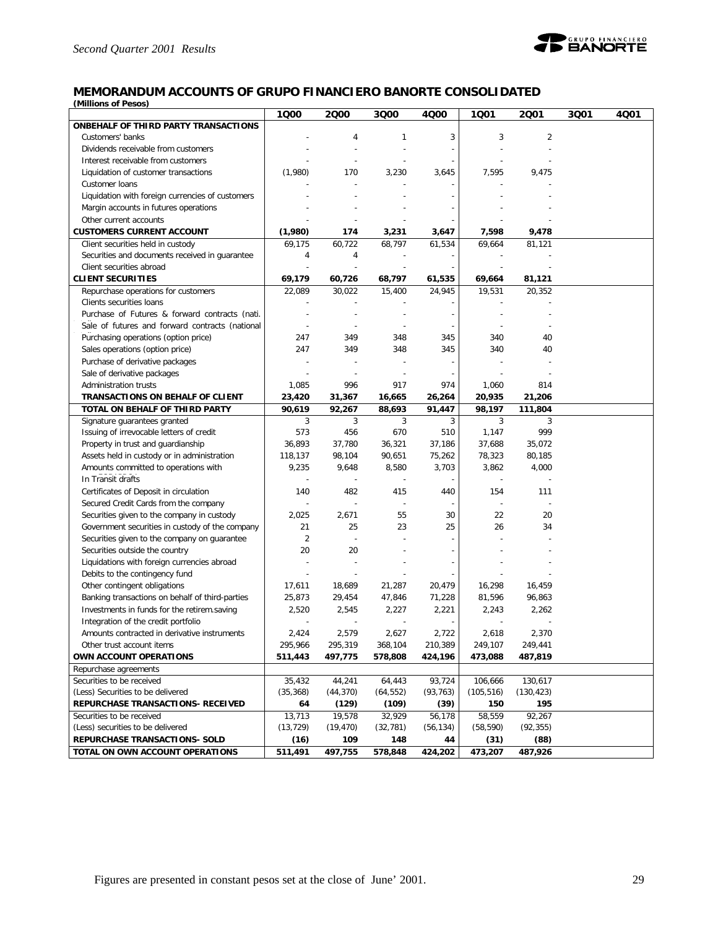

#### **MEMORANDUM ACCOUNTS OF GRUPO FINANCIERO BANORTE CONSOLIDATED** *(Millions of Pesos)*

**1Q00 2Q00 3Q00 4Q00 1Q01 2Q01 3Q01 4Q01 ONBEHALF OF THIRD PARTY TRANSACTIONS** Customers' banks - 4 1 3 3 2 Dividends receivable from customers and the state of the state of the state of the state of the state of the state of the state of the state of the state of the state of the state of the state of the state of the state of Interest receivable from customers Liquidation of customer transactions (1,980) 170 3,230 3,645 7,595 9,475 Customer loans - - - - - - Liquidation with foreign currencies of customers and the state of the state of the state of the state of the state of the state of the state of the state of the state of the state of the state of the state of the state of Margin accounts in futures operations and the state of the state of the state of the state of the state of the state of the state of the state of the state of the state of the state of the state of the state of the state o Other current accounts **CUSTOMERS CURRENT ACCOUNT (1,980) 174 3,231 3,647 7,598 9,478** Client securities held in custody 69,175 60,722 68,797 61,534 69,664 81,121 Securities and documents received in guarantee  $\begin{array}{cccc} 4 & 4 & - & - & - \end{array}$ Client securities abroad **CLIENT SECURITIES 69,179 60,726 68,797 61,535 69,664 81,121** Repurchase operations for customers 22,089 30,022 15,400 24,945 19,531 20,352 Clients securities loans Purchase of Futures & forward contracts (nati. Sale of futures and forward contracts (national - - - - - - Purchasing operations (option price) 1247 349 348 345 340 40 - - - - - - Sales operations (option price) 247 349 348 345 340 40 Purchase of derivative packages Sale of derivative packages Administration trusts 1,085 996 917 974 1,060 814 **TRANSACTIONS ON BEHALF OF CLIENT 23,420 31,367 16,665 26,264 20,935 21,206 TOTAL ON BEHALF OF THIRD PARTY 90,619 92,267 88,693 91,447 98,197 111,804** Signature guarantees granted and the state of the state of the state of the state of the state of the state of the state of the state of the state of the state of the state of the state of the state of the state of the sta Issuing of irrevocable letters of credit  $\begin{array}{ccc} \mid & 573 & 456 & 670 & 510 & 1,147 \end{array}$ Property in trust and guardianship 36,893 37,780 36,321 37,186 37,688 35,072 Assets held in custody or in administration 118,137 98,104 90,651 75,262 78,323 80,185 Amounts committed to operations with FOBAPROA In Transit drafts - - - - - - 9,235 9,648 8,580 3,703 3,862 4,000 Certificates of Deposit in circulation 140 482 415 440 154 111 Secured Credit Cards from the company Securities given to the company in custody  $\begin{vmatrix} 2,025 & 2,671 & 55 & 30 \end{vmatrix}$  22 20 Government securities in custody of the company 21 25 23 25 25 26 34 Securities given to the company on guarantee  $\vert$  2 Securities outside the country 1980 100 20 20 Liquidations with foreign currencies abroad Debits to the contingency fund Other contingent obligations 17,611 18,689 21,287 20,479 16,298 16,459 Banking transactions on behalf of third-parties  $\begin{vmatrix} 25,873 & 29,454 & 47,846 & 71,228 \end{vmatrix}$  81,596 96,863 Investments in funds for the retirem.saving Integration of the credit portfolio and the credit portfolio and the credit portfolio and the credit portfolio 2,520 2,545 2,227 2,221 2,243 2,262 Amounts contracted in derivative instruments  $\begin{vmatrix} 2,424 & 2,579 & 2,627 & 2,722 \end{vmatrix}$  2,618 2,370 Other trust account items 295,966 295,319 368,104 210,389 249,107 249,441 **OWN ACCOUNT OPERATIONS 511,443 497,775 578,808 424,196 473,088 487,819** Repurchase agreements Securities to be received 35,432 44,241 64,443 93,724 106,666 130,617 (Less) Securities to be delivered (35,368) (44,370) (64,552) (93,763) (105,516) (130,423) **REPURCHASE TRANSACTIONS- RECEIVED 64 (129) (109) (39) 150 195** Securities to be received 13,713 19,578 32,929 56,178 58,559 92,267 (Less) securities to be delivered (13,729) (19,470) (32,781) (56,134) (58,590) (92,355) **REPURCHASE TRANSACTIONS- SOLD (16) 109 148 44 (31) (88) TOTAL ON OWN ACCOUNT OPERATIONS 511,491 497,755 578,848 424,202 473,207 487,926**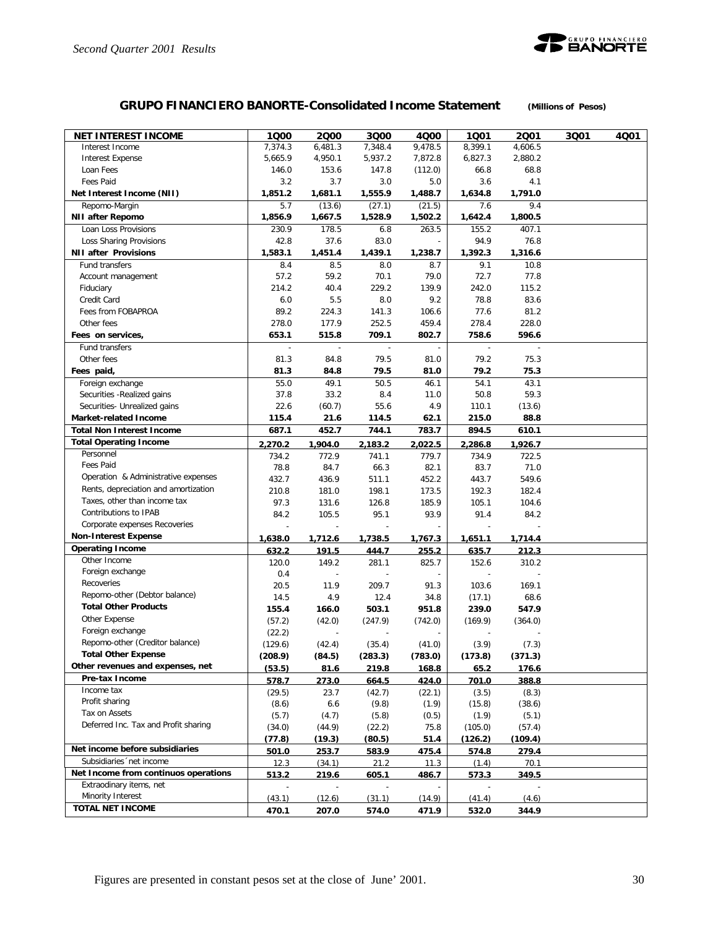

# **GRUPO FINANCIERO BANORTE-Consolidated Income Statement** *(Millions of Pesos)*

| <b>NET INTEREST INCOME</b>           | 1Q00    | 2000                     | 3Q00                     | 4000         | 1Q01         | 2001    | 3Q01 | 4Q01 |
|--------------------------------------|---------|--------------------------|--------------------------|--------------|--------------|---------|------|------|
| Interest Income                      | 7,374.3 | 6,481.3                  | 7,348.4                  | 9,478.5      | 8,399.1      | 4,606.5 |      |      |
| <b>Interest Expense</b>              | 5,665.9 | 4,950.1                  | 5,937.2                  | 7,872.8      | 6,827.3      | 2,880.2 |      |      |
| Loan Fees                            | 146.0   | 153.6                    | 147.8                    | (112.0)      | 66.8         | 68.8    |      |      |
| Fees Paid                            | 3.2     | 3.7                      | 3.0                      | 5.0          | 3.6          | 4.1     |      |      |
| Net Interest Income (NII)            | 1,851.2 | 1,681.1                  | 1,555.9                  | 1,488.7      | 1,634.8      | 1,791.0 |      |      |
| Repomo-Margin                        | 5.7     | (13.6)                   | (27.1)                   | (21.5)       | 7.6          | 9.4     |      |      |
| <b>NII after Repomo</b>              | 1,856.9 | 1,667.5                  | 1,528.9                  | 1,502.2      | 1,642.4      | 1,800.5 |      |      |
| Loan Loss Provisions                 | 230.9   | 178.5                    | 6.8                      | 263.5        | 155.2        | 407.1   |      |      |
| Loss Sharing Provisions              | 42.8    | 37.6                     | 83.0                     |              | 94.9         | 76.8    |      |      |
| <b>NII after Provisions</b>          | 1,583.1 | 1,451.4                  | 1,439.1                  | 1,238.7      | 1,392.3      | 1,316.6 |      |      |
| Fund transfers                       | 8.4     | 8.5                      | 8.0                      | 8.7          | 9.1          | 10.8    |      |      |
| Account management                   | 57.2    | 59.2                     | 70.1                     | 79.0         | 72.7         | 77.8    |      |      |
| Fiduciary                            | 214.2   | 40.4                     | 229.2                    | 139.9        | 242.0        | 115.2   |      |      |
| Credit Card                          | 6.0     | 5.5                      | 8.0                      | 9.2          | 78.8         | 83.6    |      |      |
| Fees from FOBAPROA                   | 89.2    | 224.3                    | 141.3                    | 106.6        | 77.6         | 81.2    |      |      |
| Other fees                           | 278.0   | 177.9                    | 252.5                    | 459.4        | 278.4        | 228.0   |      |      |
| Fees on services,                    | 653.1   | 515.8                    | 709.1                    | 802.7        | 758.6        | 596.6   |      |      |
| Fund transfers                       |         | $\overline{\phantom{a}}$ | $\overline{\phantom{a}}$ |              |              |         |      |      |
| Other fees                           | 81.3    | 84.8                     | 79.5                     | 81.0         | 79.2         | 75.3    |      |      |
| Fees paid,                           | 81.3    | 84.8                     | 79.5                     | 81.0         | 79.2         | 75.3    |      |      |
| Foreign exchange                     | 55.0    | 49.1                     | 50.5                     | 46.1         | 54.1         | 43.1    |      |      |
| Securities - Realized gains          | 37.8    | 33.2                     | 8.4                      | 11.0         | 50.8         | 59.3    |      |      |
| Securities- Unrealized gains         | 22.6    | (60.7)                   | 55.6                     | 4.9          | 110.1        | (13.6)  |      |      |
| <b>Market-related Income</b>         | 115.4   | 21.6                     | 114.5                    | 62.1         | 215.0        | 88.8    |      |      |
| <b>Total Non Interest Income</b>     | 687.1   | 452.7                    | 744.1                    | 783.7        | 894.5        | 610.1   |      |      |
| <b>Total Operating Income</b>        | 2,270.2 | 1,904.0                  | 2,183.2                  | 2.022.5      | 2,286.8      | 1,926.7 |      |      |
| Personnel                            | 734.2   | 772.9                    | 741.1                    | 779.7        | 734.9        | 722.5   |      |      |
| <b>Fees Paid</b>                     | 78.8    | 84.7                     | 66.3                     | 82.1         | 83.7         | 71.0    |      |      |
| Operation & Administrative expenses  | 432.7   | 436.9                    | 511.1                    | 452.2        | 443.7        | 549.6   |      |      |
| Rents, depreciation and amortization | 210.8   | 181.0                    | 198.1                    | 173.5        | 192.3        | 182.4   |      |      |
| Taxes, other than income tax         | 97.3    | 131.6                    | 126.8                    | 185.9        | 105.1        | 104.6   |      |      |
| Contributions to IPAB                | 84.2    | 105.5                    | 95.1                     | 93.9         | 91.4         | 84.2    |      |      |
| Corporate expenses Recoveries        |         |                          |                          |              |              |         |      |      |
| <b>Non-Interest Expense</b>          | 1,638.0 | 1,712.6                  | 1,738.5                  | 1,767.3      | 1,651.1      | 1,714.4 |      |      |
| <b>Operating Income</b>              | 632.2   | 191.5                    | 444.7                    | 255.2        | 635.7        | 212.3   |      |      |
| Other Income                         | 120.0   | 149.2                    | 281.1                    | 825.7        | 152.6        | 310.2   |      |      |
| Foreign exchange                     | 0.4     |                          |                          |              |              |         |      |      |
| Recoveries                           | 20.5    | 11.9                     | 209.7                    | 91.3         | 103.6        | 169.1   |      |      |
| Repomo-other (Debtor balance)        | 14.5    | 4.9                      | 12.4                     | 34.8         | (17.1)       | 68.6    |      |      |
| <b>Total Other Products</b>          | 155.4   | 166.0                    | 503.1                    | 951.8        | 239.0        | 547.9   |      |      |
| Other Expense                        | (57.2)  | (42.0)                   | (247.9)                  | (742.0)      | (169.9)      | (364.0) |      |      |
| Foreign exchange                     | (22.2)  |                          |                          |              |              |         |      |      |
| Repomo-other (Creditor balance)      | (129.6) | (42.4)                   | (35.4)                   | (41.0)       | (3.9)        | (7.3)   |      |      |
| <b>Total Other Expense</b>           | (208.9) | (84.5)                   | (283.3)                  | (783.0)      | (173.8)      | (371.3) |      |      |
| Other revenues and expenses, net     | (53.5)  | 81.6                     | 219.8                    | 168.8        | 65.2         | 176.6   |      |      |
| Pre-tax Income                       | 578.7   | 273.0                    | 664.5                    | 424.0        | 701.0        | 388.8   |      |      |
| Income tax                           | (29.5)  | 23.7                     | (42.7)                   | (22.1)       | (3.5)        | (8.3)   |      |      |
| Profit sharing                       | (8.6)   | 6.6                      | (9.8)                    | (1.9)        | (15.8)       | (38.6)  |      |      |
| Tax on Assets                        | (5.7)   | (4.7)                    | (5.8)                    | (0.5)        | (1.9)        | (5.1)   |      |      |
| Deferred Inc. Tax and Profit sharing | (34.0)  | (44.9)                   | (22.2)                   | 75.8         | (105.0)      | (57.4)  |      |      |
|                                      | (77.8)  | (19.3)                   | (80.5)                   | 51.4         | (126.2)      | (109.4) |      |      |
| Net income before subsidiaries       | 501.0   | 253.7                    | 583.9                    | 475.4        | 574.8        | 279.4   |      |      |
| Subsidiaries 'net income             | 12.3    | (34.1)                   | 21.2                     | 11.3         | (1.4)        | 70.1    |      |      |
| Net Income from continuos operations | 513.2   | 219.6                    | 605.1                    | <u>486.7</u> | <u>573.3</u> | 349.5   |      |      |
| Extraodinary items, net              |         |                          |                          |              |              |         |      |      |
| Minority Interest                    | (43.1)  | (12.6)                   | (31.1)                   | (14.9)       | (41.4)       | (4.6)   |      |      |
| TOTAL NET INCOME                     | 470.1   | 207.0                    | 574.0                    | 471.9        | 532.0        | 344.9   |      |      |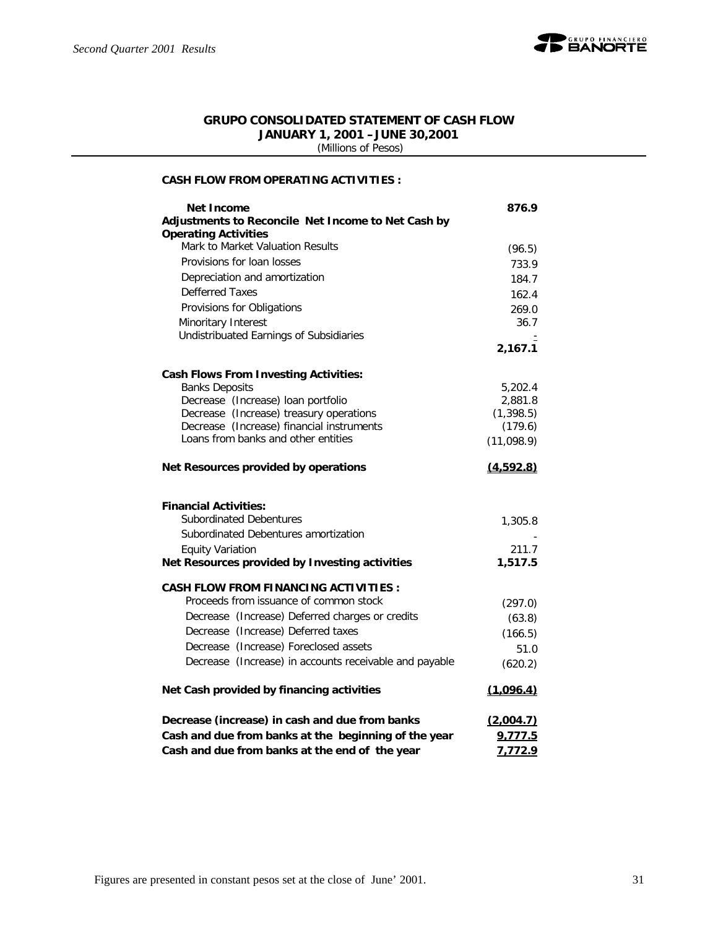

### **GRUPO CONSOLIDATED STATEMENT OF CASH FLOW JANUARY 1, 2001 –JUNE 30,2001**

 *(Millions of Pesos)*

#### **CASH FLOW FROM OPERATING ACTIVITIES :**

| <b>Net Income</b>                                              | 876.9      |
|----------------------------------------------------------------|------------|
| Adjustments to Reconcile Net Income to Net Cash by             |            |
| <b>Operating Activities</b>                                    |            |
| Mark to Market Valuation Results                               | (96.5)     |
| Provisions for loan losses                                     | 733.9      |
| Depreciation and amortization                                  | 184.7      |
| <b>Defferred Taxes</b>                                         | 162.4      |
| Provisions for Obligations                                     | 269.0      |
| Minoritary Interest                                            | 36.7       |
| Undistribuated Earnings of Subsidiaries                        |            |
|                                                                | 2,167.1    |
| <b>Cash Flows From Investing Activities:</b>                   |            |
| <b>Banks Deposits</b>                                          | 5,202.4    |
| Decrease (Increase) loan portfolio                             | 2,881.8    |
| Decrease (Increase) treasury operations                        | (1, 398.5) |
| Decrease (Increase) financial instruments                      | (179.6)    |
| Loans from banks and other entities                            | (11,098.9) |
| Net Resources provided by operations                           | (4,592.8)  |
|                                                                |            |
| <b>Financial Activities:</b><br><b>Subordinated Debentures</b> |            |
| Subordinated Debentures amortization                           | 1,305.8    |
| <b>Equity Variation</b>                                        | 211.7      |
| Net Resources provided by Investing activities                 | 1,517.5    |
| <b>CASH FLOW FROM FINANCING ACTIVITIES:</b>                    |            |
| Proceeds from issuance of common stock                         |            |
| Decrease (Increase) Deferred charges or credits                | (297.0)    |
| Decrease (Increase) Deferred taxes                             | (63.8)     |
| Decrease (Increase) Foreclosed assets                          | (166.5)    |
|                                                                | 51.0       |
| Decrease (Increase) in accounts receivable and payable         | (620.2)    |
| Net Cash provided by financing activities                      | (1,096.4)  |
| Decrease (increase) in cash and due from banks                 | (2,004.7)  |
| Cash and due from banks at the beginning of the year           | 9,777.5    |
| Cash and due from banks at the end of the year                 | 7,772.9    |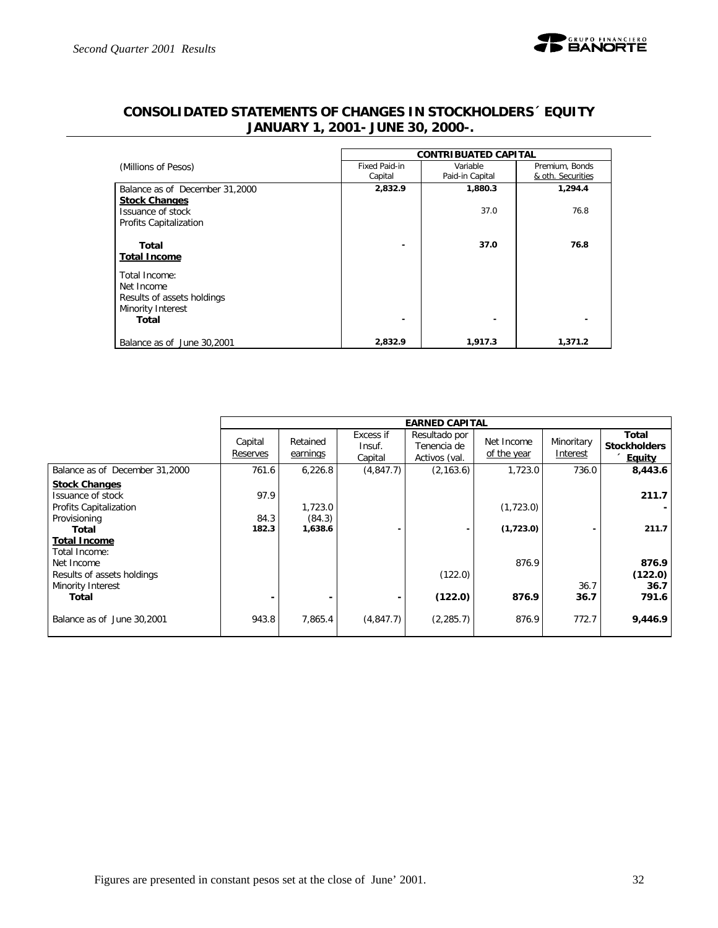

|                                                                                | <b>CONTRIBUATED CAPITAL</b> |                             |                                     |  |  |  |  |  |
|--------------------------------------------------------------------------------|-----------------------------|-----------------------------|-------------------------------------|--|--|--|--|--|
| (Millions of Pesos)                                                            | Fixed Paid-in<br>Capital    | Variable<br>Paid-in Capital | Premium, Bonds<br>& oth. Securities |  |  |  |  |  |
| Balance as of December 31,2000<br><b>Stock Changes</b>                         | 2,832.9                     | 1,880.3                     | 1,294.4                             |  |  |  |  |  |
| Issuance of stock<br>Profits Capitalization                                    |                             | 37.0                        | 76.8                                |  |  |  |  |  |
| Total<br><b>Total Income</b>                                                   | ٠                           | 37.0                        | 76.8                                |  |  |  |  |  |
| Total Income:<br>Net Income<br>Results of assets holdings<br>Minority Interest |                             |                             |                                     |  |  |  |  |  |
| Total                                                                          | -                           |                             |                                     |  |  |  |  |  |
| Balance as of June 30,2001                                                     | 2,832.9                     | 1,917.3                     | 1,371.2                             |  |  |  |  |  |

# **CONSOLIDATED STATEMENTS OF CHANGES IN STOCKHOLDERS´ EQUITY JANUARY 1, 2001- JUNE 30, 2000-.**

|                                                                                |                     |                      |                                | <b>EARNED CAPITAL</b>                         |                           |                        |                                               |
|--------------------------------------------------------------------------------|---------------------|----------------------|--------------------------------|-----------------------------------------------|---------------------------|------------------------|-----------------------------------------------|
|                                                                                | Capital<br>Reserves | Retained<br>earnings | Excess if<br>Insuf.<br>Capital | Resultado por<br>Tenencia de<br>Activos (val. | Net Income<br>of the year | Minoritary<br>Interest | Total<br><b>Stockholders</b><br><b>Equity</b> |
| Balance as of December 31,2000                                                 | 761.6               | 6,226.8              | (4, 847.7)                     | (2, 163.6)                                    | 1,723.0                   | 736.0                  | 8,443.6                                       |
| <b>Stock Changes</b><br>Issuance of stock<br>Profits Capitalization            | 97.9                | 1,723.0              |                                |                                               | (1,723.0)                 |                        | 211.7                                         |
| Provisioning<br>Total<br><b>Total Income</b>                                   | 84.3<br>182.3       | (84.3)<br>1,638.6    |                                |                                               | (1,723.0)                 |                        | 211.7                                         |
| Total Income:<br>Net Income<br>Results of assets holdings<br>Minority Interest |                     |                      |                                | (122.0)                                       | 876.9                     | 36.7                   | 876.9<br>(122.0)<br>36.7                      |
| Total                                                                          |                     |                      |                                | (122.0)                                       | 876.9                     | 36.7                   | 791.6                                         |
| Balance as of June 30,2001                                                     | 943.8               | 7.865.4              | (4, 847.7)                     | (2, 285.7)                                    | 876.9                     | 772.7                  | 9,446.9                                       |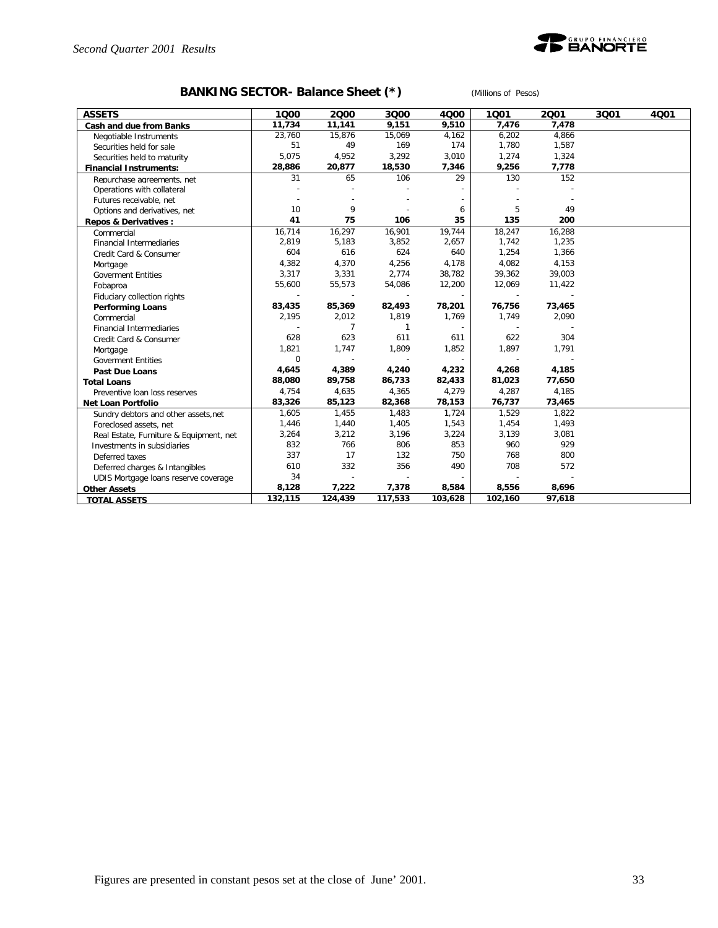

# **BANKING SECTOR- Balance Sheet (\*)** *(Millions of Pesos)*

| <b>ASSETS</b>                           | 1000     | 2000    | 3000         | 4000    | 1001    | 2001   | 3001 | 4001 |
|-----------------------------------------|----------|---------|--------------|---------|---------|--------|------|------|
| Cash and due from Banks                 | 11,734   | 11,141  | 9,151        | 9,510   | 7,476   | 7,478  |      |      |
| Negotiable Instruments                  | 23,760   | 15,876  | 15,069       | 4,162   | 6,202   | 4,866  |      |      |
| Securities held for sale                | 51       | 49      | 169          | 174     | 1,780   | 1,587  |      |      |
| Securities held to maturity             | 5,075    | 4,952   | 3,292        | 3,010   | 1,274   | 1,324  |      |      |
| <b>Financial Instruments:</b>           | 28,886   | 20,877  | 18,530       | 7,346   | 9,256   | 7,778  |      |      |
| Repurchase agreements, net              | 31       | 65      | 106          | 29      | 130     | 152    |      |      |
| Operations with collateral              |          |         |              |         |         |        |      |      |
| Futures receivable, net                 |          |         |              |         |         |        |      |      |
| Options and derivatives, net            | 10       | 9       |              | 6       | 5       | 49     |      |      |
| Repos & Derivatives:                    | 41       | 75      | 106          | 35      | 135     | 200    |      |      |
| Commercial                              | 16,714   | 16,297  | 16,901       | 19,744  | 18,247  | 16,288 |      |      |
| <b>Financial Intermediaries</b>         | 2,819    | 5,183   | 3,852        | 2,657   | 1,742   | 1,235  |      |      |
| Credit Card & Consumer                  | 604      | 616     | 624          | 640     | 1,254   | 1,366  |      |      |
| Mortgage                                | 4,382    | 4,370   | 4,256        | 4,178   | 4,082   | 4,153  |      |      |
| <b>Goverment Entities</b>               | 3,317    | 3,331   | 2,774        | 38,782  | 39,362  | 39,003 |      |      |
| Fobaproa                                | 55,600   | 55,573  | 54,086       | 12,200  | 12,069  | 11,422 |      |      |
| Fiduciary collection rights             |          |         |              |         |         |        |      |      |
| <b>Performing Loans</b>                 | 83,435   | 85,369  | 82,493       | 78,201  | 76,756  | 73,465 |      |      |
| Commercial                              | 2,195    | 2,012   | 1,819        | 1,769   | 1,749   | 2,090  |      |      |
| <b>Financial Intermediaries</b>         |          | 7       | $\mathbf{1}$ |         |         |        |      |      |
| Credit Card & Consumer                  | 628      | 623     | 611          | 611     | 622     | 304    |      |      |
| Mortgage                                | 1,821    | 1,747   | 1,809        | 1,852   | 1,897   | 1,791  |      |      |
| <b>Goverment Entities</b>               | $\Omega$ |         |              |         |         |        |      |      |
| <b>Past Due Loans</b>                   | 4,645    | 4,389   | 4,240        | 4,232   | 4,268   | 4,185  |      |      |
| <b>Total Loans</b>                      | 88,080   | 89,758  | 86,733       | 82,433  | 81,023  | 77,650 |      |      |
| Preventive loan loss reserves           | 4,754    | 4,635   | 4,365        | 4,279   | 4,287   | 4,185  |      |      |
| Net Loan Portfolio                      | 83,326   | 85,123  | 82,368       | 78,153  | 76,737  | 73,465 |      |      |
| Sundry debtors and other assets, net    | 1,605    | 1,455   | 1,483        | 1,724   | 1,529   | 1,822  |      |      |
| Foreclosed assets, net                  | 1,446    | 1,440   | 1,405        | 1,543   | 1,454   | 1,493  |      |      |
| Real Estate, Furniture & Equipment, net | 3,264    | 3,212   | 3,196        | 3,224   | 3,139   | 3,081  |      |      |
| Investments in subsidiaries             | 832      | 766     | 806          | 853     | 960     | 929    |      |      |
| Deferred taxes                          | 337      | 17      | 132          | 750     | 768     | 800    |      |      |
| Deferred charges & Intangibles          | 610      | 332     | 356          | 490     | 708     | 572    |      |      |
| UDIS Mortgage loans reserve coverage    | 34       |         |              |         |         |        |      |      |
| <b>Other Assets</b>                     | 8,128    | 7,222   | 7,378        | 8,584   | 8,556   | 8,696  |      |      |
| <b>TOTAL ASSETS</b>                     | 132,115  | 124,439 | 117,533      | 103,628 | 102,160 | 97,618 |      |      |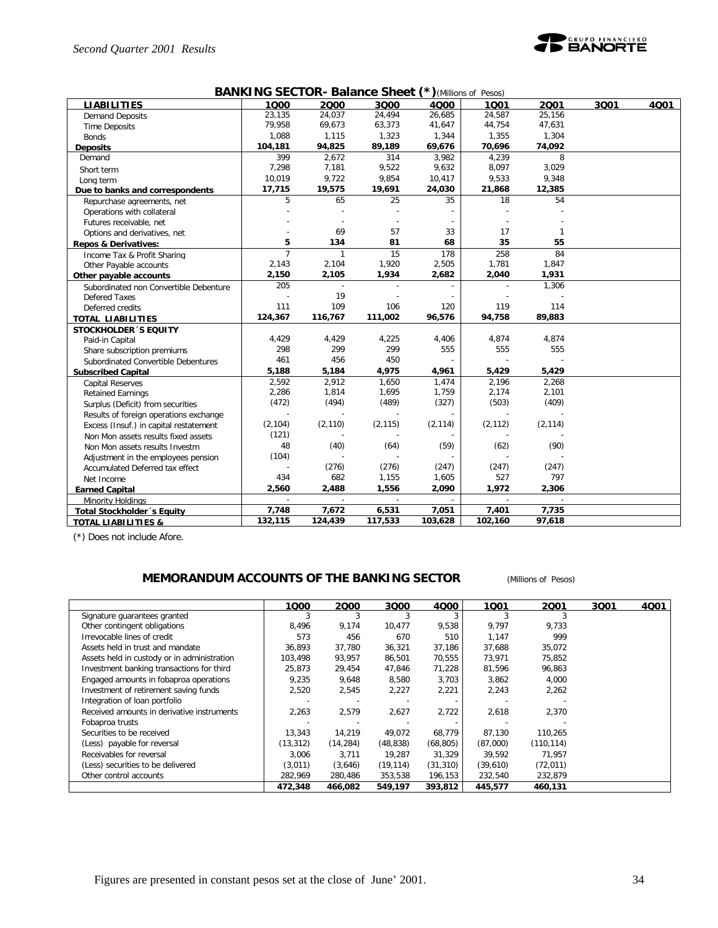

#### **BANKING SECTOR- Balance Sheet (\*)***(Millions of Pesos)*

|                                        |                |              |                          |          | , 00007  |          |      |      |
|----------------------------------------|----------------|--------------|--------------------------|----------|----------|----------|------|------|
| <b>LIABILITIES</b>                     | 1000           | 2000         | 3Q00                     | 4000     | 1001     | 2001     | 3Q01 | 4001 |
| <b>Demand Deposits</b>                 | 23,135         | 24,037       | 24,494                   | 26,685   | 24,587   | 25,156   |      |      |
| <b>Time Deposits</b>                   | 79,958         | 69,673       | 63,373                   | 41,647   | 44,754   | 47,631   |      |      |
| <b>Bonds</b>                           | 1.088          | 1,115        | 1,323                    | 1,344    | 1,355    | 1,304    |      |      |
| <b>Deposits</b>                        | 104,181        | 94,825       | 89,189                   | 69,676   | 70,696   | 74,092   |      |      |
| Demand                                 | 399            | 2,672        | 314                      | 3,982    | 4,239    | 8        |      |      |
| Short term                             | 7,298          | 7,181        | 9,522                    | 9,632    | 8,097    | 3,029    |      |      |
| Long term                              | 10,019         | 9,722        | 9,854                    | 10,417   | 9,533    | 9,348    |      |      |
| Due to banks and correspondents        | 17,715         | 19,575       | 19,691                   | 24,030   | 21,868   | 12,385   |      |      |
| Repurchase agreements, net             | 5              | 65           | 25                       | 35       | 18       | 54       |      |      |
| Operations with collateral             |                |              |                          |          |          |          |      |      |
| Futures receivable, net                |                |              |                          |          |          |          |      |      |
| Options and derivatives, net           |                | 69           | 57                       | 33       | 17       |          |      |      |
| Repos & Derivatives:                   | 5              | 134          | 81                       | 68       | 35       | 55       |      |      |
| Income Tax & Profit Sharing            | $\overline{7}$ | $\mathbf{1}$ | 15                       | 178      | 258      | 84       |      |      |
| Other Payable accounts                 | 2,143          | 2,104        | 1,920                    | 2,505    | 1,781    | 1,847    |      |      |
| Other payable accounts                 | 2,150          | 2,105        | 1,934                    | 2,682    | 2,040    | 1,931    |      |      |
| Subordinated non Convertible Debenture | 205            |              |                          |          |          | 1,306    |      |      |
| Defered Taxes                          |                | 19           |                          |          |          |          |      |      |
| Deferred credits                       | 111            | 109          | 106                      | 120      | 119      | 114      |      |      |
| <b>TOTAL LIABILITIES</b>               | 124,367        | 116,767      | 111,002                  | 96,576   | 94,758   | 89,883   |      |      |
| <b>STOCKHOLDER 'S EQUITY</b>           |                |              |                          |          |          |          |      |      |
| Paid-in Capital                        | 4,429          | 4,429        | 4,225                    | 4,406    | 4,874    | 4,874    |      |      |
| Share subscription premiums            | 298            | 299          | 299                      | 555      | 555      | 555      |      |      |
| Subordinated Convertible Debentures    | 461            | 456          | 450                      |          |          |          |      |      |
| <b>Subscribed Capital</b>              | 5,188          | 5,184        | 4,975                    | 4,961    | 5,429    | 5,429    |      |      |
| <b>Capital Reserves</b>                | 2,592          | 2,912        | 1,650                    | 1,474    | 2,196    | 2,268    |      |      |
| <b>Retained Earnings</b>               | 2,286          | 1,814        | 1,695                    | 1,759    | 2,174    | 2,101    |      |      |
| Surplus (Deficit) from securities      | (472)          | (494)        | (489)                    | (327)    | (503)    | (409)    |      |      |
| Results of foreign operations exchange |                |              |                          |          |          |          |      |      |
| Excess (Insuf.) in capital restatement | (2, 104)       | (2, 110)     | (2, 115)                 | (2, 114) | (2, 112) | (2, 114) |      |      |
| Non Mon assets results fixed assets    | (121)          |              |                          |          |          |          |      |      |
| Non Mon assets results Investm         | 48             | (40)         | (64)                     | (59)     | (62)     | (90)     |      |      |
| Adjustment in the employees pension    | (104)          |              |                          |          |          |          |      |      |
| Accumulated Deferred tax effect        |                | (276)        | (276)                    | (247)    | (247)    | (247)    |      |      |
| Net Income                             | 434            | 682          | 1,155                    | 1,605    | 527      | 797      |      |      |
| <b>Earned Capital</b>                  | 2,560          | 2,488        | 1,556                    | 2,090    | 1,972    | 2,306    |      |      |
| Minority Holdings                      | $\mathbf{r}$   | $\sim$       | $\overline{\phantom{a}}$ |          | $\sim$   | $\sim$   |      |      |
| Total Stockholder's Equity             | 7,748          | 7,672        | 6,531                    | 7,051    | 7,401    | 7,735    |      |      |
|                                        | 132,115        | 124,439      | 117,533                  | 103,628  | 102,160  | 97,618   |      |      |
| <b>TOTAL LIABILITIES &amp;</b>         |                |              |                          |          |          |          |      |      |

(\*) Does not include Afore.

### **MEMORANDUM ACCOUNTS OF THE BANKING SECTOR** *(Millions of Pesos)*

|                                             | 1000      | 2000      | 3Q00      | 4Q00      | 1001     | 2001       | 3Q01 | 4Q01 |
|---------------------------------------------|-----------|-----------|-----------|-----------|----------|------------|------|------|
| Signature quarantees granted                |           |           |           |           |          |            |      |      |
| Other contingent obligations                | 8,496     | 9,174     | 10,477    | 9,538     | 9,797    | 9,733      |      |      |
| Irrevocable lines of credit                 | 573       | 456       | 670       | 510       | 1,147    | 999        |      |      |
| Assets held in trust and mandate            | 36,893    | 37,780    | 36,321    | 37,186    | 37,688   | 35,072     |      |      |
| Assets held in custody or in administration | 103.498   | 93,957    | 86,501    | 70,555    | 73,971   | 75,852     |      |      |
| Investment banking transactions for third   | 25,873    | 29,454    | 47,846    | 71,228    | 81,596   | 96,863     |      |      |
| Engaged amounts in fobaproa operations      | 9,235     | 9,648     | 8,580     | 3,703     | 3,862    | 4,000      |      |      |
| Investment of retirement saving funds       | 2,520     | 2,545     | 2,227     | 2,221     | 2,243    | 2,262      |      |      |
| Integration of loan portfolio               |           |           |           |           |          |            |      |      |
| Received amounts in derivative instruments  | 2,263     | 2,579     | 2,627     | 2,722     | 2,618    | 2,370      |      |      |
| Fobaproa trusts                             |           |           |           |           |          |            |      |      |
| Securities to be received                   | 13,343    | 14,219    | 49,072    | 68,779    | 87,130   | 110,265    |      |      |
| (Less) payable for reversal                 | (13, 312) | (14, 284) | (48, 838) | (68, 805) | (87,000) | (110, 114) |      |      |
| Receivables for reversal                    | 3.006     | 3,711     | 19.287    | 31,329    | 39.592   | 71,957     |      |      |
| (Less) securities to be delivered           | (3,011)   | (3,646)   | (19, 114) | (31, 310) | (39,610) | (72, 011)  |      |      |
| Other control accounts                      | 282,969   | 280,486   | 353,538   | 196,153   | 232,540  | 232,879    |      |      |
|                                             | 472,348   | 466.082   | 549,197   | 393,812   | 445,577  | 460,131    |      |      |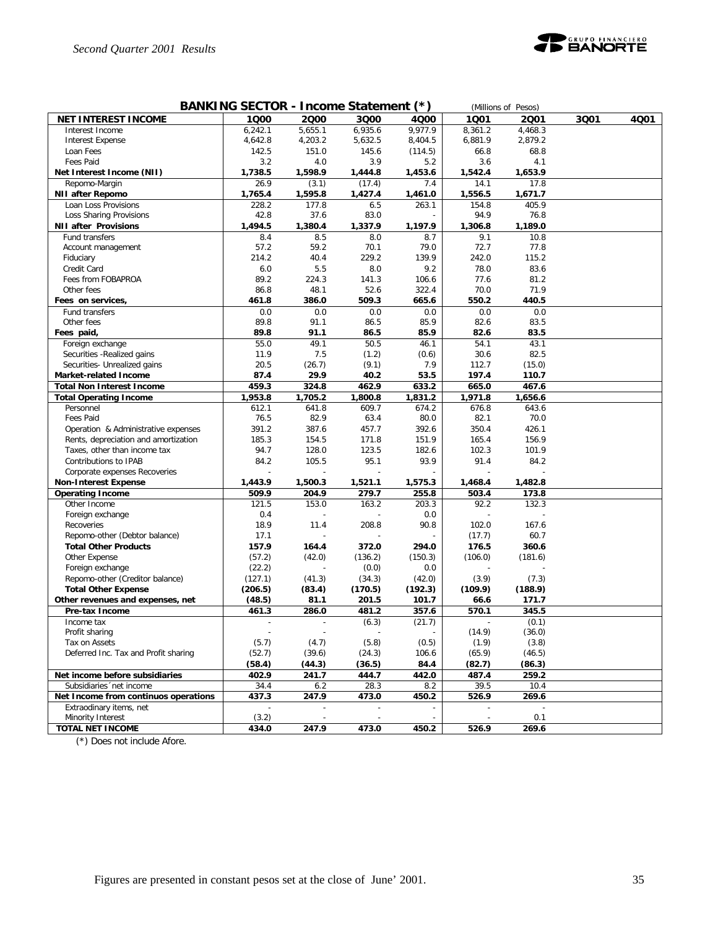

| BANKING SECTOR - Income Statement (*)<br>(Millions of Pesos) |         |         |         |         |         |         |      |      |  |  |
|--------------------------------------------------------------|---------|---------|---------|---------|---------|---------|------|------|--|--|
| <b>NET INTEREST INCOME</b>                                   | 1000    | 2000    | 3Q00    | 4000    | 1001    | 2Q01    | 3Q01 | 4001 |  |  |
| Interest Income                                              | 6,242.1 | 5,655.1 | 6,935.6 | 9,977.9 | 8,361.2 | 4,468.3 |      |      |  |  |
| Interest Expense                                             | 4,642.8 | 4,203.2 | 5,632.5 | 8,404.5 | 6,881.9 | 2,879.2 |      |      |  |  |
| Loan Fees                                                    | 142.5   | 151.0   | 145.6   | (114.5) | 66.8    | 68.8    |      |      |  |  |
| Fees Paid                                                    | 3.2     | 4.0     | 3.9     | 5.2     | 3.6     | 4.1     |      |      |  |  |
| Net Interest Income (NII)                                    | 1,738.5 | 1,598.9 | 1,444.8 | 1,453.6 | 1,542.4 | 1,653.9 |      |      |  |  |
| Repomo-Margin                                                | 26.9    | (3.1)   | (17.4)  | 7.4     | 14.1    | 17.8    |      |      |  |  |
| <b>NII after Repomo</b>                                      | 1,765.4 | 1,595.8 | 1,427.4 | 1,461.0 | 1,556.5 | 1,671.7 |      |      |  |  |
| Loan Loss Provisions                                         | 228.2   | 177.8   | 6.5     | 263.1   | 154.8   | 405.9   |      |      |  |  |
| Loss Sharing Provisions                                      | 42.8    | 37.6    | 83.0    |         | 94.9    | 76.8    |      |      |  |  |
| <b>NII after Provisions</b>                                  | 1,494.5 | 1,380.4 | 1,337.9 | 1,197.9 | 1,306.8 | 1,189.0 |      |      |  |  |
| Fund transfers                                               | 8.4     | 8.5     | 8.0     | 8.7     | 9.1     | 10.8    |      |      |  |  |
| Account management                                           | 57.2    | 59.2    | 70.1    | 79.0    | 72.7    | 77.8    |      |      |  |  |
| Fiduciary                                                    | 214.2   | 40.4    | 229.2   | 139.9   | 242.0   | 115.2   |      |      |  |  |
| Credit Card                                                  | 6.0     | 5.5     | 8.0     | 9.2     | 78.0    | 83.6    |      |      |  |  |
| Fees from FOBAPROA                                           | 89.2    | 224.3   | 141.3   | 106.6   | 77.6    | 81.2    |      |      |  |  |
| Other fees                                                   | 86.8    | 48.1    | 52.6    | 322.4   | 70.0    | 71.9    |      |      |  |  |
| Fees on services,                                            | 461.8   | 386.0   | 509.3   | 665.6   | 550.2   | 440.5   |      |      |  |  |
| Fund transfers                                               | 0.0     | 0.0     | 0.0     | 0.0     | 0.0     | 0.0     |      |      |  |  |
| Other fees                                                   | 89.8    | 91.1    | 86.5    | 85.9    | 82.6    | 83.5    |      |      |  |  |
| Fees paid,                                                   | 89.8    | 91.1    | 86.5    | 85.9    | 82.6    | 83.5    |      |      |  |  |
| Foreign exchange                                             | 55.0    | 49.1    | 50.5    | 46.1    | 54.1    | 43.1    |      |      |  |  |
| Securities - Realized gains                                  | 11.9    | 7.5     | (1.2)   | (0.6)   | 30.6    | 82.5    |      |      |  |  |
| Securities- Unrealized gains                                 | 20.5    | (26.7)  | (9.1)   | 7.9     | 112.7   | (15.0)  |      |      |  |  |
| <b>Market-related Income</b>                                 | 87.4    | 29.9    | 40.2    | 53.5    | 197.4   | 110.7   |      |      |  |  |
| <b>Total Non Interest Income</b>                             | 459.3   | 324.8   | 462.9   | 633.2   | 665.0   | 467.6   |      |      |  |  |
| <b>Total Operating Income</b>                                | 1,953.8 | 1,705.2 | 1,800.8 | 1,831.2 | 1,971.8 | 1,656.6 |      |      |  |  |
| Personnel                                                    | 612.1   | 641.8   | 609.7   | 674.2   | 676.8   | 643.6   |      |      |  |  |
| Fees Paid                                                    | 76.5    | 82.9    | 63.4    | 80.0    | 82.1    | 70.0    |      |      |  |  |
| Operation & Administrative expenses                          | 391.2   | 387.6   | 457.7   | 392.6   | 350.4   | 426.1   |      |      |  |  |
| Rents, depreciation and amortization                         | 185.3   | 154.5   | 171.8   | 151.9   | 165.4   | 156.9   |      |      |  |  |
| Taxes, other than income tax                                 | 94.7    | 128.0   | 123.5   | 182.6   | 102.3   | 101.9   |      |      |  |  |
| Contributions to IPAB                                        | 84.2    | 105.5   | 95.1    | 93.9    | 91.4    | 84.2    |      |      |  |  |
| Corporate expenses Recoveries                                |         |         |         |         |         |         |      |      |  |  |
| <b>Non-Interest Expense</b>                                  | 1,443.9 | 1,500.3 | 1,521.1 | 1,575.3 | 1,468.4 | 1,482.8 |      |      |  |  |
| <b>Operating Income</b>                                      | 509.9   | 204.9   | 279.7   | 255.8   | 503.4   | 173.8   |      |      |  |  |
| Other Income                                                 | 121.5   | 153.0   | 163.2   | 203.3   | 92.2    | 132.3   |      |      |  |  |
| Foreign exchange                                             | 0.4     |         |         | 0.0     |         |         |      |      |  |  |
| Recoveries                                                   | 18.9    | 11.4    | 208.8   | 90.8    | 102.0   | 167.6   |      |      |  |  |
| Repomo-other (Debtor balance)                                | 17.1    |         |         |         | (17.7)  | 60.7    |      |      |  |  |
| <b>Total Other Products</b>                                  | 157.9   | 164.4   | 372.0   | 294.0   | 176.5   | 360.6   |      |      |  |  |
| Other Expense                                                | (57.2)  | (42.0)  | (136.2) | (150.3) | (106.0) | (181.6) |      |      |  |  |
| Foreign exchange                                             | (22.2)  |         | (0.0)   | 0.0     |         |         |      |      |  |  |
| Repomo-other (Creditor balance)                              | (127.1) | (41.3)  | (34.3)  | (42.0)  | (3.9)   | (7.3)   |      |      |  |  |
| <b>Total Other Expense</b>                                   | (206.5) | (83.4)  | (170.5) | (192.3) | (109.9) | (188.9) |      |      |  |  |
| Other revenues and expenses, net                             | (48.5)  | 81.1    | 201.5   | 101.7   | 66.6    | 171.7   |      |      |  |  |
| Pre-tax Income                                               | 461.3   | 286.0   | 481.2   | 357.6   | 570.1   | 345.5   |      |      |  |  |
| Income tax                                                   |         | ÷,      | (6.3)   | (21.7)  |         | (0.1)   |      |      |  |  |
| Profit sharing                                               |         |         |         |         | (14.9)  | (36.0)  |      |      |  |  |
| Tax on Assets                                                | (5.7)   | (4.7)   | (5.8)   | (0.5)   | (1.9)   | (3.8)   |      |      |  |  |
| Deferred Inc. Tax and Profit sharing                         | (52.7)  | (39.6)  | (24.3)  | 106.6   | (65.9)  | (46.5)  |      |      |  |  |
|                                                              | (58.4)  | (44.3)  | (36.5)  | 84.4    | (82.7)  | (86.3)  |      |      |  |  |
| Net income before subsidiaries                               | 402.9   | 241.7   | 444.7   | 442.0   | 487.4   | 259.2   |      |      |  |  |
| Subsidiaries 'net income                                     | 34.4    | 6.2     | 28.3    | 8.2     | 39.5    | 10.4    |      |      |  |  |
| Net Income from continuos operations                         | 437.3   | 247.9   | 473.0   | 450.2   | 526.9   | 269.6   |      |      |  |  |
| Extraodinary items, net                                      |         |         |         |         |         |         |      |      |  |  |
| Minority Interest                                            | (3.2)   |         |         |         |         | 0.1     |      |      |  |  |
| <b>TOTAL NET INCOME</b>                                      | 434.0   | 247.9   | 473.0   | 450.2   | 526.9   | 269.6   |      |      |  |  |

(\*) Does not include Afore.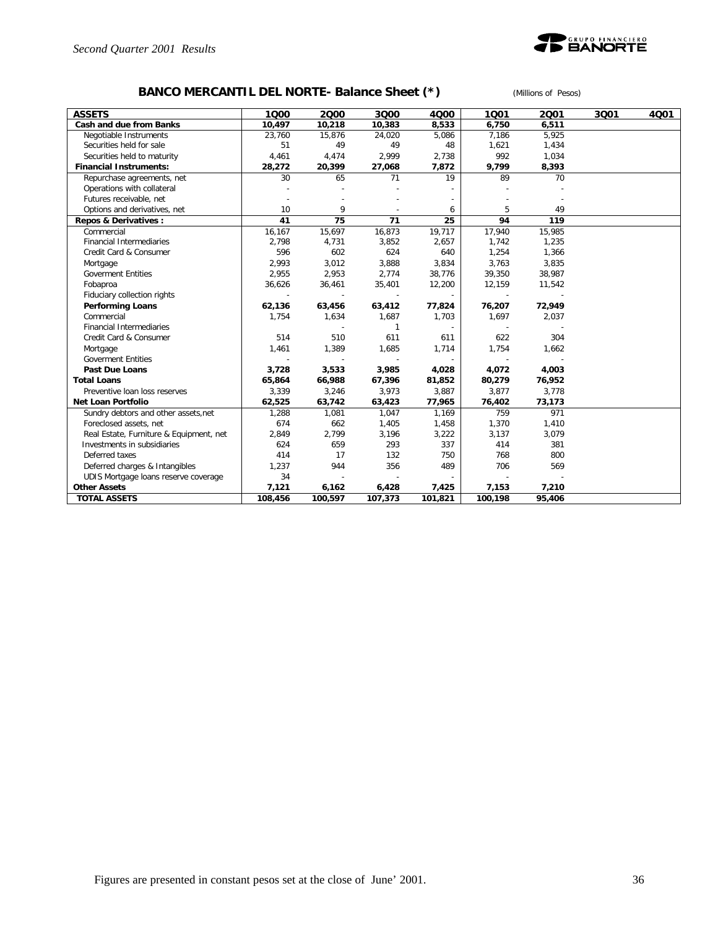

# **BANCO MERCANTIL DEL NORTE- Balance Sheet (\*)** *(Millions of Pesos)*

| <b>ASSETS</b>                           | 1000    | 2000    | 3000    | 4000    | 1001    | 2001   | 3001 | 4Q01 |
|-----------------------------------------|---------|---------|---------|---------|---------|--------|------|------|
| Cash and due from Banks                 | 10,497  | 10,218  | 10,383  | 8,533   | 6,750   | 6,511  |      |      |
| Negotiable Instruments                  | 23,760  | 15,876  | 24,020  | 5,086   | 7,186   | 5,925  |      |      |
| Securities held for sale                | 51      | 49      | 49      | 48      | 1,621   | 1,434  |      |      |
| Securities held to maturity             | 4,461   | 4,474   | 2,999   | 2,738   | 992     | 1,034  |      |      |
| <b>Financial Instruments:</b>           | 28,272  | 20,399  | 27,068  | 7,872   | 9,799   | 8,393  |      |      |
| Repurchase agreements, net              | 30      | 65      | 71      | 19      | 89      | 70     |      |      |
| Operations with collateral              |         |         |         |         |         |        |      |      |
| Futures receivable, net                 |         |         |         |         |         |        |      |      |
| Options and derivatives, net            | 10      | 9       |         | 6       | 5       | 49     |      |      |
| Repos & Derivatives :                   | 41      | 75      | 71      | 25      | 94      | 119    |      |      |
| Commercial                              | 16,167  | 15,697  | 16,873  | 19,717  | 17,940  | 15,985 |      |      |
| <b>Financial Intermediaries</b>         | 2,798   | 4,731   | 3,852   | 2,657   | 1,742   | 1,235  |      |      |
| Credit Card & Consumer                  | 596     | 602     | 624     | 640     | 1,254   | 1,366  |      |      |
| Mortgage                                | 2,993   | 3,012   | 3,888   | 3,834   | 3,763   | 3,835  |      |      |
| <b>Goverment Entities</b>               | 2.955   | 2,953   | 2,774   | 38,776  | 39,350  | 38,987 |      |      |
| Fobaproa                                | 36,626  | 36,461  | 35,401  | 12,200  | 12,159  | 11,542 |      |      |
| Fiduciary collection rights             |         |         |         |         |         |        |      |      |
| <b>Performing Loans</b>                 | 62,136  | 63,456  | 63,412  | 77,824  | 76,207  | 72,949 |      |      |
| Commercial                              | 1,754   | 1,634   | 1,687   | 1,703   | 1,697   | 2,037  |      |      |
| <b>Financial Intermediaries</b>         |         |         | 1       |         |         |        |      |      |
| Credit Card & Consumer                  | 514     | 510     | 611     | 611     | 622     | 304    |      |      |
| Mortgage                                | 1,461   | 1,389   | 1,685   | 1,714   | 1,754   | 1,662  |      |      |
| <b>Goverment Entities</b>               |         |         |         |         |         |        |      |      |
| <b>Past Due Loans</b>                   | 3,728   | 3,533   | 3,985   | 4,028   | 4,072   | 4,003  |      |      |
| <b>Total Loans</b>                      | 65,864  | 66,988  | 67,396  | 81,852  | 80,279  | 76,952 |      |      |
| Preventive loan loss reserves           | 3,339   | 3,246   | 3,973   | 3,887   | 3,877   | 3,778  |      |      |
| <b>Net Loan Portfolio</b>               | 62,525  | 63,742  | 63,423  | 77,965  | 76,402  | 73,173 |      |      |
| Sundry debtors and other assets, net    | 1,288   | 1,081   | 1,047   | 1,169   | 759     | 971    |      |      |
| Foreclosed assets, net                  | 674     | 662     | 1,405   | 1,458   | 1,370   | 1,410  |      |      |
| Real Estate, Furniture & Equipment, net | 2,849   | 2,799   | 3,196   | 3,222   | 3,137   | 3,079  |      |      |
| Investments in subsidiaries             | 624     | 659     | 293     | 337     | 414     | 381    |      |      |
| Deferred taxes                          | 414     | 17      | 132     | 750     | 768     | 800    |      |      |
| Deferred charges & Intangibles          | 1,237   | 944     | 356     | 489     | 706     | 569    |      |      |
| UDIS Mortgage loans reserve coverage    | 34      |         |         |         |         |        |      |      |
| <b>Other Assets</b>                     | 7,121   | 6,162   | 6,428   | 7,425   | 7,153   | 7,210  |      |      |
| <b>TOTAL ASSETS</b>                     | 108,456 | 100,597 | 107,373 | 101,821 | 100,198 | 95,406 |      |      |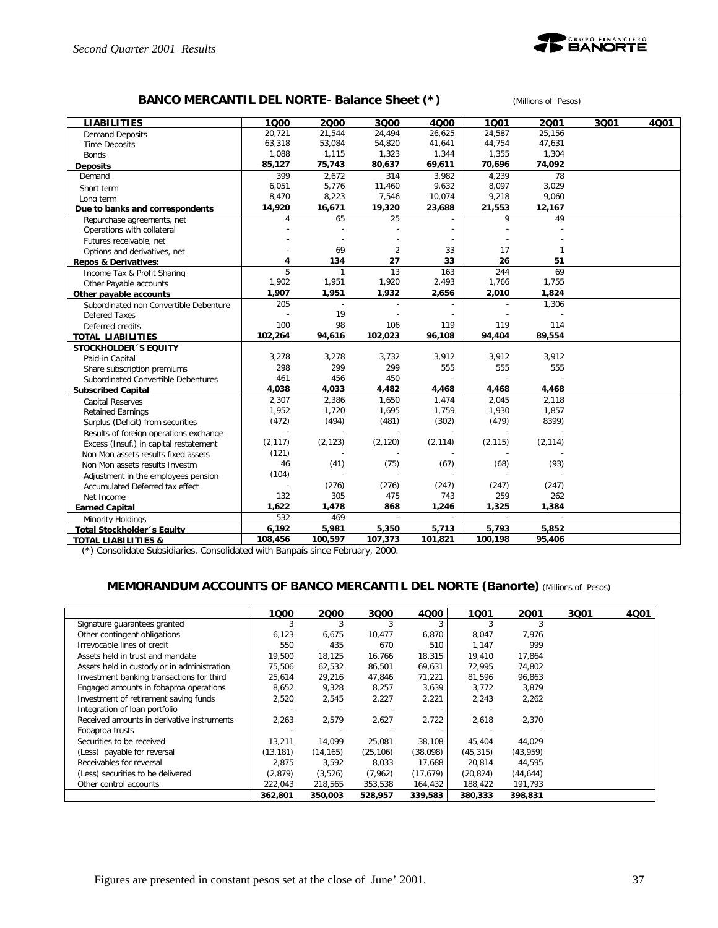

### **BANCO MERCANTIL DEL NORTE- Balance Sheet (\*)** *(Millions of Pesos)*

| <b>LIABILITIES</b>                     | 1000     | 2000         | 3000           | 4000     | 1001     | 2001           | 3Q01 | 4001 |
|----------------------------------------|----------|--------------|----------------|----------|----------|----------------|------|------|
| <b>Demand Deposits</b>                 | 20.721   | 21.544       | 24.494         | 26,625   | 24.587   | 25.156         |      |      |
| <b>Time Deposits</b>                   | 63,318   | 53,084       | 54,820         | 41,641   | 44,754   | 47,631         |      |      |
| <b>Bonds</b>                           | 1,088    | 1,115        | 1,323          | 1,344    | 1,355    | 1,304          |      |      |
| <b>Deposits</b>                        | 85,127   | 75,743       | 80,637         | 69,611   | 70,696   | 74,092         |      |      |
| Demand                                 | 399      | 2,672        | 314            | 3,982    | 4,239    | 78             |      |      |
| Short term                             | 6.051    | 5,776        | 11,460         | 9,632    | 8,097    | 3,029          |      |      |
| Long term                              | 8,470    | 8,223        | 7,546          | 10,074   | 9,218    | 9,060          |      |      |
| Due to banks and correspondents        | 14,920   | 16,671       | 19,320         | 23,688   | 21,553   | 12,167         |      |      |
| Repurchase agreements, net             | 4        | 65           | 25             |          | 9        | 49             |      |      |
| Operations with collateral             |          |              |                |          |          |                |      |      |
| Futures receivable, net                |          |              |                |          |          |                |      |      |
| Options and derivatives, net           |          | 69           | $\overline{2}$ | 33       | 17       | 1              |      |      |
| <b>Repos &amp; Derivatives:</b>        | 4        | 134          | 27             | 33       | 26       | 51             |      |      |
| Income Tax & Profit Sharing            | 5        | $\mathbf{1}$ | 13             | 163      | 244      | 69             |      |      |
| Other Payable accounts                 | 1,902    | 1,951        | 1,920          | 2,493    | 1,766    | 1,755          |      |      |
| Other payable accounts                 | 1,907    | 1,951        | 1,932          | 2,656    | 2,010    | 1,824          |      |      |
| Subordinated non Convertible Debenture | 205      | $\sim$       |                |          |          | 1,306          |      |      |
| Defered Taxes                          |          | 19           |                |          |          |                |      |      |
| Deferred credits                       | 100      | 98           | 106            | 119      | 119      | 114            |      |      |
| <b>TOTAL LIABILITIES</b>               | 102,264  | 94,616       | 102,023        | 96,108   | 94,404   | 89,554         |      |      |
| <b>STOCKHOLDER 'S EQUITY</b>           |          |              |                |          |          |                |      |      |
| Paid-in Capital                        | 3,278    | 3,278        | 3,732          | 3,912    | 3,912    | 3,912          |      |      |
| Share subscription premiums            | 298      | 299          | 299            | 555      | 555      | 555            |      |      |
| Subordinated Convertible Debentures    | 461      | 456          | 450            |          |          |                |      |      |
| <b>Subscribed Capital</b>              | 4,038    | 4,033        | 4,482          | 4,468    | 4,468    | 4,468          |      |      |
| <b>Capital Reserves</b>                | 2,307    | 2,386        | 1,650          | 1,474    | 2,045    | 2,118          |      |      |
| <b>Retained Earnings</b>               | 1,952    | 1,720        | 1,695          | 1,759    | 1,930    | 1,857          |      |      |
| Surplus (Deficit) from securities      | (472)    | (494)        | (481)          | (302)    | (479)    | 8399)          |      |      |
| Results of foreign operations exchange |          |              |                |          |          |                |      |      |
| Excess (Insuf.) in capital restatement | (2, 117) | (2, 123)     | (2, 120)       | (2, 114) | (2, 115) | (2, 114)       |      |      |
| Non Mon assets results fixed assets    | (121)    |              |                |          |          |                |      |      |
| Non Mon assets results Investm         | 46       | (41)         | (75)           | (67)     | (68)     | (93)           |      |      |
| Adjustment in the employees pension    | (104)    |              |                |          |          |                |      |      |
| Accumulated Deferred tax effect        |          | (276)        | (276)          | (247)    | (247)    | (247)          |      |      |
| Net Income                             | 132      | 305          | 475            | 743      | 259      | 262            |      |      |
| <b>Earned Capital</b>                  | 1,622    | 1,478        | 868            | 1,246    | 1,325    | 1,384          |      |      |
| Minority Holdings                      | 532      | 469          | $\overline{a}$ |          | $\sim$   | $\overline{a}$ |      |      |
| <b>Total Stockholder's Equity</b>      | 6,192    | 5,981        | 5,350          | 5,713    | 5,793    | 5,852          |      |      |
| <b>TOTAL LIABILITIES &amp;</b>         | 108,456  | 100,597      | 107,373        | 101,821  | 100,198  | 95,406         |      |      |

(\*) Consolidate Subsidiaries. Consolidated with Banpaís since February, 2000.

### **MEMORANDUM ACCOUNTS OF BANCO MERCANTIL DEL NORTE (Banorte)** *(Millions of Pesos)*

|                                             | 1Q00      | 2000      | 3Q00      | 4000      | 1001      | 2001      | 3Q01 | 4Q01 |
|---------------------------------------------|-----------|-----------|-----------|-----------|-----------|-----------|------|------|
| Signature guarantees granted                |           |           |           |           |           |           |      |      |
| Other contingent obligations                | 6,123     | 6,675     | 10,477    | 6,870     | 8,047     | 7,976     |      |      |
| Irrevocable lines of credit                 | 550       | 435       | 670       | 510       | 1,147     | 999       |      |      |
| Assets held in trust and mandate            | 19,500    | 18,125    | 16,766    | 18,315    | 19,410    | 17,864    |      |      |
| Assets held in custody or in administration | 75,506    | 62,532    | 86,501    | 69,631    | 72,995    | 74,802    |      |      |
| Investment banking transactions for third   | 25,614    | 29,216    | 47,846    | 71,221    | 81,596    | 96,863    |      |      |
| Engaged amounts in fobaproa operations      | 8,652     | 9,328     | 8,257     | 3,639     | 3,772     | 3,879     |      |      |
| Investment of retirement saving funds       | 2.520     | 2,545     | 2,227     | 2,221     | 2,243     | 2,262     |      |      |
| Integration of loan portfolio               |           |           |           |           |           |           |      |      |
| Received amounts in derivative instruments  | 2,263     | 2,579     | 2,627     | 2.722     | 2,618     | 2,370     |      |      |
| Fobaproa trusts                             |           |           |           |           |           |           |      |      |
| Securities to be received                   | 13,211    | 14.099    | 25,081    | 38,108    | 45,404    | 44.029    |      |      |
| (Less) payable for reversal                 | (13, 181) | (14, 165) | (25, 106) | (38,098)  | (45, 315) | (43, 959) |      |      |
| Receivables for reversal                    | 2.875     | 3,592     | 8,033     | 17.688    | 20,814    | 44,595    |      |      |
| (Less) securities to be delivered           | (2,879)   | (3,526)   | (7,962)   | (17, 679) | (20, 824) | (44, 644) |      |      |
| Other control accounts                      | 222,043   | 218,565   | 353,538   | 164,432   | 188,422   | 191,793   |      |      |
|                                             | 362,801   | 350,003   | 528,957   | 339,583   | 380,333   | 398,831   |      |      |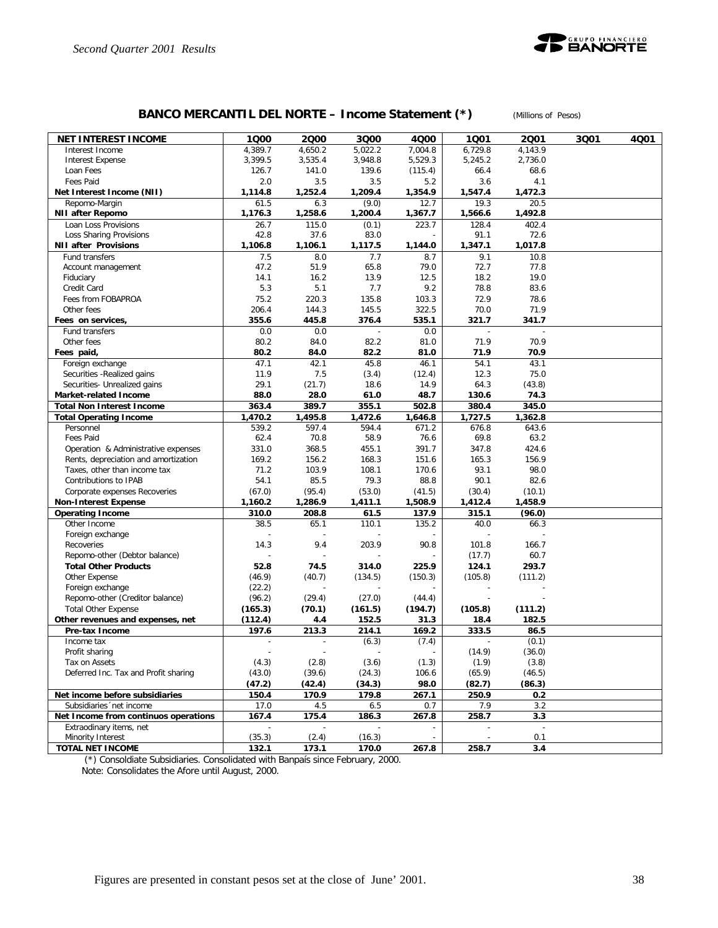

# **BANCO MERCANTIL DEL NORTE – Income Statement (\*)** *(Millions of Pesos)*

| <b>NET INTEREST INCOME</b>                                        | 1Q00             | 2000             | 3Q00             | 4Q00                     | 1001             | 2001                  | 3Q01 | 4Q01 |
|-------------------------------------------------------------------|------------------|------------------|------------------|--------------------------|------------------|-----------------------|------|------|
| Interest Income                                                   | 4,389.7          | 4,650.2          | 5,022.2          | 7,004.8                  | 6,729.8          | 4,143.9               |      |      |
| <b>Interest Expense</b>                                           | 3,399.5          | 3,535.4          | 3,948.8          | 5,529.3                  | 5,245.2          | 2,736.0               |      |      |
| Loan Fees                                                         | 126.7            | 141.0            | 139.6            | (115.4)                  | 66.4             | 68.6                  |      |      |
| Fees Paid                                                         | 2.0              | 3.5              | 3.5              | 5.2                      | 3.6              | 4.1                   |      |      |
| Net Interest Income (NII)                                         | 1,114.8          | 1,252.4          | 1,209.4          | 1,354.9                  | 1,547.4          | 1,472.3               |      |      |
| Repomo-Margin                                                     | 61.5             | 6.3              | (9.0)            | 12.7                     | 19.3             | 20.5                  |      |      |
| NII after Repomo                                                  | 1,176.3          | 1,258.6          | 1,200.4          | 1,367.7                  | 1,566.6          | 1,492.8               |      |      |
| Loan Loss Provisions                                              | 26.7<br>42.8     | 115.0            | (0.1)<br>83.0    | 223.7                    | 128.4<br>91.1    | 402.4<br>72.6         |      |      |
| Loss Sharing Provisions<br><b>NII after Provisions</b>            | 1,106.8          | 37.6<br>1,106.1  | 1,117.5          | 1,144.0                  | 1,347.1          | 1,017.8               |      |      |
| Fund transfers                                                    | 7.5              | 8.0              | 7.7              | 8.7                      | 9.1              | 10.8                  |      |      |
| Account management                                                | 47.2             | 51.9             | 65.8             | 79.0                     | 72.7             | 77.8                  |      |      |
| Fiduciary                                                         | 14.1             | 16.2             | 13.9             | 12.5                     | 18.2             | 19.0                  |      |      |
| Credit Card                                                       | 5.3              | 5.1              | 7.7              | 9.2                      | 78.8             | 83.6                  |      |      |
| Fees from FOBAPROA                                                | 75.2             | 220.3            | 135.8            | 103.3                    | 72.9             | 78.6                  |      |      |
| Other fees                                                        | 206.4            | 144.3            | 145.5            | 322.5                    | 70.0             | 71.9                  |      |      |
| Fees on services,                                                 | 355.6            | 445.8            | 376.4            | 535.1                    | 321.7            | 341.7                 |      |      |
| Fund transfers                                                    | 0.0              | 0.0              |                  | 0.0                      |                  |                       |      |      |
| Other fees                                                        | 80.2             | 84.0             | 82.2             | 81.0                     | 71.9             | 70.9                  |      |      |
| Fees paid,                                                        | 80.2             | 84.0             | 82.2             | 81.0                     | 71.9             | 70.9                  |      |      |
| Foreign exchange                                                  | 47.1             | 42.1             | 45.8             | 46.1                     | 54.1             | 43.1                  |      |      |
| Securities - Realized gains                                       | 11.9             | 7.5              | (3.4)            | (12.4)                   | 12.3             | 75.0                  |      |      |
| Securities- Unrealized gains                                      | 29.1             | (21.7)           | 18.6             | 14.9                     | 64.3             | (43.8)                |      |      |
| Market-related Income                                             | 88.0             | 28.0             | 61.0             | 48.7                     | 130.6            | 74.3<br>345.0         |      |      |
| <b>Total Non Interest Income</b><br><b>Total Operating Income</b> | 363.4<br>1,470.2 | 389.7<br>1,495.8 | 355.1<br>1,472.6 | 502.8<br>1,646.8         | 380.4<br>1,727.5 | 1,362.8               |      |      |
| Personnel                                                         | 539.2            | 597.4            | 594.4            | 671.2                    | 676.8            | 643.6                 |      |      |
| Fees Paid                                                         | 62.4             | 70.8             | 58.9             | 76.6                     | 69.8             | 63.2                  |      |      |
| Operation & Administrative expenses                               | 331.0            | 368.5            | 455.1            | 391.7                    | 347.8            | 424.6                 |      |      |
| Rents, depreciation and amortization                              | 169.2            | 156.2            | 168.3            | 151.6                    | 165.3            | 156.9                 |      |      |
| Taxes, other than income tax                                      | 71.2             | 103.9            | 108.1            | 170.6                    | 93.1             | 98.0                  |      |      |
| Contributions to IPAB                                             | 54.1             | 85.5             | 79.3             | 88.8                     | 90.1             | 82.6                  |      |      |
| Corporate expenses Recoveries                                     | (67.0)           | (95.4)           | (53.0)           | (41.5)                   | (30.4)           | (10.1)                |      |      |
| <b>Non-Interest Expense</b>                                       | 1,160.2          | 1,286.9          | 1,411.1          | 1,508.9                  | 1,412.4          | 1,458.9               |      |      |
| <b>Operating Income</b>                                           | 310.0            | 208.8            | 61.5             | 137.9                    | 315.1            | (96.0)                |      |      |
| Other Income                                                      | 38.5             | 65.1             | 110.1            | 135.2                    | 40.0             | 66.3                  |      |      |
| Foreign exchange                                                  |                  |                  |                  |                          |                  |                       |      |      |
| Recoveries                                                        | 14.3             | 9.4              | 203.9            | 90.8                     | 101.8            | 166.7                 |      |      |
| Repomo-other (Debtor balance)<br><b>Total Other Products</b>      | 52.8             | 74.5             | 314.0            | 225.9                    | (17.7)<br>124.1  | 60.7<br>293.7         |      |      |
| Other Expense                                                     | (46.9)           | (40.7)           | (134.5)          | (150.3)                  | (105.8)          | (111.2)               |      |      |
| Foreign exchange                                                  | (22.2)           |                  |                  |                          |                  |                       |      |      |
| Repomo-other (Creditor balance)                                   | (96.2)           | (29.4)           | (27.0)           | (44.4)                   |                  |                       |      |      |
| <b>Total Other Expense</b>                                        | (165.3)          | (70.1)           | (161.5)          | (194.7)                  | (105.8)          | (111.2)               |      |      |
| Other revenues and expenses, net                                  | (112.4)          | 4.4              | 152.5            | 31.3                     | 18.4             | 182.5                 |      |      |
| Pre-tax Income                                                    | 197.6            | 213.3            | 214.1            | 169.2                    | 333.5            | 86.5                  |      |      |
| Income tax                                                        |                  |                  | (6.3)            | (7.4)                    |                  | (0.1)                 |      |      |
| Profit sharing                                                    |                  |                  |                  | $\overline{\phantom{a}}$ | (14.9)           | (36.0)                |      |      |
| Tax on Assets                                                     | (4.3)            | (2.8)            | (3.6)            | (1.3)                    | (1.9)            | (3.8)                 |      |      |
| Deferred Inc. Tax and Profit sharing                              | (43.0)           | (39.6)           | (24.3)           | 106.6                    | (65.9)           | (46.5)                |      |      |
|                                                                   | (47.2)           | (42.4)           | (34.3)           | 98.0                     | (82.7)           | (86.3)                |      |      |
| Net income before subsidiaries                                    | 150.4            | 170.9            | 179.8            | 267.1                    | 250.9            | 0.2                   |      |      |
| Subsidiaries 'net income                                          | 17.0             | 4.5              | 6.5              | 0.7                      | 7.9              | 3.2                   |      |      |
| Net Income from continuos operations<br>Extraodinary items, net   | 167.4            | 175.4            | 186.3            | 267.8                    | 258.7            | 3.3                   |      |      |
| Minority Interest                                                 | (35.3)           | (2.4)            | (16.3)           | $\overline{\phantom{a}}$ |                  | $\blacksquare$<br>0.1 |      |      |
| <b>TOTAL NET INCOME</b>                                           | 132.1            | 173.1            | 170.0            | 267.8                    | 258.7            | 3.4                   |      |      |
|                                                                   |                  |                  |                  |                          |                  |                       |      |      |

(\*) Consoldiate Subsidiaries. Consolidated with Banpaís since February, 2000.

Note: Consolidates the Afore until August, 2000.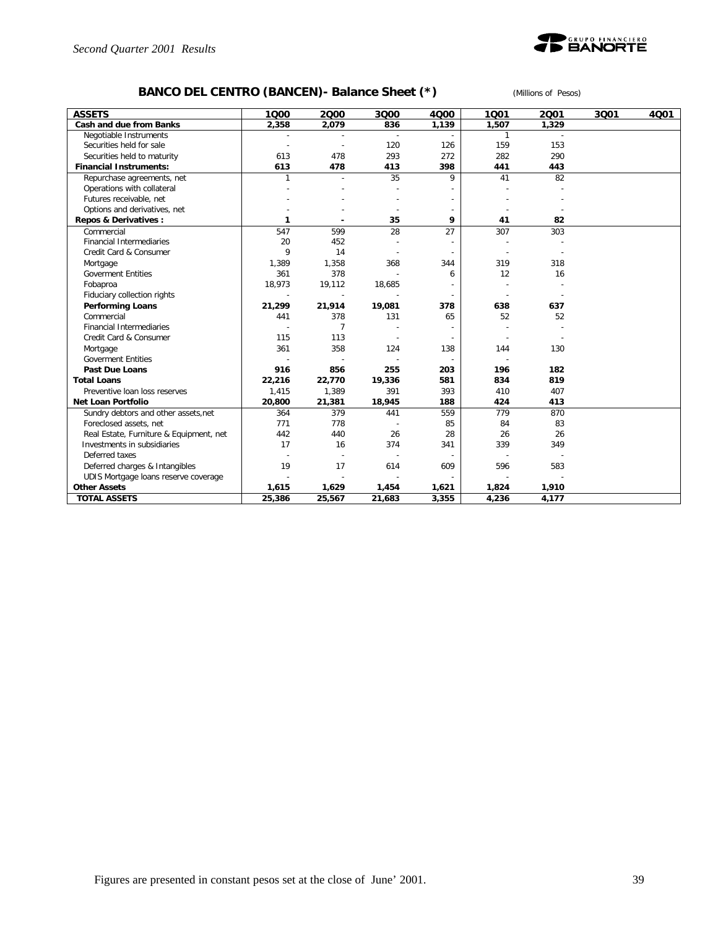

# **BANCO DEL CENTRO (BANCEN)- Balance Sheet (\*)** *(Millions of Pesos)*

| <b>ASSETS</b>                           | 1000         | 2000                     | 3000   | 4000  | 1001                     | 2001  | 3001 | 4001 |
|-----------------------------------------|--------------|--------------------------|--------|-------|--------------------------|-------|------|------|
| Cash and due from Banks                 | 2,358        | 2,079                    | 836    | 1,139 | 1,507                    | 1,329 |      |      |
| Negotiable Instruments                  |              |                          |        |       | 1                        |       |      |      |
| Securities held for sale                |              |                          | 120    | 126   | 159                      | 153   |      |      |
| Securities held to maturity             | 613          | 478                      | 293    | 272   | 282                      | 290   |      |      |
| <b>Financial Instruments:</b>           | 613          | 478                      | 413    | 398   | 441                      | 443   |      |      |
| Repurchase agreements, net              |              |                          | 35     | 9     | 41                       | 82    |      |      |
| Operations with collateral              |              |                          |        |       |                          |       |      |      |
| Futures receivable, net                 |              |                          |        |       |                          |       |      |      |
| Options and derivatives, net            |              |                          |        |       |                          |       |      |      |
| Repos & Derivatives :                   | 1            |                          | 35     | 9     | 41                       | 82    |      |      |
| Commercial                              | 547          | 599                      | 28     | 27    | 307                      | 303   |      |      |
| <b>Financial Intermediaries</b>         | 20           | 452                      |        |       |                          |       |      |      |
| Credit Card & Consumer                  | $\mathsf{Q}$ | 14                       |        |       | $\overline{\phantom{a}}$ |       |      |      |
| Mortgage                                | 1.389        | 1,358                    | 368    | 344   | 319                      | 318   |      |      |
| <b>Goverment Entities</b>               | 361          | 378                      |        | 6     | 12                       | 16    |      |      |
| Fobaproa                                | 18,973       | 19,112                   | 18,685 |       |                          |       |      |      |
| Fiduciary collection rights             |              | $\overline{\phantom{a}}$ |        |       |                          |       |      |      |
| <b>Performing Loans</b>                 | 21,299       | 21,914                   | 19,081 | 378   | 638                      | 637   |      |      |
| Commercial                              | 441          | 378                      | 131    | 65    | 52                       | 52    |      |      |
| <b>Financial Intermediaries</b>         |              | $\overline{7}$           |        |       |                          |       |      |      |
| Credit Card & Consumer                  | 115          | 113                      |        |       | $\overline{\phantom{a}}$ |       |      |      |
| Mortgage                                | 361          | 358                      | 124    | 138   | 144                      | 130   |      |      |
| <b>Goverment Entities</b>               |              |                          |        |       |                          |       |      |      |
| Past Due Loans                          | 916          | 856                      | 255    | 203   | 196                      | 182   |      |      |
| <b>Total Loans</b>                      | 22,216       | 22,770                   | 19,336 | 581   | 834                      | 819   |      |      |
| Preventive loan loss reserves           | 1,415        | 1,389                    | 391    | 393   | 410                      | 407   |      |      |
| <b>Net Loan Portfolio</b>               | 20,800       | 21,381                   | 18,945 | 188   | 424                      | 413   |      |      |
| Sundry debtors and other assets, net    | 364          | 379                      | 441    | 559   | 779                      | 870   |      |      |
| Foreclosed assets, net                  | 771          | 778                      |        | 85    | 84                       | 83    |      |      |
| Real Estate, Furniture & Equipment, net | 442          | 440                      | 26     | 28    | 26                       | 26    |      |      |
| Investments in subsidiaries             | 17           | 16                       | 374    | 341   | 339                      | 349   |      |      |
| Deferred taxes                          |              |                          |        |       |                          |       |      |      |
| Deferred charges & Intangibles          | 19           | 17                       | 614    | 609   | 596                      | 583   |      |      |
| UDIS Mortgage loans reserve coverage    |              |                          |        |       |                          |       |      |      |
| <b>Other Assets</b>                     | 1,615        | 1,629                    | 1,454  | 1,621 | 1,824                    | 1,910 |      |      |
| <b>TOTAL ASSETS</b>                     | 25,386       | 25,567                   | 21,683 | 3,355 | 4,236                    | 4,177 |      |      |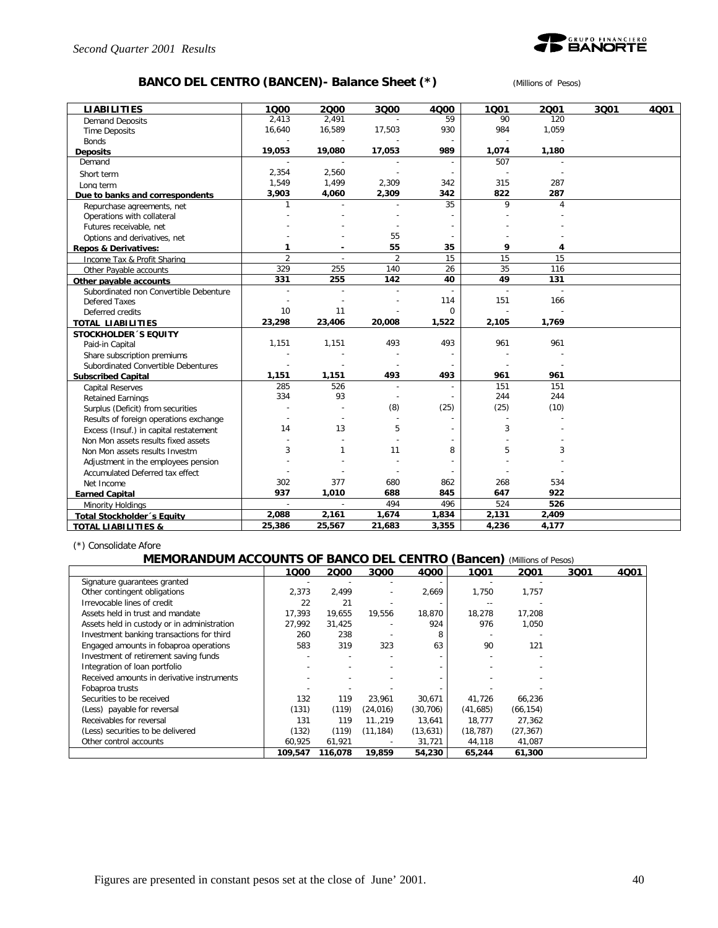

# **BANCO DEL CENTRO (BANCEN)- Balance Sheet (\*)** *(Millions of Pesos)*

| <b>LIABILITIES</b>                     | 1000           | 2000           | 3000           | 4000           | 1001  | 2001  | 3Q01 | 4001 |
|----------------------------------------|----------------|----------------|----------------|----------------|-------|-------|------|------|
| <b>Demand Deposits</b>                 | 2,413          | 2,491          |                | 59             | 90    | 120   |      |      |
| <b>Time Deposits</b>                   | 16,640         | 16,589         | 17,503         | 930            | 984   | 1,059 |      |      |
| <b>Bonds</b>                           |                |                |                | $\sim$         |       |       |      |      |
| <b>Deposits</b>                        | 19,053         | 19,080         | 17,053         | 989            | 1,074 | 1,180 |      |      |
| Demand                                 |                |                |                |                | 507   |       |      |      |
| Short term                             | 2,354          | 2,560          |                | $\overline{a}$ |       |       |      |      |
| Long term                              | 1,549          | 1,499          | 2,309          | 342            | 315   | 287   |      |      |
| Due to banks and correspondents        | 3,903          | 4,060          | 2,309          | 342            | 822   | 287   |      |      |
| Repurchase agreements, net             | 1              |                |                | 35             | 9     | 4     |      |      |
| Operations with collateral             |                |                |                |                |       |       |      |      |
| Futures receivable, net                |                |                |                |                |       |       |      |      |
| Options and derivatives, net           |                |                | 55             |                |       |       |      |      |
| <b>Repos &amp; Derivatives:</b>        | 1              |                | 55             | 35             | 9     | 4     |      |      |
| Income Tax & Profit Sharing            | $\overline{2}$ | $\overline{a}$ | $\overline{2}$ | 15             | 15    | 15    |      |      |
| Other Payable accounts                 | 329            | 255            | 140            | 26             | 35    | 116   |      |      |
| Other payable accounts                 | 331            | 255            | 142            | 40             | 49    | 131   |      |      |
| Subordinated non Convertible Debenture |                |                |                |                |       |       |      |      |
| <b>Defered Taxes</b>                   |                |                |                | 114            | 151   | 166   |      |      |
| Deferred credits                       | 10             | 11             |                | $\Omega$       |       |       |      |      |
| <b>TOTAL LIABILITIES</b>               | 23,298         | 23,406         | 20,008         | 1,522          | 2,105 | 1,769 |      |      |
| <b>STOCKHOLDER 'S EQUITY</b>           |                |                |                |                |       |       |      |      |
| Paid-in Capital                        | 1,151          | 1,151          | 493            | 493            | 961   | 961   |      |      |
| Share subscription premiums            |                |                |                | $\sim$         |       |       |      |      |
| Subordinated Convertible Debentures    |                |                |                |                |       |       |      |      |
| <b>Subscribed Capital</b>              | 1,151          | 1,151          | 493            | 493            | 961   | 961   |      |      |
| <b>Capital Reserves</b>                | 285            | 526            | $\overline{a}$ | $\overline{a}$ | 151   | 151   |      |      |
| <b>Retained Earnings</b>               | 334            | 93             |                | $\overline{a}$ | 244   | 244   |      |      |
| Surplus (Deficit) from securities      |                |                | (8)            | (25)           | (25)  | (10)  |      |      |
| Results of foreign operations exchange |                |                |                |                |       |       |      |      |
| Excess (Insuf.) in capital restatement | 14             | 13             | 5              |                | 3     |       |      |      |
| Non Mon assets results fixed assets    |                |                |                |                |       |       |      |      |
| Non Mon assets results Investm         | 3              | $\mathbf{1}$   | 11             | 8              | 5     | 3     |      |      |
| Adjustment in the employees pension    |                |                |                |                |       |       |      |      |
| Accumulated Deferred tax effect        |                |                |                |                |       |       |      |      |
| Net Income                             | 302            | 377            | 680            | 862            | 268   | 534   |      |      |
| <b>Earned Capital</b>                  | 937            | 1,010          | 688            | 845            | 647   | 922   |      |      |
| Minority Holdings                      | $\sim$         | $\sim$         | 494            | 496            | 524   | 526   |      |      |
| Total Stockholder's Equity             | 2,088          | 2,161          | 1,674          | 1,834          | 2,131 | 2,409 |      |      |
| <b>TOTAL LIABILITIES &amp;</b>         | 25,386         | 25,567         | 21,683         | 3,355          | 4,236 | 4,177 |      |      |

(\*) Consolidate Afore

### **MEMORANDUM ACCOUNTS OF BANCO DEL CENTRO (Bancen)** *(Millions of Pesos)*

|                                             | 1000    | 2000    | 3000                     | 4000      | 1001      | 2001      | 3Q01 | 4Q01 |
|---------------------------------------------|---------|---------|--------------------------|-----------|-----------|-----------|------|------|
| Signature quarantees granted                |         |         |                          |           |           |           |      |      |
| Other contingent obligations                | 2,373   | 2,499   | $\overline{\phantom{a}}$ | 2,669     | 1,750     | 1,757     |      |      |
| Irrevocable lines of credit                 | 22      | 21      |                          |           | $- -$     |           |      |      |
| Assets held in trust and mandate            | 17,393  | 19,655  | 19,556                   | 18,870    | 18,278    | 17,208    |      |      |
| Assets held in custody or in administration | 27,992  | 31,425  |                          | 924       | 976       | 1,050     |      |      |
| Investment banking transactions for third   | 260     | 238     |                          | 8         |           |           |      |      |
| Engaged amounts in fobaproa operations      | 583     | 319     | 323                      | 63        | 90        | 121       |      |      |
| Investment of retirement saving funds       |         |         |                          |           |           |           |      |      |
| Integration of loan portfolio               |         |         |                          |           |           |           |      |      |
| Received amounts in derivative instruments  |         |         |                          |           |           |           |      |      |
| Fobaproa trusts                             |         |         |                          |           |           |           |      |      |
| Securities to be received                   | 132     | 119     | 23,961                   | 30,671    | 41,726    | 66,236    |      |      |
| (Less) payable for reversal                 | (131)   | (119)   | (24, 016)                | (30, 706) | (41,685)  | (66, 154) |      |      |
| Receivables for reversal                    | 131     | 119     | 11.,219                  | 13,641    | 18,777    | 27,362    |      |      |
| (Less) securities to be delivered           | (132)   | (119)   | (11,184)                 | (13, 631) | (18, 787) | (27, 367) |      |      |
| Other control accounts                      | 60.925  | 61,921  |                          | 31,721    | 44,118    | 41,087    |      |      |
|                                             | 109,547 | 116,078 | 19,859                   | 54,230    | 65,244    | 61,300    |      |      |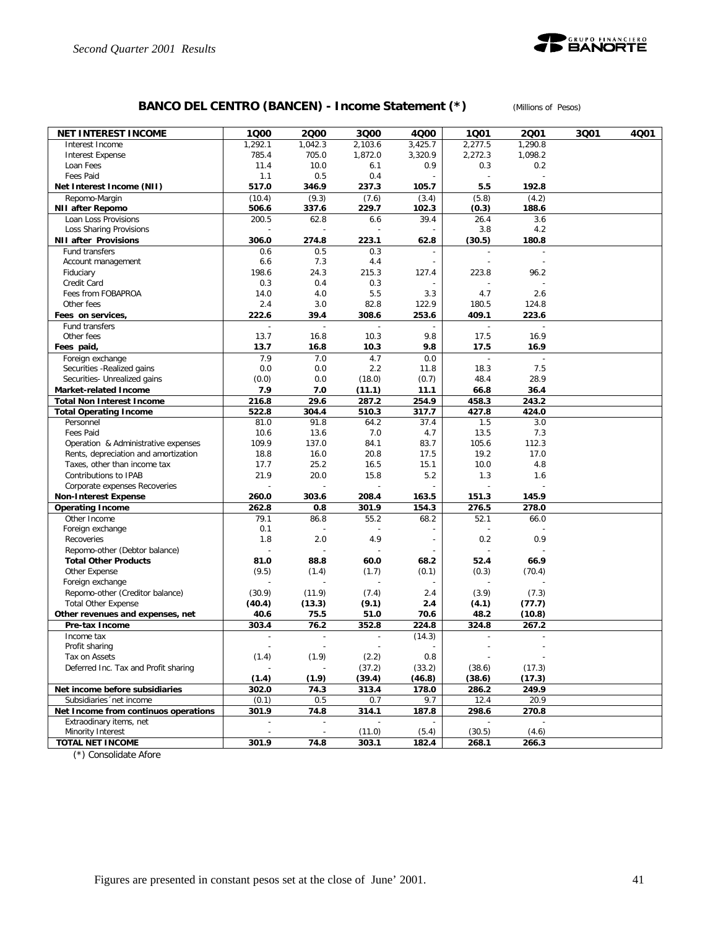

# **BANCO DEL CENTRO (BANCEN) - Income Statement (\*)** *(Millions of Pesos)*

| 1.292.1<br>1,042.3<br>2,103.6<br>3,425.7<br>2,277.5<br>1,290.8<br>Interest Income<br>785.4<br>705.0<br>1,872.0<br>3,320.9<br>2,272.3<br>1,098.2<br><b>Interest Expense</b><br>11.4<br>10.0<br>Loan Fees<br>6.1<br>0.9<br>0.3<br>0.2<br>Fees Paid<br>1.1<br>0.5<br>0.4<br>$\overline{\phantom{a}}$<br>$\overline{a}$<br>517.0<br>237.3<br>192.8<br>Net Interest Income (NII)<br>346.9<br>105.7<br>5.5<br>Repomo-Margin<br>(10.4)<br>(9.3)<br>(7.6)<br>(3.4)<br>(5.8)<br>(4.2)<br>229.7<br>188.6<br><b>NII after Repomo</b><br>506.6<br>337.6<br>102.3<br>(0.3)<br>200.5<br>62.8<br>Loan Loss Provisions<br>6.6<br>39.4<br>26.4<br>3.6<br>3.8<br>4.2<br>Loss Sharing Provisions<br>306.0<br>274.8<br>223.1<br>(30.5)<br>180.8<br><b>NII after Provisions</b><br>62.8<br>0.5<br>0.3<br>Fund transfers<br>0.6<br>$\overline{\phantom{a}}$<br>$\overline{\phantom{a}}$<br>÷<br>6.6<br>7.3<br>4.4<br>Account management<br>$\overline{a}$<br>$\overline{\phantom{a}}$<br>24.3<br>215.3<br>Fiduciary<br>198.6<br>127.4<br>223.8<br>96.2<br>0.3<br>0.4<br>Credit Card<br>0.3<br>5.5<br>Fees from FOBAPROA<br>14.0<br>4.0<br>3.3<br>4.7<br>2.6<br>2.4<br>3.0<br>82.8<br>180.5<br>124.8<br>Other fees<br>122.9<br>222.6<br>409.1<br>223.6<br>Fees on services,<br>39.4<br>308.6<br>253.6<br>Fund transfers<br>$\overline{a}$<br>13.7<br>10.3<br>9.8<br>16.9<br>Other fees<br>16.8<br>17.5<br>13.7<br>16.9<br>Fees paid,<br>16.8<br>10.3<br>9.8<br>17.5<br>7.9<br>0.0<br>Foreign exchange<br>7.0<br>4.7<br>18.3<br>7.5<br>Securities - Realized gains<br>0.0<br>0.0<br>2.2<br>11.8<br>(0.0)<br>0.0<br>(18.0)<br>(0.7)<br>48.4<br>28.9<br>Securities- Unrealized gains<br>7.9<br>7.0<br>Market-related Income<br>(11.1)<br>11.1<br>66.8<br>36.4<br>29.6<br>216.8<br>287.2<br>254.9<br>458.3<br>243.2<br><b>Total Non Interest Income</b><br>522.8<br>304.4<br>510.3<br>317.7<br>427.8<br>424.0<br><b>Total Operating Income</b><br>81.0<br>91.8<br>64.2<br>37.4<br>1.5<br>3.0<br>Personnel<br>Fees Paid<br>7.0<br>4.7<br>7.3<br>10.6<br>13.6<br>13.5<br>109.9<br>137.0<br>84.1<br>83.7<br>105.6<br>112.3<br>Operation & Administrative expenses<br>18.8<br>16.0<br>20.8<br>19.2<br>17.0<br>Rents, depreciation and amortization<br>17.5<br>25.2<br>15.1<br>4.8<br>Taxes, other than income tax<br>17.7<br>16.5<br>10.0<br>21.9<br>20.0<br>15.8<br>5.2<br>1.3<br>Contributions to IPAB<br>1.6<br>Corporate expenses Recoveries<br>260.0<br>303.6<br>208.4<br>163.5<br>151.3<br>145.9<br><b>Non-Interest Expense</b><br>276.5<br>262.8<br>301.9<br>154.3<br>278.0<br><b>Operating Income</b><br>0.8<br>Other Income<br>79.1<br>86.8<br>55.2<br>68.2<br>52.1<br>66.0<br>Foreign exchange<br>0.1<br>1.8<br>2.0<br>4.9<br>0.2<br>0.9<br>Recoveries<br>$\overline{\phantom{a}}$<br>Repomo-other (Debtor balance)<br>÷<br>$\overline{\phantom{a}}$<br><b>Total Other Products</b><br>81.0<br>88.8<br>60.0<br>68.2<br>52.4<br>66.9<br>(9.5)<br>Other Expense<br>(1.4)<br>(1.7)<br>(0.1)<br>(0.3)<br>(70.4)<br>Foreign exchange<br>Repomo-other (Creditor balance)<br>(7.4)<br>(3.9)<br>(30.9)<br>(11.9)<br>2.4<br>(7.3)<br><b>Total Other Expense</b><br>(9.1)<br>(40.4)<br>(13.3)<br>2.4<br>(4.1)<br>(77.7)<br>Other revenues and expenses, net<br>40.6<br>75.5<br>51.0<br>70.6<br>48.2<br>(10.8)<br>303.4<br>76.2<br>352.8<br>224.8<br>324.8<br>267.2<br>Pre-tax Income<br>(14.3)<br>Income tax<br>$\overline{a}$<br>$\mathbb{L}$<br>$\blacksquare$<br>$\overline{\phantom{a}}$<br>$\overline{a}$<br>Profit sharing<br>$\overline{a}$<br>$\overline{a}$<br>÷<br>(1.9)<br>(1.4)<br>Tax on Assets<br>(2.2)<br>0.8<br>(37.2)<br>(33.2)<br>(38.6)<br>(17.3)<br>Deferred Inc. Tax and Profit sharing<br>(39.4)<br>(1.4)<br>(1.9)<br>(46.8)<br>(38.6)<br>(17.3)<br>Net income before subsidiaries<br>302.0<br>313.4<br>178.0<br>286.2<br>249.9<br>74.3<br>Subsidiaries 'net income<br>(0.1)<br>0.5<br>0.7<br>9.7<br>12.4<br>20.9<br>Net Income from continuos operations<br>301.9<br>74.8<br>314.1<br>187.8<br>298.6<br>270.8<br>Extraodinary items, net<br>$\overline{\phantom{a}}$<br>$\overline{\phantom{a}}$<br>Minority Interest<br>(11.0)<br>(5.4)<br>(30.5)<br>(4.6)<br>$\overline{\phantom{a}}$<br>$\overline{\phantom{a}}$<br><b>TOTAL NET INCOME</b><br>301.9<br>74.8<br>303.1<br>266.3<br>182.4<br>268.1 | <b>NET INTEREST INCOME</b> | 1000 | 2000 | 3000 | 4000 | 1001 | 2001 | 3Q01 | 4Q01 |
|---------------------------------------------------------------------------------------------------------------------------------------------------------------------------------------------------------------------------------------------------------------------------------------------------------------------------------------------------------------------------------------------------------------------------------------------------------------------------------------------------------------------------------------------------------------------------------------------------------------------------------------------------------------------------------------------------------------------------------------------------------------------------------------------------------------------------------------------------------------------------------------------------------------------------------------------------------------------------------------------------------------------------------------------------------------------------------------------------------------------------------------------------------------------------------------------------------------------------------------------------------------------------------------------------------------------------------------------------------------------------------------------------------------------------------------------------------------------------------------------------------------------------------------------------------------------------------------------------------------------------------------------------------------------------------------------------------------------------------------------------------------------------------------------------------------------------------------------------------------------------------------------------------------------------------------------------------------------------------------------------------------------------------------------------------------------------------------------------------------------------------------------------------------------------------------------------------------------------------------------------------------------------------------------------------------------------------------------------------------------------------------------------------------------------------------------------------------------------------------------------------------------------------------------------------------------------------------------------------------------------------------------------------------------------------------------------------------------------------------------------------------------------------------------------------------------------------------------------------------------------------------------------------------------------------------------------------------------------------------------------------------------------------------------------------------------------------------------------------------------------------------------------------------------------------------------------------------------------------------------------------------------------------------------------------------------------------------------------------------------------------------------------------------------------------------------------------------------------------------------------------------------------------------------------------------------------------------------------------------------------------------------------------------------------------------------------------------------------------------------------------------------------------------------------------------------------------------------------------------------------------------------------------------------------------------------------------------------------------------------------------------------------------------------------------------------------------------------------------------------------------------------------------------------------------------------------------------------------------------------------------------------------------------------|----------------------------|------|------|------|------|------|------|------|------|
|                                                                                                                                                                                                                                                                                                                                                                                                                                                                                                                                                                                                                                                                                                                                                                                                                                                                                                                                                                                                                                                                                                                                                                                                                                                                                                                                                                                                                                                                                                                                                                                                                                                                                                                                                                                                                                                                                                                                                                                                                                                                                                                                                                                                                                                                                                                                                                                                                                                                                                                                                                                                                                                                                                                                                                                                                                                                                                                                                                                                                                                                                                                                                                                                                                                                                                                                                                                                                                                                                                                                                                                                                                                                                                                                                                                                                                                                                                                                                                                                                                                                                                                                                                                                                                                                                             |                            |      |      |      |      |      |      |      |      |
|                                                                                                                                                                                                                                                                                                                                                                                                                                                                                                                                                                                                                                                                                                                                                                                                                                                                                                                                                                                                                                                                                                                                                                                                                                                                                                                                                                                                                                                                                                                                                                                                                                                                                                                                                                                                                                                                                                                                                                                                                                                                                                                                                                                                                                                                                                                                                                                                                                                                                                                                                                                                                                                                                                                                                                                                                                                                                                                                                                                                                                                                                                                                                                                                                                                                                                                                                                                                                                                                                                                                                                                                                                                                                                                                                                                                                                                                                                                                                                                                                                                                                                                                                                                                                                                                                             |                            |      |      |      |      |      |      |      |      |
|                                                                                                                                                                                                                                                                                                                                                                                                                                                                                                                                                                                                                                                                                                                                                                                                                                                                                                                                                                                                                                                                                                                                                                                                                                                                                                                                                                                                                                                                                                                                                                                                                                                                                                                                                                                                                                                                                                                                                                                                                                                                                                                                                                                                                                                                                                                                                                                                                                                                                                                                                                                                                                                                                                                                                                                                                                                                                                                                                                                                                                                                                                                                                                                                                                                                                                                                                                                                                                                                                                                                                                                                                                                                                                                                                                                                                                                                                                                                                                                                                                                                                                                                                                                                                                                                                             |                            |      |      |      |      |      |      |      |      |
|                                                                                                                                                                                                                                                                                                                                                                                                                                                                                                                                                                                                                                                                                                                                                                                                                                                                                                                                                                                                                                                                                                                                                                                                                                                                                                                                                                                                                                                                                                                                                                                                                                                                                                                                                                                                                                                                                                                                                                                                                                                                                                                                                                                                                                                                                                                                                                                                                                                                                                                                                                                                                                                                                                                                                                                                                                                                                                                                                                                                                                                                                                                                                                                                                                                                                                                                                                                                                                                                                                                                                                                                                                                                                                                                                                                                                                                                                                                                                                                                                                                                                                                                                                                                                                                                                             |                            |      |      |      |      |      |      |      |      |
|                                                                                                                                                                                                                                                                                                                                                                                                                                                                                                                                                                                                                                                                                                                                                                                                                                                                                                                                                                                                                                                                                                                                                                                                                                                                                                                                                                                                                                                                                                                                                                                                                                                                                                                                                                                                                                                                                                                                                                                                                                                                                                                                                                                                                                                                                                                                                                                                                                                                                                                                                                                                                                                                                                                                                                                                                                                                                                                                                                                                                                                                                                                                                                                                                                                                                                                                                                                                                                                                                                                                                                                                                                                                                                                                                                                                                                                                                                                                                                                                                                                                                                                                                                                                                                                                                             |                            |      |      |      |      |      |      |      |      |
|                                                                                                                                                                                                                                                                                                                                                                                                                                                                                                                                                                                                                                                                                                                                                                                                                                                                                                                                                                                                                                                                                                                                                                                                                                                                                                                                                                                                                                                                                                                                                                                                                                                                                                                                                                                                                                                                                                                                                                                                                                                                                                                                                                                                                                                                                                                                                                                                                                                                                                                                                                                                                                                                                                                                                                                                                                                                                                                                                                                                                                                                                                                                                                                                                                                                                                                                                                                                                                                                                                                                                                                                                                                                                                                                                                                                                                                                                                                                                                                                                                                                                                                                                                                                                                                                                             |                            |      |      |      |      |      |      |      |      |
|                                                                                                                                                                                                                                                                                                                                                                                                                                                                                                                                                                                                                                                                                                                                                                                                                                                                                                                                                                                                                                                                                                                                                                                                                                                                                                                                                                                                                                                                                                                                                                                                                                                                                                                                                                                                                                                                                                                                                                                                                                                                                                                                                                                                                                                                                                                                                                                                                                                                                                                                                                                                                                                                                                                                                                                                                                                                                                                                                                                                                                                                                                                                                                                                                                                                                                                                                                                                                                                                                                                                                                                                                                                                                                                                                                                                                                                                                                                                                                                                                                                                                                                                                                                                                                                                                             |                            |      |      |      |      |      |      |      |      |
|                                                                                                                                                                                                                                                                                                                                                                                                                                                                                                                                                                                                                                                                                                                                                                                                                                                                                                                                                                                                                                                                                                                                                                                                                                                                                                                                                                                                                                                                                                                                                                                                                                                                                                                                                                                                                                                                                                                                                                                                                                                                                                                                                                                                                                                                                                                                                                                                                                                                                                                                                                                                                                                                                                                                                                                                                                                                                                                                                                                                                                                                                                                                                                                                                                                                                                                                                                                                                                                                                                                                                                                                                                                                                                                                                                                                                                                                                                                                                                                                                                                                                                                                                                                                                                                                                             |                            |      |      |      |      |      |      |      |      |
|                                                                                                                                                                                                                                                                                                                                                                                                                                                                                                                                                                                                                                                                                                                                                                                                                                                                                                                                                                                                                                                                                                                                                                                                                                                                                                                                                                                                                                                                                                                                                                                                                                                                                                                                                                                                                                                                                                                                                                                                                                                                                                                                                                                                                                                                                                                                                                                                                                                                                                                                                                                                                                                                                                                                                                                                                                                                                                                                                                                                                                                                                                                                                                                                                                                                                                                                                                                                                                                                                                                                                                                                                                                                                                                                                                                                                                                                                                                                                                                                                                                                                                                                                                                                                                                                                             |                            |      |      |      |      |      |      |      |      |
|                                                                                                                                                                                                                                                                                                                                                                                                                                                                                                                                                                                                                                                                                                                                                                                                                                                                                                                                                                                                                                                                                                                                                                                                                                                                                                                                                                                                                                                                                                                                                                                                                                                                                                                                                                                                                                                                                                                                                                                                                                                                                                                                                                                                                                                                                                                                                                                                                                                                                                                                                                                                                                                                                                                                                                                                                                                                                                                                                                                                                                                                                                                                                                                                                                                                                                                                                                                                                                                                                                                                                                                                                                                                                                                                                                                                                                                                                                                                                                                                                                                                                                                                                                                                                                                                                             |                            |      |      |      |      |      |      |      |      |
|                                                                                                                                                                                                                                                                                                                                                                                                                                                                                                                                                                                                                                                                                                                                                                                                                                                                                                                                                                                                                                                                                                                                                                                                                                                                                                                                                                                                                                                                                                                                                                                                                                                                                                                                                                                                                                                                                                                                                                                                                                                                                                                                                                                                                                                                                                                                                                                                                                                                                                                                                                                                                                                                                                                                                                                                                                                                                                                                                                                                                                                                                                                                                                                                                                                                                                                                                                                                                                                                                                                                                                                                                                                                                                                                                                                                                                                                                                                                                                                                                                                                                                                                                                                                                                                                                             |                            |      |      |      |      |      |      |      |      |
|                                                                                                                                                                                                                                                                                                                                                                                                                                                                                                                                                                                                                                                                                                                                                                                                                                                                                                                                                                                                                                                                                                                                                                                                                                                                                                                                                                                                                                                                                                                                                                                                                                                                                                                                                                                                                                                                                                                                                                                                                                                                                                                                                                                                                                                                                                                                                                                                                                                                                                                                                                                                                                                                                                                                                                                                                                                                                                                                                                                                                                                                                                                                                                                                                                                                                                                                                                                                                                                                                                                                                                                                                                                                                                                                                                                                                                                                                                                                                                                                                                                                                                                                                                                                                                                                                             |                            |      |      |      |      |      |      |      |      |
|                                                                                                                                                                                                                                                                                                                                                                                                                                                                                                                                                                                                                                                                                                                                                                                                                                                                                                                                                                                                                                                                                                                                                                                                                                                                                                                                                                                                                                                                                                                                                                                                                                                                                                                                                                                                                                                                                                                                                                                                                                                                                                                                                                                                                                                                                                                                                                                                                                                                                                                                                                                                                                                                                                                                                                                                                                                                                                                                                                                                                                                                                                                                                                                                                                                                                                                                                                                                                                                                                                                                                                                                                                                                                                                                                                                                                                                                                                                                                                                                                                                                                                                                                                                                                                                                                             |                            |      |      |      |      |      |      |      |      |
|                                                                                                                                                                                                                                                                                                                                                                                                                                                                                                                                                                                                                                                                                                                                                                                                                                                                                                                                                                                                                                                                                                                                                                                                                                                                                                                                                                                                                                                                                                                                                                                                                                                                                                                                                                                                                                                                                                                                                                                                                                                                                                                                                                                                                                                                                                                                                                                                                                                                                                                                                                                                                                                                                                                                                                                                                                                                                                                                                                                                                                                                                                                                                                                                                                                                                                                                                                                                                                                                                                                                                                                                                                                                                                                                                                                                                                                                                                                                                                                                                                                                                                                                                                                                                                                                                             |                            |      |      |      |      |      |      |      |      |
|                                                                                                                                                                                                                                                                                                                                                                                                                                                                                                                                                                                                                                                                                                                                                                                                                                                                                                                                                                                                                                                                                                                                                                                                                                                                                                                                                                                                                                                                                                                                                                                                                                                                                                                                                                                                                                                                                                                                                                                                                                                                                                                                                                                                                                                                                                                                                                                                                                                                                                                                                                                                                                                                                                                                                                                                                                                                                                                                                                                                                                                                                                                                                                                                                                                                                                                                                                                                                                                                                                                                                                                                                                                                                                                                                                                                                                                                                                                                                                                                                                                                                                                                                                                                                                                                                             |                            |      |      |      |      |      |      |      |      |
|                                                                                                                                                                                                                                                                                                                                                                                                                                                                                                                                                                                                                                                                                                                                                                                                                                                                                                                                                                                                                                                                                                                                                                                                                                                                                                                                                                                                                                                                                                                                                                                                                                                                                                                                                                                                                                                                                                                                                                                                                                                                                                                                                                                                                                                                                                                                                                                                                                                                                                                                                                                                                                                                                                                                                                                                                                                                                                                                                                                                                                                                                                                                                                                                                                                                                                                                                                                                                                                                                                                                                                                                                                                                                                                                                                                                                                                                                                                                                                                                                                                                                                                                                                                                                                                                                             |                            |      |      |      |      |      |      |      |      |
|                                                                                                                                                                                                                                                                                                                                                                                                                                                                                                                                                                                                                                                                                                                                                                                                                                                                                                                                                                                                                                                                                                                                                                                                                                                                                                                                                                                                                                                                                                                                                                                                                                                                                                                                                                                                                                                                                                                                                                                                                                                                                                                                                                                                                                                                                                                                                                                                                                                                                                                                                                                                                                                                                                                                                                                                                                                                                                                                                                                                                                                                                                                                                                                                                                                                                                                                                                                                                                                                                                                                                                                                                                                                                                                                                                                                                                                                                                                                                                                                                                                                                                                                                                                                                                                                                             |                            |      |      |      |      |      |      |      |      |
|                                                                                                                                                                                                                                                                                                                                                                                                                                                                                                                                                                                                                                                                                                                                                                                                                                                                                                                                                                                                                                                                                                                                                                                                                                                                                                                                                                                                                                                                                                                                                                                                                                                                                                                                                                                                                                                                                                                                                                                                                                                                                                                                                                                                                                                                                                                                                                                                                                                                                                                                                                                                                                                                                                                                                                                                                                                                                                                                                                                                                                                                                                                                                                                                                                                                                                                                                                                                                                                                                                                                                                                                                                                                                                                                                                                                                                                                                                                                                                                                                                                                                                                                                                                                                                                                                             |                            |      |      |      |      |      |      |      |      |
|                                                                                                                                                                                                                                                                                                                                                                                                                                                                                                                                                                                                                                                                                                                                                                                                                                                                                                                                                                                                                                                                                                                                                                                                                                                                                                                                                                                                                                                                                                                                                                                                                                                                                                                                                                                                                                                                                                                                                                                                                                                                                                                                                                                                                                                                                                                                                                                                                                                                                                                                                                                                                                                                                                                                                                                                                                                                                                                                                                                                                                                                                                                                                                                                                                                                                                                                                                                                                                                                                                                                                                                                                                                                                                                                                                                                                                                                                                                                                                                                                                                                                                                                                                                                                                                                                             |                            |      |      |      |      |      |      |      |      |
|                                                                                                                                                                                                                                                                                                                                                                                                                                                                                                                                                                                                                                                                                                                                                                                                                                                                                                                                                                                                                                                                                                                                                                                                                                                                                                                                                                                                                                                                                                                                                                                                                                                                                                                                                                                                                                                                                                                                                                                                                                                                                                                                                                                                                                                                                                                                                                                                                                                                                                                                                                                                                                                                                                                                                                                                                                                                                                                                                                                                                                                                                                                                                                                                                                                                                                                                                                                                                                                                                                                                                                                                                                                                                                                                                                                                                                                                                                                                                                                                                                                                                                                                                                                                                                                                                             |                            |      |      |      |      |      |      |      |      |
|                                                                                                                                                                                                                                                                                                                                                                                                                                                                                                                                                                                                                                                                                                                                                                                                                                                                                                                                                                                                                                                                                                                                                                                                                                                                                                                                                                                                                                                                                                                                                                                                                                                                                                                                                                                                                                                                                                                                                                                                                                                                                                                                                                                                                                                                                                                                                                                                                                                                                                                                                                                                                                                                                                                                                                                                                                                                                                                                                                                                                                                                                                                                                                                                                                                                                                                                                                                                                                                                                                                                                                                                                                                                                                                                                                                                                                                                                                                                                                                                                                                                                                                                                                                                                                                                                             |                            |      |      |      |      |      |      |      |      |
|                                                                                                                                                                                                                                                                                                                                                                                                                                                                                                                                                                                                                                                                                                                                                                                                                                                                                                                                                                                                                                                                                                                                                                                                                                                                                                                                                                                                                                                                                                                                                                                                                                                                                                                                                                                                                                                                                                                                                                                                                                                                                                                                                                                                                                                                                                                                                                                                                                                                                                                                                                                                                                                                                                                                                                                                                                                                                                                                                                                                                                                                                                                                                                                                                                                                                                                                                                                                                                                                                                                                                                                                                                                                                                                                                                                                                                                                                                                                                                                                                                                                                                                                                                                                                                                                                             |                            |      |      |      |      |      |      |      |      |
|                                                                                                                                                                                                                                                                                                                                                                                                                                                                                                                                                                                                                                                                                                                                                                                                                                                                                                                                                                                                                                                                                                                                                                                                                                                                                                                                                                                                                                                                                                                                                                                                                                                                                                                                                                                                                                                                                                                                                                                                                                                                                                                                                                                                                                                                                                                                                                                                                                                                                                                                                                                                                                                                                                                                                                                                                                                                                                                                                                                                                                                                                                                                                                                                                                                                                                                                                                                                                                                                                                                                                                                                                                                                                                                                                                                                                                                                                                                                                                                                                                                                                                                                                                                                                                                                                             |                            |      |      |      |      |      |      |      |      |
|                                                                                                                                                                                                                                                                                                                                                                                                                                                                                                                                                                                                                                                                                                                                                                                                                                                                                                                                                                                                                                                                                                                                                                                                                                                                                                                                                                                                                                                                                                                                                                                                                                                                                                                                                                                                                                                                                                                                                                                                                                                                                                                                                                                                                                                                                                                                                                                                                                                                                                                                                                                                                                                                                                                                                                                                                                                                                                                                                                                                                                                                                                                                                                                                                                                                                                                                                                                                                                                                                                                                                                                                                                                                                                                                                                                                                                                                                                                                                                                                                                                                                                                                                                                                                                                                                             |                            |      |      |      |      |      |      |      |      |
|                                                                                                                                                                                                                                                                                                                                                                                                                                                                                                                                                                                                                                                                                                                                                                                                                                                                                                                                                                                                                                                                                                                                                                                                                                                                                                                                                                                                                                                                                                                                                                                                                                                                                                                                                                                                                                                                                                                                                                                                                                                                                                                                                                                                                                                                                                                                                                                                                                                                                                                                                                                                                                                                                                                                                                                                                                                                                                                                                                                                                                                                                                                                                                                                                                                                                                                                                                                                                                                                                                                                                                                                                                                                                                                                                                                                                                                                                                                                                                                                                                                                                                                                                                                                                                                                                             |                            |      |      |      |      |      |      |      |      |
|                                                                                                                                                                                                                                                                                                                                                                                                                                                                                                                                                                                                                                                                                                                                                                                                                                                                                                                                                                                                                                                                                                                                                                                                                                                                                                                                                                                                                                                                                                                                                                                                                                                                                                                                                                                                                                                                                                                                                                                                                                                                                                                                                                                                                                                                                                                                                                                                                                                                                                                                                                                                                                                                                                                                                                                                                                                                                                                                                                                                                                                                                                                                                                                                                                                                                                                                                                                                                                                                                                                                                                                                                                                                                                                                                                                                                                                                                                                                                                                                                                                                                                                                                                                                                                                                                             |                            |      |      |      |      |      |      |      |      |
|                                                                                                                                                                                                                                                                                                                                                                                                                                                                                                                                                                                                                                                                                                                                                                                                                                                                                                                                                                                                                                                                                                                                                                                                                                                                                                                                                                                                                                                                                                                                                                                                                                                                                                                                                                                                                                                                                                                                                                                                                                                                                                                                                                                                                                                                                                                                                                                                                                                                                                                                                                                                                                                                                                                                                                                                                                                                                                                                                                                                                                                                                                                                                                                                                                                                                                                                                                                                                                                                                                                                                                                                                                                                                                                                                                                                                                                                                                                                                                                                                                                                                                                                                                                                                                                                                             |                            |      |      |      |      |      |      |      |      |
|                                                                                                                                                                                                                                                                                                                                                                                                                                                                                                                                                                                                                                                                                                                                                                                                                                                                                                                                                                                                                                                                                                                                                                                                                                                                                                                                                                                                                                                                                                                                                                                                                                                                                                                                                                                                                                                                                                                                                                                                                                                                                                                                                                                                                                                                                                                                                                                                                                                                                                                                                                                                                                                                                                                                                                                                                                                                                                                                                                                                                                                                                                                                                                                                                                                                                                                                                                                                                                                                                                                                                                                                                                                                                                                                                                                                                                                                                                                                                                                                                                                                                                                                                                                                                                                                                             |                            |      |      |      |      |      |      |      |      |
|                                                                                                                                                                                                                                                                                                                                                                                                                                                                                                                                                                                                                                                                                                                                                                                                                                                                                                                                                                                                                                                                                                                                                                                                                                                                                                                                                                                                                                                                                                                                                                                                                                                                                                                                                                                                                                                                                                                                                                                                                                                                                                                                                                                                                                                                                                                                                                                                                                                                                                                                                                                                                                                                                                                                                                                                                                                                                                                                                                                                                                                                                                                                                                                                                                                                                                                                                                                                                                                                                                                                                                                                                                                                                                                                                                                                                                                                                                                                                                                                                                                                                                                                                                                                                                                                                             |                            |      |      |      |      |      |      |      |      |
|                                                                                                                                                                                                                                                                                                                                                                                                                                                                                                                                                                                                                                                                                                                                                                                                                                                                                                                                                                                                                                                                                                                                                                                                                                                                                                                                                                                                                                                                                                                                                                                                                                                                                                                                                                                                                                                                                                                                                                                                                                                                                                                                                                                                                                                                                                                                                                                                                                                                                                                                                                                                                                                                                                                                                                                                                                                                                                                                                                                                                                                                                                                                                                                                                                                                                                                                                                                                                                                                                                                                                                                                                                                                                                                                                                                                                                                                                                                                                                                                                                                                                                                                                                                                                                                                                             |                            |      |      |      |      |      |      |      |      |
|                                                                                                                                                                                                                                                                                                                                                                                                                                                                                                                                                                                                                                                                                                                                                                                                                                                                                                                                                                                                                                                                                                                                                                                                                                                                                                                                                                                                                                                                                                                                                                                                                                                                                                                                                                                                                                                                                                                                                                                                                                                                                                                                                                                                                                                                                                                                                                                                                                                                                                                                                                                                                                                                                                                                                                                                                                                                                                                                                                                                                                                                                                                                                                                                                                                                                                                                                                                                                                                                                                                                                                                                                                                                                                                                                                                                                                                                                                                                                                                                                                                                                                                                                                                                                                                                                             |                            |      |      |      |      |      |      |      |      |
|                                                                                                                                                                                                                                                                                                                                                                                                                                                                                                                                                                                                                                                                                                                                                                                                                                                                                                                                                                                                                                                                                                                                                                                                                                                                                                                                                                                                                                                                                                                                                                                                                                                                                                                                                                                                                                                                                                                                                                                                                                                                                                                                                                                                                                                                                                                                                                                                                                                                                                                                                                                                                                                                                                                                                                                                                                                                                                                                                                                                                                                                                                                                                                                                                                                                                                                                                                                                                                                                                                                                                                                                                                                                                                                                                                                                                                                                                                                                                                                                                                                                                                                                                                                                                                                                                             |                            |      |      |      |      |      |      |      |      |
|                                                                                                                                                                                                                                                                                                                                                                                                                                                                                                                                                                                                                                                                                                                                                                                                                                                                                                                                                                                                                                                                                                                                                                                                                                                                                                                                                                                                                                                                                                                                                                                                                                                                                                                                                                                                                                                                                                                                                                                                                                                                                                                                                                                                                                                                                                                                                                                                                                                                                                                                                                                                                                                                                                                                                                                                                                                                                                                                                                                                                                                                                                                                                                                                                                                                                                                                                                                                                                                                                                                                                                                                                                                                                                                                                                                                                                                                                                                                                                                                                                                                                                                                                                                                                                                                                             |                            |      |      |      |      |      |      |      |      |
|                                                                                                                                                                                                                                                                                                                                                                                                                                                                                                                                                                                                                                                                                                                                                                                                                                                                                                                                                                                                                                                                                                                                                                                                                                                                                                                                                                                                                                                                                                                                                                                                                                                                                                                                                                                                                                                                                                                                                                                                                                                                                                                                                                                                                                                                                                                                                                                                                                                                                                                                                                                                                                                                                                                                                                                                                                                                                                                                                                                                                                                                                                                                                                                                                                                                                                                                                                                                                                                                                                                                                                                                                                                                                                                                                                                                                                                                                                                                                                                                                                                                                                                                                                                                                                                                                             |                            |      |      |      |      |      |      |      |      |
|                                                                                                                                                                                                                                                                                                                                                                                                                                                                                                                                                                                                                                                                                                                                                                                                                                                                                                                                                                                                                                                                                                                                                                                                                                                                                                                                                                                                                                                                                                                                                                                                                                                                                                                                                                                                                                                                                                                                                                                                                                                                                                                                                                                                                                                                                                                                                                                                                                                                                                                                                                                                                                                                                                                                                                                                                                                                                                                                                                                                                                                                                                                                                                                                                                                                                                                                                                                                                                                                                                                                                                                                                                                                                                                                                                                                                                                                                                                                                                                                                                                                                                                                                                                                                                                                                             |                            |      |      |      |      |      |      |      |      |
|                                                                                                                                                                                                                                                                                                                                                                                                                                                                                                                                                                                                                                                                                                                                                                                                                                                                                                                                                                                                                                                                                                                                                                                                                                                                                                                                                                                                                                                                                                                                                                                                                                                                                                                                                                                                                                                                                                                                                                                                                                                                                                                                                                                                                                                                                                                                                                                                                                                                                                                                                                                                                                                                                                                                                                                                                                                                                                                                                                                                                                                                                                                                                                                                                                                                                                                                                                                                                                                                                                                                                                                                                                                                                                                                                                                                                                                                                                                                                                                                                                                                                                                                                                                                                                                                                             |                            |      |      |      |      |      |      |      |      |
|                                                                                                                                                                                                                                                                                                                                                                                                                                                                                                                                                                                                                                                                                                                                                                                                                                                                                                                                                                                                                                                                                                                                                                                                                                                                                                                                                                                                                                                                                                                                                                                                                                                                                                                                                                                                                                                                                                                                                                                                                                                                                                                                                                                                                                                                                                                                                                                                                                                                                                                                                                                                                                                                                                                                                                                                                                                                                                                                                                                                                                                                                                                                                                                                                                                                                                                                                                                                                                                                                                                                                                                                                                                                                                                                                                                                                                                                                                                                                                                                                                                                                                                                                                                                                                                                                             |                            |      |      |      |      |      |      |      |      |
|                                                                                                                                                                                                                                                                                                                                                                                                                                                                                                                                                                                                                                                                                                                                                                                                                                                                                                                                                                                                                                                                                                                                                                                                                                                                                                                                                                                                                                                                                                                                                                                                                                                                                                                                                                                                                                                                                                                                                                                                                                                                                                                                                                                                                                                                                                                                                                                                                                                                                                                                                                                                                                                                                                                                                                                                                                                                                                                                                                                                                                                                                                                                                                                                                                                                                                                                                                                                                                                                                                                                                                                                                                                                                                                                                                                                                                                                                                                                                                                                                                                                                                                                                                                                                                                                                             |                            |      |      |      |      |      |      |      |      |
|                                                                                                                                                                                                                                                                                                                                                                                                                                                                                                                                                                                                                                                                                                                                                                                                                                                                                                                                                                                                                                                                                                                                                                                                                                                                                                                                                                                                                                                                                                                                                                                                                                                                                                                                                                                                                                                                                                                                                                                                                                                                                                                                                                                                                                                                                                                                                                                                                                                                                                                                                                                                                                                                                                                                                                                                                                                                                                                                                                                                                                                                                                                                                                                                                                                                                                                                                                                                                                                                                                                                                                                                                                                                                                                                                                                                                                                                                                                                                                                                                                                                                                                                                                                                                                                                                             |                            |      |      |      |      |      |      |      |      |
|                                                                                                                                                                                                                                                                                                                                                                                                                                                                                                                                                                                                                                                                                                                                                                                                                                                                                                                                                                                                                                                                                                                                                                                                                                                                                                                                                                                                                                                                                                                                                                                                                                                                                                                                                                                                                                                                                                                                                                                                                                                                                                                                                                                                                                                                                                                                                                                                                                                                                                                                                                                                                                                                                                                                                                                                                                                                                                                                                                                                                                                                                                                                                                                                                                                                                                                                                                                                                                                                                                                                                                                                                                                                                                                                                                                                                                                                                                                                                                                                                                                                                                                                                                                                                                                                                             |                            |      |      |      |      |      |      |      |      |
|                                                                                                                                                                                                                                                                                                                                                                                                                                                                                                                                                                                                                                                                                                                                                                                                                                                                                                                                                                                                                                                                                                                                                                                                                                                                                                                                                                                                                                                                                                                                                                                                                                                                                                                                                                                                                                                                                                                                                                                                                                                                                                                                                                                                                                                                                                                                                                                                                                                                                                                                                                                                                                                                                                                                                                                                                                                                                                                                                                                                                                                                                                                                                                                                                                                                                                                                                                                                                                                                                                                                                                                                                                                                                                                                                                                                                                                                                                                                                                                                                                                                                                                                                                                                                                                                                             |                            |      |      |      |      |      |      |      |      |
|                                                                                                                                                                                                                                                                                                                                                                                                                                                                                                                                                                                                                                                                                                                                                                                                                                                                                                                                                                                                                                                                                                                                                                                                                                                                                                                                                                                                                                                                                                                                                                                                                                                                                                                                                                                                                                                                                                                                                                                                                                                                                                                                                                                                                                                                                                                                                                                                                                                                                                                                                                                                                                                                                                                                                                                                                                                                                                                                                                                                                                                                                                                                                                                                                                                                                                                                                                                                                                                                                                                                                                                                                                                                                                                                                                                                                                                                                                                                                                                                                                                                                                                                                                                                                                                                                             |                            |      |      |      |      |      |      |      |      |
|                                                                                                                                                                                                                                                                                                                                                                                                                                                                                                                                                                                                                                                                                                                                                                                                                                                                                                                                                                                                                                                                                                                                                                                                                                                                                                                                                                                                                                                                                                                                                                                                                                                                                                                                                                                                                                                                                                                                                                                                                                                                                                                                                                                                                                                                                                                                                                                                                                                                                                                                                                                                                                                                                                                                                                                                                                                                                                                                                                                                                                                                                                                                                                                                                                                                                                                                                                                                                                                                                                                                                                                                                                                                                                                                                                                                                                                                                                                                                                                                                                                                                                                                                                                                                                                                                             |                            |      |      |      |      |      |      |      |      |
|                                                                                                                                                                                                                                                                                                                                                                                                                                                                                                                                                                                                                                                                                                                                                                                                                                                                                                                                                                                                                                                                                                                                                                                                                                                                                                                                                                                                                                                                                                                                                                                                                                                                                                                                                                                                                                                                                                                                                                                                                                                                                                                                                                                                                                                                                                                                                                                                                                                                                                                                                                                                                                                                                                                                                                                                                                                                                                                                                                                                                                                                                                                                                                                                                                                                                                                                                                                                                                                                                                                                                                                                                                                                                                                                                                                                                                                                                                                                                                                                                                                                                                                                                                                                                                                                                             |                            |      |      |      |      |      |      |      |      |
|                                                                                                                                                                                                                                                                                                                                                                                                                                                                                                                                                                                                                                                                                                                                                                                                                                                                                                                                                                                                                                                                                                                                                                                                                                                                                                                                                                                                                                                                                                                                                                                                                                                                                                                                                                                                                                                                                                                                                                                                                                                                                                                                                                                                                                                                                                                                                                                                                                                                                                                                                                                                                                                                                                                                                                                                                                                                                                                                                                                                                                                                                                                                                                                                                                                                                                                                                                                                                                                                                                                                                                                                                                                                                                                                                                                                                                                                                                                                                                                                                                                                                                                                                                                                                                                                                             |                            |      |      |      |      |      |      |      |      |
|                                                                                                                                                                                                                                                                                                                                                                                                                                                                                                                                                                                                                                                                                                                                                                                                                                                                                                                                                                                                                                                                                                                                                                                                                                                                                                                                                                                                                                                                                                                                                                                                                                                                                                                                                                                                                                                                                                                                                                                                                                                                                                                                                                                                                                                                                                                                                                                                                                                                                                                                                                                                                                                                                                                                                                                                                                                                                                                                                                                                                                                                                                                                                                                                                                                                                                                                                                                                                                                                                                                                                                                                                                                                                                                                                                                                                                                                                                                                                                                                                                                                                                                                                                                                                                                                                             |                            |      |      |      |      |      |      |      |      |
|                                                                                                                                                                                                                                                                                                                                                                                                                                                                                                                                                                                                                                                                                                                                                                                                                                                                                                                                                                                                                                                                                                                                                                                                                                                                                                                                                                                                                                                                                                                                                                                                                                                                                                                                                                                                                                                                                                                                                                                                                                                                                                                                                                                                                                                                                                                                                                                                                                                                                                                                                                                                                                                                                                                                                                                                                                                                                                                                                                                                                                                                                                                                                                                                                                                                                                                                                                                                                                                                                                                                                                                                                                                                                                                                                                                                                                                                                                                                                                                                                                                                                                                                                                                                                                                                                             |                            |      |      |      |      |      |      |      |      |
|                                                                                                                                                                                                                                                                                                                                                                                                                                                                                                                                                                                                                                                                                                                                                                                                                                                                                                                                                                                                                                                                                                                                                                                                                                                                                                                                                                                                                                                                                                                                                                                                                                                                                                                                                                                                                                                                                                                                                                                                                                                                                                                                                                                                                                                                                                                                                                                                                                                                                                                                                                                                                                                                                                                                                                                                                                                                                                                                                                                                                                                                                                                                                                                                                                                                                                                                                                                                                                                                                                                                                                                                                                                                                                                                                                                                                                                                                                                                                                                                                                                                                                                                                                                                                                                                                             |                            |      |      |      |      |      |      |      |      |
|                                                                                                                                                                                                                                                                                                                                                                                                                                                                                                                                                                                                                                                                                                                                                                                                                                                                                                                                                                                                                                                                                                                                                                                                                                                                                                                                                                                                                                                                                                                                                                                                                                                                                                                                                                                                                                                                                                                                                                                                                                                                                                                                                                                                                                                                                                                                                                                                                                                                                                                                                                                                                                                                                                                                                                                                                                                                                                                                                                                                                                                                                                                                                                                                                                                                                                                                                                                                                                                                                                                                                                                                                                                                                                                                                                                                                                                                                                                                                                                                                                                                                                                                                                                                                                                                                             |                            |      |      |      |      |      |      |      |      |
|                                                                                                                                                                                                                                                                                                                                                                                                                                                                                                                                                                                                                                                                                                                                                                                                                                                                                                                                                                                                                                                                                                                                                                                                                                                                                                                                                                                                                                                                                                                                                                                                                                                                                                                                                                                                                                                                                                                                                                                                                                                                                                                                                                                                                                                                                                                                                                                                                                                                                                                                                                                                                                                                                                                                                                                                                                                                                                                                                                                                                                                                                                                                                                                                                                                                                                                                                                                                                                                                                                                                                                                                                                                                                                                                                                                                                                                                                                                                                                                                                                                                                                                                                                                                                                                                                             |                            |      |      |      |      |      |      |      |      |
|                                                                                                                                                                                                                                                                                                                                                                                                                                                                                                                                                                                                                                                                                                                                                                                                                                                                                                                                                                                                                                                                                                                                                                                                                                                                                                                                                                                                                                                                                                                                                                                                                                                                                                                                                                                                                                                                                                                                                                                                                                                                                                                                                                                                                                                                                                                                                                                                                                                                                                                                                                                                                                                                                                                                                                                                                                                                                                                                                                                                                                                                                                                                                                                                                                                                                                                                                                                                                                                                                                                                                                                                                                                                                                                                                                                                                                                                                                                                                                                                                                                                                                                                                                                                                                                                                             |                            |      |      |      |      |      |      |      |      |
|                                                                                                                                                                                                                                                                                                                                                                                                                                                                                                                                                                                                                                                                                                                                                                                                                                                                                                                                                                                                                                                                                                                                                                                                                                                                                                                                                                                                                                                                                                                                                                                                                                                                                                                                                                                                                                                                                                                                                                                                                                                                                                                                                                                                                                                                                                                                                                                                                                                                                                                                                                                                                                                                                                                                                                                                                                                                                                                                                                                                                                                                                                                                                                                                                                                                                                                                                                                                                                                                                                                                                                                                                                                                                                                                                                                                                                                                                                                                                                                                                                                                                                                                                                                                                                                                                             |                            |      |      |      |      |      |      |      |      |
|                                                                                                                                                                                                                                                                                                                                                                                                                                                                                                                                                                                                                                                                                                                                                                                                                                                                                                                                                                                                                                                                                                                                                                                                                                                                                                                                                                                                                                                                                                                                                                                                                                                                                                                                                                                                                                                                                                                                                                                                                                                                                                                                                                                                                                                                                                                                                                                                                                                                                                                                                                                                                                                                                                                                                                                                                                                                                                                                                                                                                                                                                                                                                                                                                                                                                                                                                                                                                                                                                                                                                                                                                                                                                                                                                                                                                                                                                                                                                                                                                                                                                                                                                                                                                                                                                             |                            |      |      |      |      |      |      |      |      |
|                                                                                                                                                                                                                                                                                                                                                                                                                                                                                                                                                                                                                                                                                                                                                                                                                                                                                                                                                                                                                                                                                                                                                                                                                                                                                                                                                                                                                                                                                                                                                                                                                                                                                                                                                                                                                                                                                                                                                                                                                                                                                                                                                                                                                                                                                                                                                                                                                                                                                                                                                                                                                                                                                                                                                                                                                                                                                                                                                                                                                                                                                                                                                                                                                                                                                                                                                                                                                                                                                                                                                                                                                                                                                                                                                                                                                                                                                                                                                                                                                                                                                                                                                                                                                                                                                             |                            |      |      |      |      |      |      |      |      |
|                                                                                                                                                                                                                                                                                                                                                                                                                                                                                                                                                                                                                                                                                                                                                                                                                                                                                                                                                                                                                                                                                                                                                                                                                                                                                                                                                                                                                                                                                                                                                                                                                                                                                                                                                                                                                                                                                                                                                                                                                                                                                                                                                                                                                                                                                                                                                                                                                                                                                                                                                                                                                                                                                                                                                                                                                                                                                                                                                                                                                                                                                                                                                                                                                                                                                                                                                                                                                                                                                                                                                                                                                                                                                                                                                                                                                                                                                                                                                                                                                                                                                                                                                                                                                                                                                             |                            |      |      |      |      |      |      |      |      |

(\*) Consolidate Afore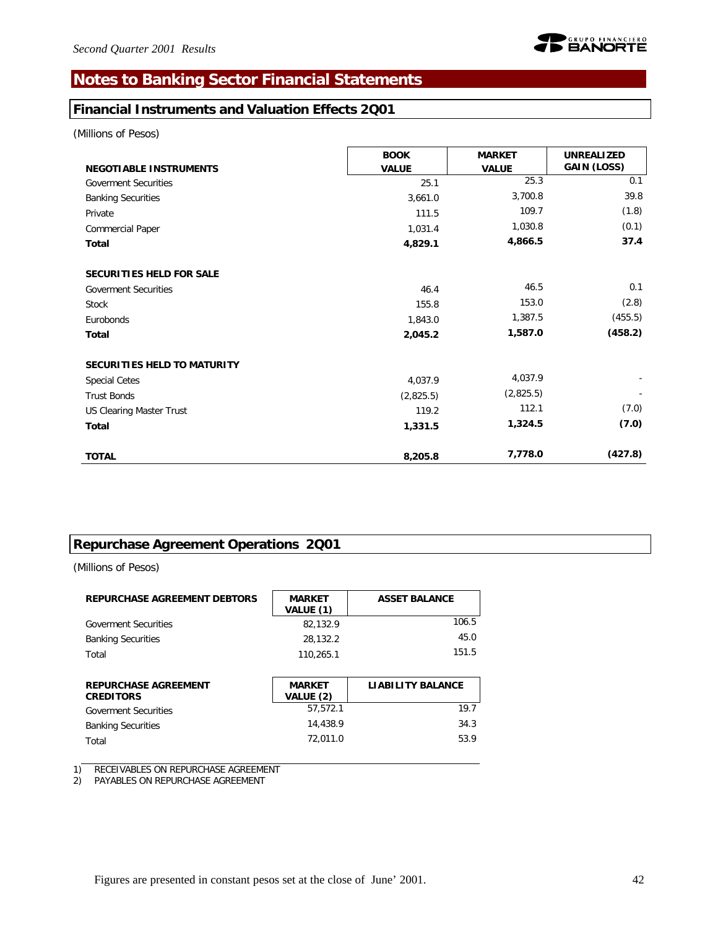# **Notes to Banking Sector Financial Statements**

# **Financial Instruments and Valuation Effects 2Q01**

*(Millions of Pesos)*

|                                 | <b>BOOK</b>  | <b>MARKET</b> | <b>UNREALIZED</b> |
|---------------------------------|--------------|---------------|-------------------|
| <b>NEGOTIABLE INSTRUMENTS</b>   | <b>VALUE</b> | <b>VALUE</b>  | GAIN (LOSS)       |
| <b>Goverment Securities</b>     | 25.1         | 25.3          | 0.1               |
| <b>Banking Securities</b>       | 3,661.0      | 3,700.8       | 39.8              |
| Private                         | 111.5        | 109.7         | (1.8)             |
| Commercial Paper                | 1,031.4      | 1,030.8       | (0.1)             |
| Total                           | 4,829.1      | 4,866.5       | 37.4              |
| <b>SECURITIES HELD FOR SALE</b> |              |               |                   |
| <b>Goverment Securities</b>     | 46.4         | 46.5          | 0.1               |
| <b>Stock</b>                    | 155.8        | 153.0         | (2.8)             |
| Eurobonds                       | 1,843.0      | 1,387.5       | (455.5)           |
| Total                           | 2,045.2      | 1,587.0       | (458.2)           |
| SECURITIES HELD TO MATURITY     |              |               |                   |
| <b>Special Cetes</b>            | 4,037.9      | 4,037.9       |                   |
| <b>Trust Bonds</b>              | (2,825.5)    | (2,825.5)     |                   |
| <b>US Clearing Master Trust</b> | 119.2        | 112.1         | (7.0)             |
| Total                           | 1,331.5      | 1,324.5       | (7.0)             |
| <b>TOTAL</b>                    | 8,205.8      | 7,778.0       | (427.8)           |

# **Repurchase Agreement Operations 2Q01**

*(Millions of Pesos)*

| <b>REPURCHASE AGREEMENT DEBTORS</b>             | <b>MARKET</b><br>VALUE (1) | <b>ASSET BALANCE</b>     |
|-------------------------------------------------|----------------------------|--------------------------|
| <b>Goverment Securities</b>                     | 82.132.9                   | 106.5                    |
| <b>Banking Securities</b>                       | 28,132.2                   | 45.0                     |
| Total                                           | 110,265.1                  | 151.5                    |
| <b>REPURCHASE AGREEMENT</b><br><b>CREDITORS</b> | <b>MARKET</b><br>VALUE (2) | <b>LIABILITY BALANCE</b> |

| <b>CREDITORS</b>            | VALUE (2) |      |
|-----------------------------|-----------|------|
| <b>Goverment Securities</b> | 57.572.1  | 19.7 |
| <b>Banking Securities</b>   | 14.438.9  | 34.3 |
| Total                       | 72.011.0  | 53.9 |

1) RECEIVABLES ON REPURCHASE AGREEMENT

2) PAYABLES ON REPURCHASE AGREEMENT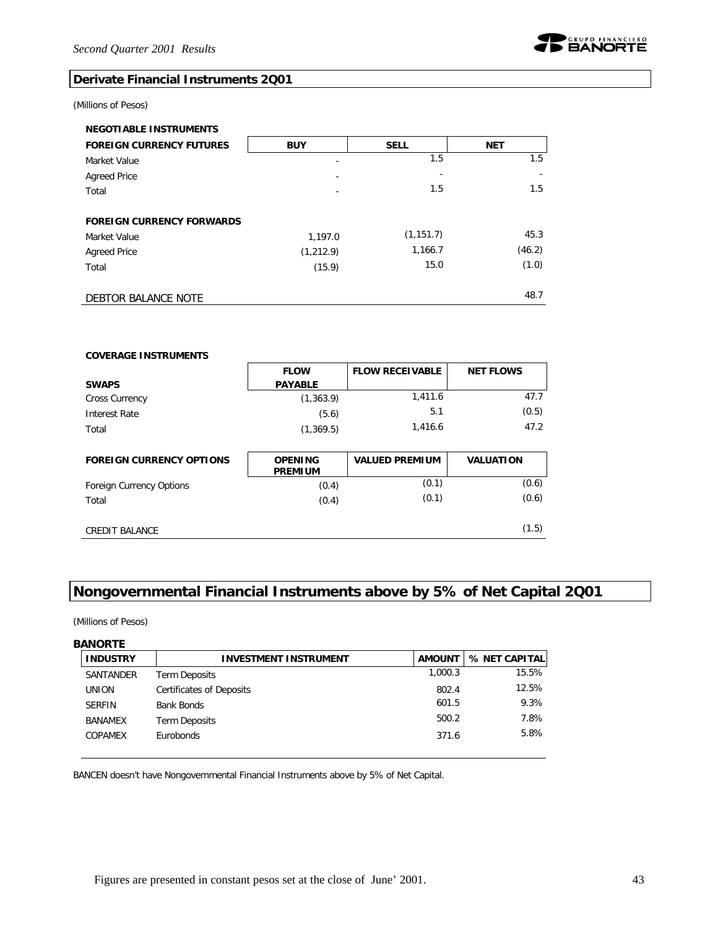

### **Derivate Financial Instruments 2Q01**

#### *(Millions of Pesos)*

| <b>NEGOTIABLE INSTRUMENTS</b>    |                          |             |            |
|----------------------------------|--------------------------|-------------|------------|
| <b>FOREIGN CURRENCY FUTURES</b>  | <b>BUY</b>               | <b>SELL</b> | <b>NET</b> |
| Market Value                     | -                        | 1.5         | 1.5        |
| <b>Agreed Price</b>              |                          |             |            |
| Total                            | $\overline{\phantom{a}}$ | 1.5         | 1.5        |
|                                  |                          |             |            |
| <b>FOREIGN CURRENCY FORWARDS</b> |                          |             |            |
| Market Value                     | 1,197.0                  | (1, 151.7)  | 45.3       |
| <b>Agreed Price</b>              | (1, 212.9)               | 1,166.7     | (46.2)     |
| Total                            | (15.9)                   | 15.0        | (1.0)      |
|                                  |                          |             |            |
| DEBTOR BALANCE NOTE              |                          |             | 48.7       |

| <b>COVERAGE INSTRUMENTS</b>     |                                  |                        |                  |
|---------------------------------|----------------------------------|------------------------|------------------|
|                                 | <b>FLOW</b>                      | <b>FLOW RECEIVABLE</b> | <b>NET FLOWS</b> |
| <b>SWAPS</b>                    | <b>PAYABLE</b>                   |                        |                  |
| <b>Cross Currency</b>           | (1,363.9)                        | 1,411.6                | 47.7             |
| Interest Rate                   | (5.6)                            | 5.1                    | (0.5)            |
| Total                           | (1,369.5)                        | 1,416.6                | 47.2             |
|                                 |                                  |                        |                  |
|                                 |                                  |                        |                  |
| <b>FOREIGN CURRENCY OPTIONS</b> | <b>OPENING</b><br><b>PREMIUM</b> | <b>VALUED PREMIUM</b>  | <b>VALUATION</b> |
| Foreign Currency Options        | (0.4)                            | (0.1)                  | (0.6)            |
| Total                           | (0.4)                            | (0.1)                  | (0.6)            |
|                                 |                                  |                        |                  |

# **Nongovernmental Financial Instruments above by 5% of Net Capital 2Q01**

*(Millions of Pesos)*

#### **BANORTE**

| <b>INDUSTRY</b> | <b>INVESTMENT INSTRUMENT</b>    | AMOUNT  | % NET CAPITAL |
|-----------------|---------------------------------|---------|---------------|
| SANTANDER       | Term Deposits                   | 1.000.3 | 15.5%         |
| <b>UNION</b>    | <b>Certificates of Deposits</b> | 802.4   | 12.5%         |
| <b>SERFIN</b>   | <b>Bank Bonds</b>               | 601.5   | 9.3%          |
| <b>BANAMEX</b>  | Term Deposits                   | 500.2   | 7.8%          |
| COPAMEX         | <b>Eurobonds</b>                | 371.6   | 5.8%          |

BANCEN doesn't have Nongovernmental Financial Instruments above by 5% of Net Capital.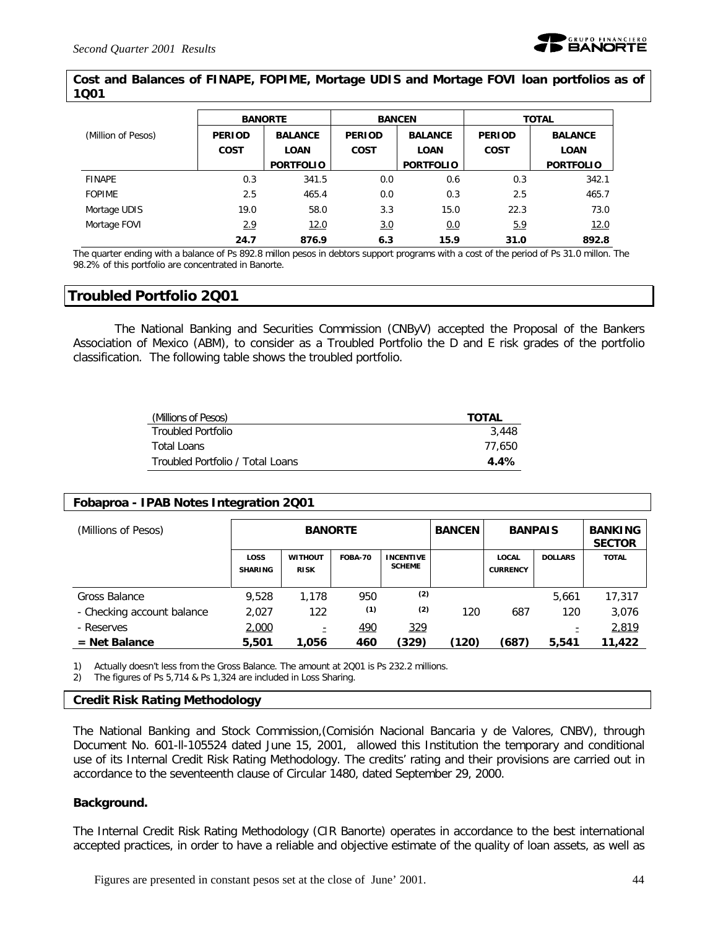

#### **Cost and Balances of FINAPE, FOPIME, Mortage UDIS and Mortage FOVI loan portfolios as of 1Q01**

|                    | <b>BANORTE</b><br><b>BALANCE</b><br><b>PERIOD</b> |                  | <b>BANCEN</b> |                  | <b>TOTAL</b>  |                  |  |
|--------------------|---------------------------------------------------|------------------|---------------|------------------|---------------|------------------|--|
| (Million of Pesos) |                                                   |                  | <b>PERIOD</b> | <b>BALANCE</b>   | <b>PERIOD</b> | <b>BALANCE</b>   |  |
|                    | <b>COST</b>                                       | <b>LOAN</b>      | <b>COST</b>   | <b>LOAN</b>      | <b>COST</b>   | <b>LOAN</b>      |  |
|                    |                                                   | <b>PORTFOLIO</b> |               | <b>PORTFOLIO</b> |               | <b>PORTFOLIO</b> |  |
| <b>FINAPE</b>      | 0.3                                               | 341.5            | 0.0           | 0.6              | 0.3           | 342.1            |  |
| <b>FOPIME</b>      | 2.5                                               | 465.4            | 0.0           | 0.3              | 2.5           | 465.7            |  |
| Mortage UDIS       | 19.0                                              | 58.0             | 3.3           | 15.0             | 22.3          | 73.0             |  |
| Mortage FOVI       | 2.9                                               | 12.0             | 3.0           | 0.0              | 5.9           | 12.0             |  |
|                    | 24.7                                              | 876.9            | 6.3           | 15.9             | 31.0          | 892.8            |  |

The quarter ending with a balance of Ps 892.8 millon pesos in debtors support programs with a cost of the period of Ps 31.0 millon. The 98.2% of this portfolio are concentrated in Banorte.

### **Troubled Portfolio 2Q01**

The National Banking and Securities Commission (CNByV) accepted the Proposal of the Bankers Association of Mexico (ABM), to consider as a Troubled Portfolio the D and E risk grades of the portfolio classification. The following table shows the troubled portfolio.

| (Millions of Pesos)              | <b>TOTAL</b> |
|----------------------------------|--------------|
| Troubled Portfolio               | 3.448        |
| Total Loans                      | 77.650       |
| Troubled Portfolio / Total Loans | 4.4%         |

#### **Fobaproa - IPAB Notes Integration 2Q01**

| (Millions of Pesos)        | <b>BANORTE</b>                |                               |                |                                   | <b>BANCEN</b> | <b>BANPAIS</b>                  |                | <b>BANKING</b><br><b>SECTOR</b> |
|----------------------------|-------------------------------|-------------------------------|----------------|-----------------------------------|---------------|---------------------------------|----------------|---------------------------------|
|                            | <b>LOSS</b><br><b>SHARING</b> | <b>WITHOUT</b><br><b>RISK</b> | <b>FOBA-70</b> | <b>INCENTIVE</b><br><b>SCHEME</b> |               | <b>LOCAL</b><br><b>CURRENCY</b> | <b>DOLLARS</b> | <b>TOTAL</b>                    |
| Gross Balance              | 9.528                         | 1,178                         | 950            | (2)                               |               |                                 | 5,661          | 17,317                          |
| - Checking account balance | 2,027                         | 122                           | (1)            | (2)                               | 120           | 687                             | 120            | 3,076                           |
| - Reserves                 | 2,000                         | ۰                             | 490            | 329                               |               |                                 |                | 2,819                           |
| $=$ Net Balance            | 5,501                         | 1.056                         | 460            | (329)                             | (120)         | (687)                           | 5,541          | 11,422                          |

1) Actually doesn't less from the Gross Balance. The amount at 2Q01 is Ps 232.2 millions.

2) The figures of Ps 5,714 & Ps 1,324 are included in Loss Sharing.

#### **Credit Risk Rating Methodology**

The National Banking and Stock Commission,(Comisión Nacional Bancaria y de Valores, CNBV), through Document No. 601-ll-105524 dated June 15, 2001, allowed this Institution the temporary and conditional use of its Internal Credit Risk Rating Methodology. The credits' rating and their provisions are carried out in accordance to the seventeenth clause of Circular 1480, dated September 29, 2000.

#### **Background.**

The Internal Credit Risk Rating Methodology (CIR Banorte) operates in accordance to the best international accepted practices, in order to have a reliable and objective estimate of the quality of loan assets, as well as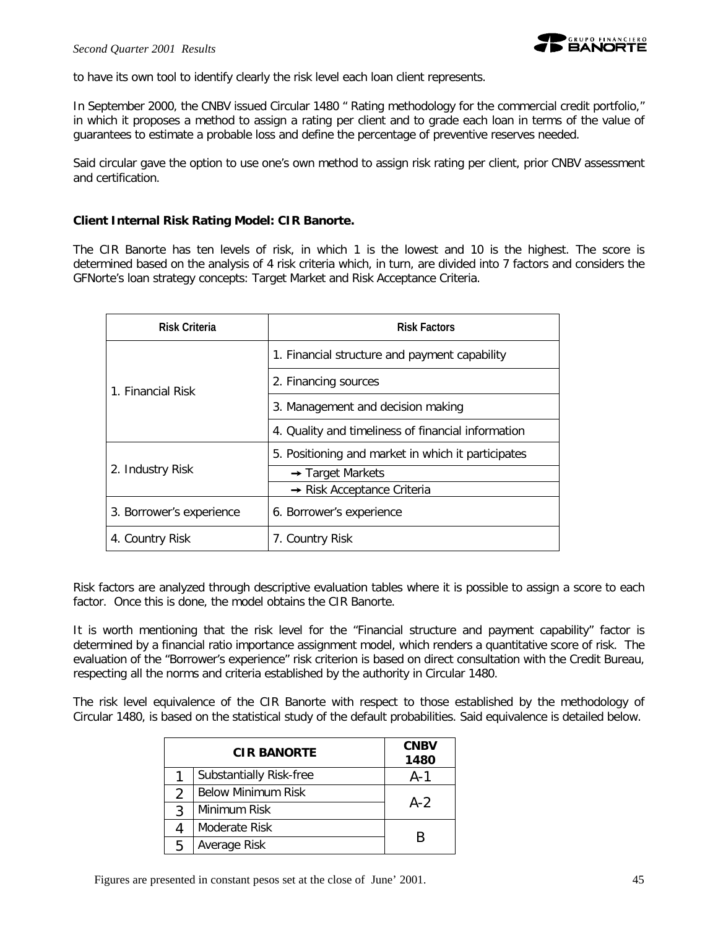

to have its own tool to identify clearly the risk level each loan client represents.

In September 2000, the CNBV issued Circular 1480 " Rating methodology for the commercial credit portfolio," in which it proposes a method to assign a rating per client and to grade each loan in terms of the value of guarantees to estimate a probable loss and define the percentage of preventive reserves needed.

Said circular gave the option to use one's own method to assign risk rating per client, prior CNBV assessment and certification.

#### **Client Internal Risk Rating Model: CIR Banorte.**

The CIR Banorte has ten levels of risk, in which 1 is the lowest and 10 is the highest. The score is determined based on the analysis of 4 risk criteria which, in turn, are divided into 7 factors and considers the GFNorte's loan strategy concepts: Target Market and Risk Acceptance Criteria.

| <b>Risk Criteria</b>     | <b>Risk Factors</b>                                |  |  |  |  |
|--------------------------|----------------------------------------------------|--|--|--|--|
|                          | 1. Financial structure and payment capability      |  |  |  |  |
| 1. Financial Risk        | 2. Financing sources                               |  |  |  |  |
|                          | 3. Management and decision making                  |  |  |  |  |
|                          | 4. Quality and timeliness of financial information |  |  |  |  |
|                          | 5. Positioning and market in which it participates |  |  |  |  |
| 2. Industry Risk         | $\rightarrow$ Target Markets                       |  |  |  |  |
|                          | $\rightarrow$ Risk Acceptance Criteria             |  |  |  |  |
| 3. Borrower's experience | 6. Borrower's experience                           |  |  |  |  |
| 4. Country Risk          | 7. Country Risk                                    |  |  |  |  |

Risk factors are analyzed through descriptive evaluation tables where it is possible to assign a score to each factor. Once this is done, the model obtains the CIR Banorte.

It is worth mentioning that the risk level for the "Financial structure and payment capability" factor is determined by a financial ratio importance assignment model, which renders a quantitative score of risk. The evaluation of the "Borrower's experience" risk criterion is based on direct consultation with the Credit Bureau, respecting all the norms and criteria established by the authority in Circular 1480.

The risk level equivalence of the CIR Banorte with respect to those established by the methodology of Circular 1480, is based on the statistical study of the default probabilities. Said equivalence is detailed below.

|   | <b>CIR BANORTE</b>        | <b>CNBV</b><br>1480 |
|---|---------------------------|---------------------|
|   | Substantially Risk-free   | A-1                 |
| 2 | <b>Below Minimum Risk</b> |                     |
| ς | Minimum Risk              | $A-2$               |
|   | Moderate Risk             |                     |
| 5 | Average Risk              | к                   |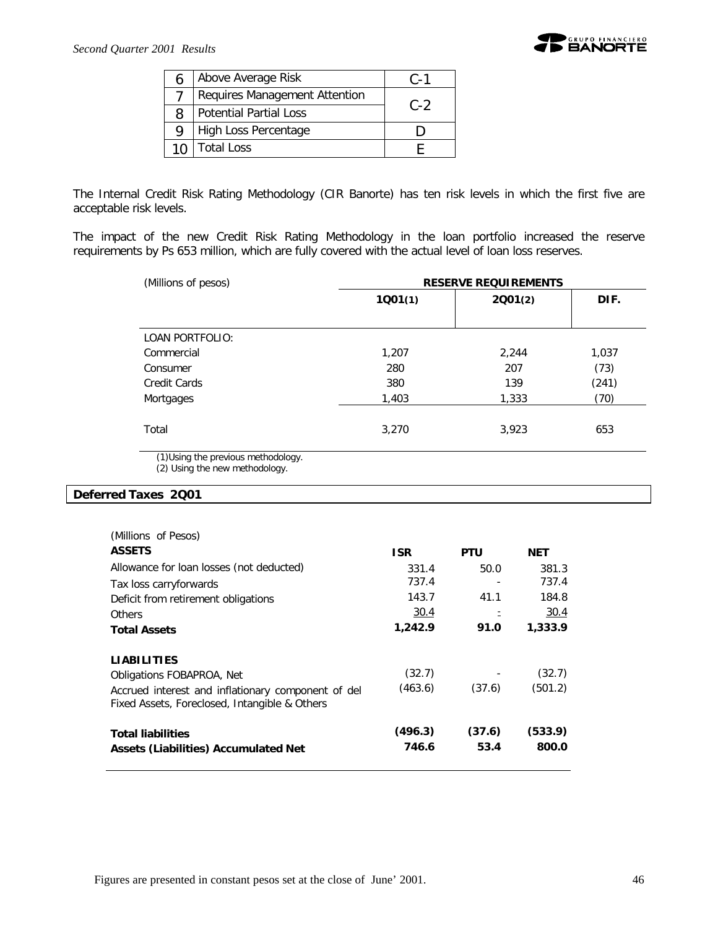

| 6 | Above Average Risk            | $C - 1$ |
|---|-------------------------------|---------|
|   | Requires Management Attention |         |
| Զ | <b>Potential Partial Loss</b> | $C - 2$ |
| Q | High Loss Percentage          |         |
|   | <b>Total Loss</b>             |         |

The Internal Credit Risk Rating Methodology (CIR Banorte) has ten risk levels in which the first five are acceptable risk levels.

The impact of the new Credit Risk Rating Methodology in the loan portfolio increased the reserve requirements by Ps 653 million, which are fully covered with the actual level of loan loss reserves.

| (Millions of pesos)                 | <b>RESERVE REQUIREMENTS</b> |         |       |  |  |  |  |
|-------------------------------------|-----------------------------|---------|-------|--|--|--|--|
|                                     | 1001(1)                     | 2001(2) | DIF.  |  |  |  |  |
|                                     |                             |         |       |  |  |  |  |
| <b>LOAN PORTFOLIO:</b>              |                             |         |       |  |  |  |  |
| Commercial                          | 1,207                       | 2,244   | 1,037 |  |  |  |  |
| Consumer                            | 280                         | 207     | (73)  |  |  |  |  |
| Credit Cards                        | 380                         | 139     | (241) |  |  |  |  |
| Mortgages                           | 1,403                       | 1,333   | (70)  |  |  |  |  |
|                                     |                             |         |       |  |  |  |  |
| Total                               | 3,270                       | 3,923   | 653   |  |  |  |  |
|                                     |                             |         |       |  |  |  |  |
| (1) Using the previous methodology. |                             |         |       |  |  |  |  |

(2) Using the new methodology.

#### **Deferred Taxes 2Q01**

| (Millions of Pesos)                                                                                 |                  |                |                  |
|-----------------------------------------------------------------------------------------------------|------------------|----------------|------------------|
| <b>ASSETS</b>                                                                                       | <b>ISR</b>       | <b>PTU</b>     | NET              |
| Allowance for loan losses (not deducted)                                                            | 331.4            | 50.0           | 381.3            |
| Tax loss carryforwards                                                                              | 737.4            |                | 737.4            |
| Deficit from retirement obligations                                                                 | 143.7            | 41.1           | 184.8            |
| Others                                                                                              | 30.4             |                | 30.4             |
| <b>Total Assets</b>                                                                                 | 1,242.9          | 91.0           | 1,333.9          |
|                                                                                                     |                  |                |                  |
| <b>LIABILITIES</b>                                                                                  | (32.7)           |                | (32.7)           |
| Obligations FOBAPROA, Net                                                                           |                  |                |                  |
| Accrued interest and inflationary component of del<br>Fixed Assets, Foreclosed, Intangible & Others | (463.6)          | (37.6)         | (501.2)          |
| <b>Total liabilities</b>                                                                            | (496.3)<br>746.6 | (37.6)<br>53.4 | (533.9)<br>800.0 |
| Assets (Liabilities) Accumulated Net                                                                |                  |                |                  |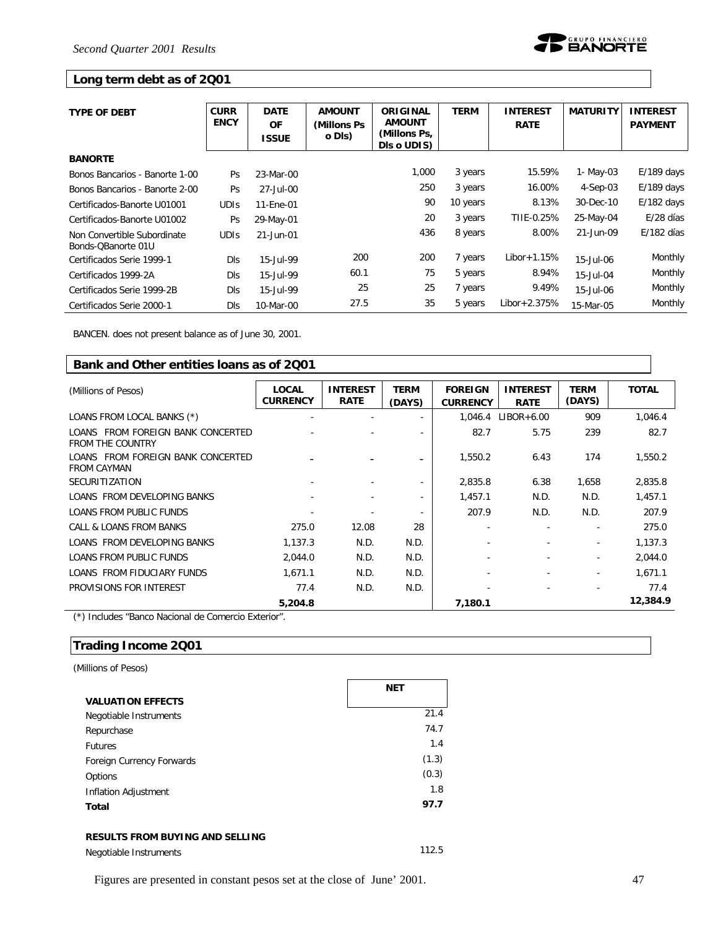

### **Long term debt as of 2Q01**

| <b>TYPE OF DEBT</b>            | <b>CURR</b> | <b>DATE</b>  | <b>AMOUNT</b> | <b>ORIGINAL</b> | TERM     | <b>INTEREST</b>  | <b>MATURITY</b> | <b>INTEREST</b> |
|--------------------------------|-------------|--------------|---------------|-----------------|----------|------------------|-----------------|-----------------|
|                                | <b>ENCY</b> | <b>OF</b>    | (Millons Ps)  | <b>AMOUNT</b>   |          | <b>RATE</b>      |                 | <b>PAYMENT</b>  |
|                                |             | <b>ISSUE</b> | o DIs)        | (Millons Ps,    |          |                  |                 |                 |
|                                |             |              |               | DIs o UDIS)     |          |                  |                 |                 |
| <b>BANORTE</b>                 |             |              |               |                 |          |                  |                 |                 |
| Bonos Bancarios - Banorte 1-00 | <b>Ps</b>   | 23-Mar-00    |               | 1,000           | 3 years  | 15.59%           | 1- May-03       | $E/189$ days    |
| Bonos Bancarios - Banorte 2-00 | Ps          | 27-Jul-00    |               | 250             | 3 years  | 16.00%           | $4-Sep-03$      | $E/189$ days    |
| Certificados-Banorte U01001    | <b>UDIS</b> | 11-Ene-01    |               | 90              | 10 years | 8.13%            | 30-Dec-10       | $E/182$ days    |
| Certificados-Banorte U01002    | Ps          | 29-May-01    |               | 20              | 3 years  | TIIE-0.25%       | 25-May-04       | E/28 días       |
| Non Convertible Subordinate    | <b>UDIS</b> | 21-Jun-01    |               | 436             | 8 years  | 8.00%            | 21-Jun-09       | $E/182$ días    |
| Bonds-OBanorte 01U             |             |              |               |                 |          |                  |                 |                 |
| Certificados Serie 1999-1      | <b>DIS</b>  | 15-Jul-99    | 200           | 200             | 7 years  | Libor + $1.15%$  | 15-Jul-06       | Monthly         |
| Certificados 1999-2A           | <b>DIS</b>  | 15-Jul-99    | 60.1          | 75              | 5 years  | 8.94%            | $15 -$ Jul-04   | Monthly         |
| Certificados Serie 1999-2B     | <b>DIs</b>  | 15-Jul-99    | 25            | 25              | 7 years  | 9.49%            | 15-Jul-06       | Monthly         |
| Certificados Serie 2000-1      | <b>DIs</b>  | 10-Mar-00    | 27.5          | 35              | 5 years  | $Libor + 2.375%$ | 15-Mar-05       | Monthly         |

BANCEN. does not present balance as of June 30, 2001.

| Bank and Other entities loans as of 2001                        |                          |                                |                          |                                   |                                |                          |              |
|-----------------------------------------------------------------|--------------------------|--------------------------------|--------------------------|-----------------------------------|--------------------------------|--------------------------|--------------|
| (Millions of Pesos)                                             | LOCAL<br><b>CURRENCY</b> | <b>INTEREST</b><br><b>RATE</b> | <b>TERM</b><br>(DAYS)    | <b>FOREIGN</b><br><b>CURRENCY</b> | <b>INTEREST</b><br><b>RATE</b> | <b>TERM</b><br>(DAYS)    | <b>TOTAL</b> |
| LOANS FROM LOCAL BANKS (*)                                      |                          |                                |                          | 1.046.4                           | $LIBOR+6.00$                   | 909                      | 1,046.4      |
| FROM FOREIGN BANK CONCERTED<br>LOANS<br><b>FROM THE COUNTRY</b> |                          |                                | $\overline{\phantom{a}}$ | 82.7                              | 5.75                           | 239                      | 82.7         |
| FROM FOREIGN BANK CONCERTED<br>LOANS<br><b>FROM CAYMAN</b>      |                          |                                |                          | 1,550.2                           | 6.43                           | 174                      | 1,550.2      |
| <b>SECURITIZATION</b>                                           |                          |                                |                          | 2,835.8                           | 6.38                           | 1,658                    | 2,835.8      |
| LOANS FROM DEVELOPING BANKS                                     |                          |                                |                          | 1,457.1                           | N.D.                           | N.D.                     | 1,457.1      |
| <b>LOANS FROM PUBLIC FUNDS</b>                                  | ۰                        |                                |                          | 207.9                             | N.D.                           | N.D.                     | 207.9        |
| CALL & LOANS FROM BANKS                                         | 275.0                    | 12.08                          | 28                       |                                   | ٠                              | $\overline{\phantom{a}}$ | 275.0        |
| LOANS FROM DEVELOPING BANKS                                     | 1,137.3                  | N.D.                           | N.D.                     |                                   |                                | ۰                        | 1,137.3      |
| <b>LOANS FROM PUBLIC FUNDS</b>                                  | 2,044.0                  | N.D.                           | N.D.                     |                                   |                                | ۰                        | 2,044.0      |
| LOANS FROM FIDUCIARY FUNDS                                      | 1,671.1                  | N.D.                           | N.D.                     |                                   |                                | $\overline{\phantom{a}}$ | 1.671.1      |
| PROVISIONS FOR INTEREST                                         | 77.4                     | N.D.                           | N.D.                     |                                   |                                |                          | 77.4         |
|                                                                 | 5,204.8                  |                                |                          | 7,180.1                           |                                |                          | 12,384.9     |

(\*) Includes "Banco Nacional de Comercio Exterior".

### **Trading Income 2Q01**

*(Millions of Pesos)*

|                           | <b>NET</b> |
|---------------------------|------------|
| <b>VALUATION EFFECTS</b>  |            |
| Negotiable Instruments    | 21.4       |
| Repurchase                | 74.7       |
| <b>Futures</b>            | 1.4        |
| Foreign Currency Forwards | (1.3)      |
| Options                   | (0.3)      |
| Inflation Adjustment      | 1.8        |
| Total                     | 97.7       |

#### **RESULTS FROM BUYING AND SELLING**

Negotiable Instruments 112.5

Figures are presented in constant pesos set at the close of June' 2001. 47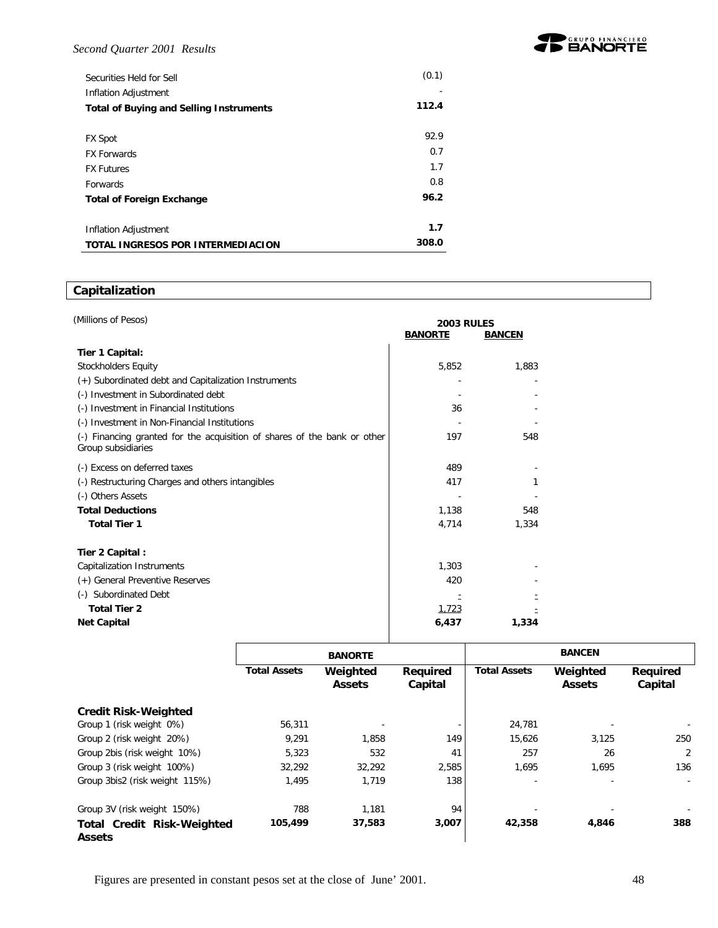#### *Second Quarter 2001 Results*

| Securities Held for Sell                       | (0.1) |
|------------------------------------------------|-------|
| Inflation Adjustment                           |       |
| <b>Total of Buying and Selling Instruments</b> | 112.4 |
|                                                |       |
| <b>FX Spot</b>                                 | 92.9  |
| <b>FX Forwards</b>                             | 0.7   |
| <b>FX Futures</b>                              | 1.7   |
| <b>Forwards</b>                                | 0.8   |
| <b>Total of Foreign Exchange</b>               | 96.2  |
| Inflation Adjustment                           | 1.7   |
| TOTAL INGRESOS POR INTERMEDIACION              | 308.0 |

#### **Capitalization**

*(Millions of Pesos*) **2003 RULES BANORTE Tier 1 Capital:** Stockholders Equity **5,852** 1,883 (+) Subordinated debt and Capitalization Instruments - - (-) Investment in Subordinated debt - - (-) Investment in Financial Institutions 36 - (-) Investment in Non-Financial Institutions (-) Financing granted for the acquisition of shares of the bank or other Group subsidiaries 197 548 (-) Excess on deferred taxes extended to the set of the set of the set of the set of the set of the set of the set of the set of the set of the set of the set of the set of the set of the set of the set of the set of the s (-) Restructuring Charges and others intangibles 417 1 1 1 417 1 1 417 (-) Others Assets - - **Total Deductions** 548 548 **Total Tier 1 1 1,334 Tier 2 Capital :** Capitalization Instruments 1,303 (+) General Preventive Reserves 420 - (-) Subordinated Debt  $\overline{z}$  -  $\overline{z}$  -  $\overline{z}$  -  $\overline{z}$  -  $\overline{z}$  -  $\overline{z}$  -  $\overline{z}$  -  $\overline{z}$  -  $\overline{z}$  -  $\overline{z}$  -  $\overline{z}$  -  $\overline{z}$  -  $\overline{z}$  -  $\overline{z}$  -  $\overline{z}$  -  $\overline{z}$  -  $\overline{z}$  -  $\overline{z}$  -  **Total Tier 2** 1,723 - **Net Capital 6,437 1,334**

|                                                    | <b>BANORTE</b>      |                           | <b>BANCEN</b>       |                     |                           |                     |
|----------------------------------------------------|---------------------|---------------------------|---------------------|---------------------|---------------------------|---------------------|
|                                                    | <b>Total Assets</b> | Weighted<br><b>Assets</b> | Required<br>Capital | <b>Total Assets</b> | Weighted<br><b>Assets</b> | Required<br>Capital |
| <b>Credit Risk-Weighted</b>                        |                     |                           |                     |                     |                           |                     |
| Group 1 (risk weight 0%)                           | 56,311              |                           |                     | 24,781              |                           |                     |
| Group 2 (risk weight 20%)                          | 9.291               | 1.858                     | 149                 | 15,626              | 3,125                     | 250                 |
| Group 2bis (risk weight 10%)                       | 5,323               | 532                       | 41                  | 257                 | 26                        | 2                   |
| Group 3 (risk weight 100%)                         | 32.292              | 32,292                    | 2,585               | 1.695               | 1.695                     | 136                 |
| Group 3bis2 (risk weight 115%)                     | 1.495               | 1.719                     | 138                 |                     |                           | $\sim$              |
| Group 3V (risk weight 150%)                        | 788                 | 1.181                     | 94                  |                     |                           |                     |
| <b>Total Credit Risk-Weighted</b><br><b>Assets</b> | 105,499             | 37,583                    | 3,007               | 42,358              | 4,846                     | 388                 |

Figures are presented in constant pesos set at the close of June' 2001. 48

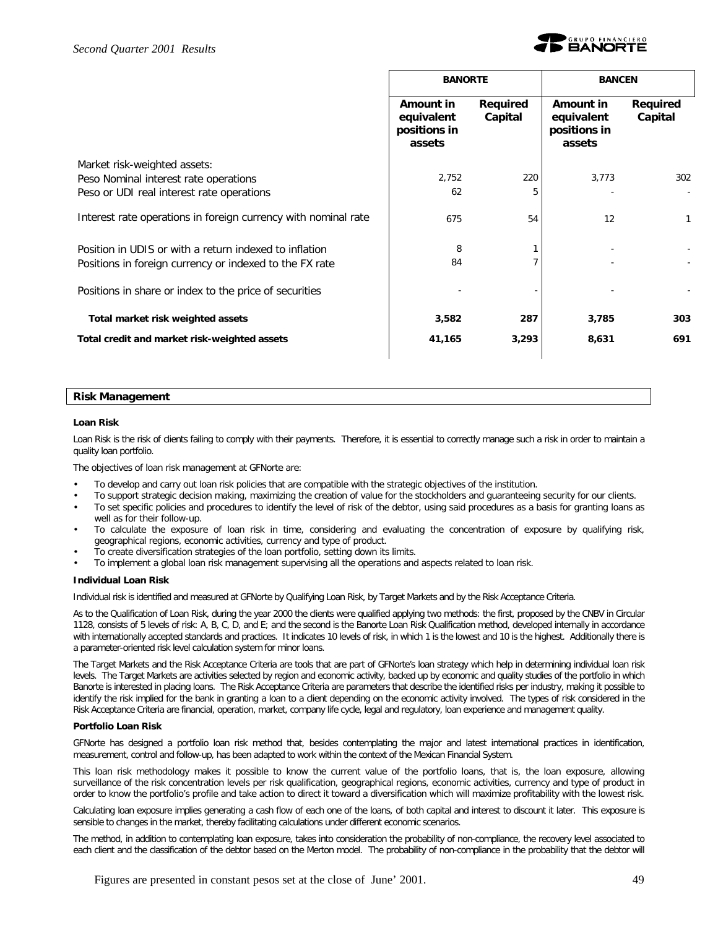

|                                                                | <b>BANORTE</b>                                    |                     | <b>BANCEN</b>                                     |                     |
|----------------------------------------------------------------|---------------------------------------------------|---------------------|---------------------------------------------------|---------------------|
|                                                                | Amount in<br>equivalent<br>positions in<br>assets | Required<br>Capital | Amount in<br>equivalent<br>positions in<br>assets | Required<br>Capital |
| Market risk-weighted assets:                                   |                                                   |                     |                                                   |                     |
| Peso Nominal interest rate operations                          | 2,752                                             | 220                 | 3,773                                             | 302                 |
| Peso or UDI real interest rate operations                      | 62                                                | 5                   |                                                   |                     |
| Interest rate operations in foreign currency with nominal rate | 675                                               | 54                  | 12                                                | 1                   |
| Position in UDIS or with a return indexed to inflation         | 8                                                 |                     |                                                   |                     |
| Positions in foreign currency or indexed to the FX rate        | 84                                                |                     |                                                   |                     |
| Positions in share or index to the price of securities         |                                                   |                     |                                                   |                     |
| Total market risk weighted assets                              | 3,582                                             | 287                 | 3,785                                             | 303                 |
| Total credit and market risk-weighted assets                   | 41,165                                            | 3,293               | 8,631                                             | 691                 |
|                                                                |                                                   |                     |                                                   |                     |

#### **Risk Management**

#### **Loan Risk**

Loan Risk is the risk of clients failing to comply with their payments. Therefore, it is essential to correctly manage such a risk in order to maintain a quality loan portfolio.

The objectives of loan risk management at GFNorte are:

- To develop and carry out loan risk policies that are compatible with the strategic objectives of the institution.
- To support strategic decision making, maximizing the creation of value for the stockholders and guaranteeing security for our clients.
- To set specific policies and procedures to identify the level of risk of the debtor, using said procedures as a basis for granting loans as well as for their follow-up.
- To calculate the exposure of loan risk in time, considering and evaluating the concentration of exposure by qualifying risk, geographical regions, economic activities, currency and type of product.
- To create diversification strategies of the loan portfolio, setting down its limits.
- To implement a global loan risk management supervising all the operations and aspects related to loan risk.

#### **Individual Loan Risk**

Individual risk is identified and measured at GFNorte by Qualifying Loan Risk, by Target Markets and by the Risk Acceptance Criteria.

As to the Qualification of Loan Risk, during the year 2000 the clients were qualified applying two methods: the first, proposed by the CNBV in Circular 1128, consists of 5 levels of risk: A, B, C, D, and E; and the second is the Banorte Loan Risk Qualification method, developed internally in accordance with internationally accepted standards and practices. It indicates 10 levels of risk, in which 1 is the lowest and 10 is the highest. Additionally there is a parameter-oriented risk level calculation system for minor loans.

The Target Markets and the Risk Acceptance Criteria are tools that are part of GFNorte's loan strategy which help in determining individual loan risk levels. The Target Markets are activities selected by region and economic activity, backed up by economic and quality studies of the portfolio in which Banorte is interested in placing loans. The Risk Acceptance Criteria are parameters that describe the identified risks per industry, making it possible to identify the risk implied for the bank in granting a loan to a client depending on the economic activity involved. The types of risk considered in the Risk Acceptance Criteria are financial, operation, market, company life cycle, legal and regulatory, loan experience and management quality.

#### **Portfolio Loan Risk**

GFNorte has designed a portfolio loan risk method that, besides contemplating the major and latest international practices in identification, measurement, control and follow-up, has been adapted to work within the context of the Mexican Financial System.

This loan risk methodology makes it possible to know the current value of the portfolio loans, that is, *the loan exposure*, allowing surveillance of the risk concentration levels per risk qualification, geographical regions, economic activities, currency and type of product in order to know the portfolio's profile and take action to direct it toward a diversification which will maximize profitability with the lowest risk.

Calculating loan exposure implies generating a cash flow of each one of the loans, of both capital and interest to discount it later. This exposure is sensible to changes in the market, thereby facilitating calculations under different economic scenarios.

The method, in addition to contemplating loan exposure, takes into consideration the probability of non-compliance, the recovery level associated to each client and the classification of the debtor based on the Merton model. The *probability of non-compliance* in the probability that the debtor will